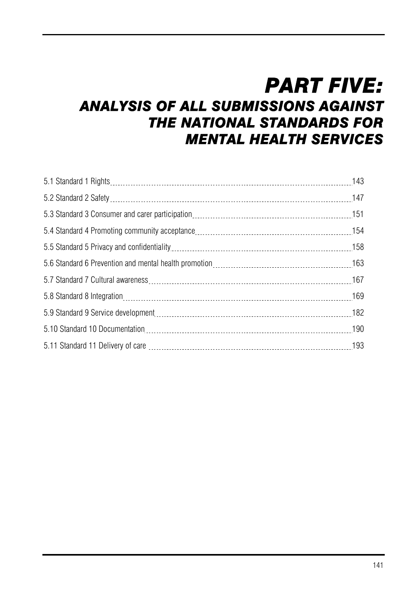# *PART FIVE:*

# *ANALYSIS OF ALL SUBMISSIONS AGAINST THE NATIONAL STANDARDS FOR MENTAL HEALTH SERVICES*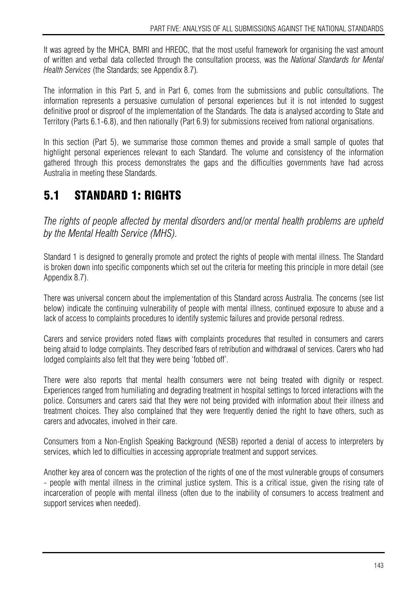It was agreed by the MHCA, BMRI and HREOC, that the most useful framework for organising the vast amount of written and verbal data collected through the consultation process, was the *National Standards for Mental Health Services* (the Standards; see Appendix 8.7)*.* 

The information in this Part 5, and in Part 6, comes from the submissions and public consultations. The information represents a persuasive cumulation of personal experiences but it is not intended to suggest definitive proof or disproof of the implementation of the Standards. The data is analysed according to State and Territory (Parts 6.1-6.8), and then nationally (Part 6.9) for submissions received from national organisations.

In this section (Part 5), we summarise those common themes and provide a small sample of quotes that highlight personal experiences relevant to each Standard. The volume and consistency of the information gathered through this process demonstrates the gaps and the difficulties governments have had across Australia in meeting these Standards.

# 5.1 STANDARD 1: RIGHTS

*The rights of people affected by mental disorders and/or mental health problems are upheld by the Mental Health Service (MHS).* 

Standard 1 is designed to generally promote and protect the rights of people with mental illness. The Standard is broken down into specific components which set out the criteria for meeting this principle in more detail (see Appendix 8.7).

There was universal concern about the implementation of this Standard across Australia. The concerns (see list below) indicate the continuing vulnerability of people with mental illness, continued exposure to abuse and a lack of access to complaints procedures to identify systemic failures and provide personal redress.

Carers and service providers noted flaws with complaints procedures that resulted in consumers and carers being afraid to lodge complaints. They described fears of retribution and withdrawal of services. Carers who had lodged complaints also felt that they were being 'fobbed off'.

There were also reports that mental health consumers were not being treated with dignity or respect. Experiences ranged from humiliating and degrading treatment in hospital settings to forced interactions with the police. Consumers and carers said that they were not being provided with information about their illness and treatment choices. They also complained that they were frequently denied the right to have others, such as carers and advocates, involved in their care.

Consumers from a Non-English Speaking Background (NESB) reported a denial of access to interpreters by services, which led to difficulties in accessing appropriate treatment and support services.

Another key area of concern was the protection of the rights of one of the most vulnerable groups of consumers - people with mental illness in the criminal justice system. This is a critical issue, given the rising rate of incarceration of people with mental illness (often due to the inability of consumers to access treatment and support services when needed).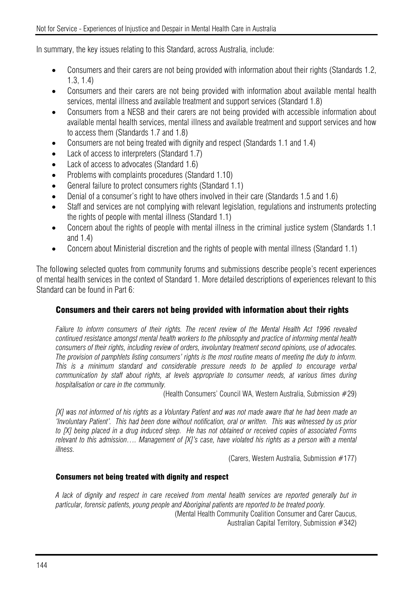In summary, the key issues relating to this Standard, across Australia, include:

- Consumers and their carers are not being provided with information about their rights (Standards 1.2, 1.3, 1.4)
- Consumers and their carers are not being provided with information about available mental health services, mental illness and available treatment and support services (Standard 1.8)
- Consumers from a NESB and their carers are not being provided with accessible information about available mental health services, mental illness and available treatment and support services and how to access them (Standards 1.7 and 1.8)
- Consumers are not being treated with dignity and respect (Standards 1.1 and 1.4)
- Lack of access to interpreters (Standard 1.7)
- Lack of access to advocates (Standard 1.6)
- Problems with complaints procedures (Standard 1.10)
- General failure to protect consumers rights (Standard 1.1)
- Denial of a consumer's right to have others involved in their care (Standards 1.5 and 1.6)
- Staff and services are not complying with relevant legislation, regulations and instruments protecting the rights of people with mental illness (Standard 1.1)
- Concern about the rights of people with mental illness in the criminal justice system (Standards 1.1 and 1.4)
- Concern about Ministerial discretion and the rights of people with mental illness (Standard 1.1)

The following selected quotes from community forums and submissions describe people's recent experiences of mental health services in the context of Standard 1. More detailed descriptions of experiences relevant to this Standard can be found in Part 6:

### Consumers and their carers not being provided with information about their rights

*Failure to inform consumers of their rights. The recent review of the Mental Health Act 1996 revealed continued resistance amongst mental health workers to the philosophy and practice of informing mental health consumers of their rights, including review of orders, involuntary treatment second opinions, use of advocates. The provision of pamphlets listing consumers' rights is the most routine means of meeting the duty to inform. This is a minimum standard and considerable pressure needs to be applied to encourage verbal communication by staff about rights, at levels appropriate to consumer needs, at various times during hospitalisation or care in the community.* 

(Health Consumers' Council WA, Western Australia, Submission #29)

*[X] was not informed of his rights as a Voluntary Patient and was not made aware that he had been made an 'Involuntary Patient'. This had been done without notification, oral or written. This was witnessed by us prior to [X] being placed in a drug induced sleep. He has not obtained or received copies of associated Forms relevant to this admission…. Management of [X]'s case, have violated his rights as a person with a mental illness.* 

(Carers, Western Australia, Submission #177)

#### Consumers not being treated with dignity and respect

*A lack of dignity and respect in care received from mental health services are reported generally but in particular, forensic patients, young people and Aboriginal patients are reported to be treated poorly.*  (Mental Health Community Coalition Consumer and Carer Caucus,

Australian Capital Territory, Submission #342)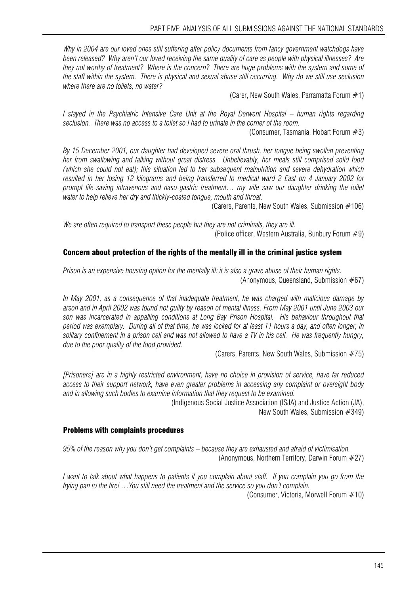*Why in 2004 are our loved ones still suffering after policy documents from fancy government watchdogs have been released? Why aren't our loved receiving the same quality of care as people with physical illnesses? Are they not worthy of treatment? Where is the concern? There are huge problems with the system and some of the staff within the system. There is physical and sexual abuse still occurring. Why do we still use seclusion where there are no toilets, no water?* 

(Carer, New South Wales, Parramatta Forum  $#1$ )

*I stayed in the Psychiatric Intensive Care Unit at the Royal Derwent Hospital – human rights regarding seclusion. There was no access to a toilet so I had to urinate in the corner of the room.*  (Consumer, Tasmania, Hobart Forum #3)

*By 15 December 2001, our daughter had developed severe oral thrush, her tongue being swollen preventing her from swallowing and talking without great distress. Unbelievably, her meals still comprised solid food (which she could not eat); this situation led to her subsequent malnutrition and severe dehydration which resulted in her losing 12 kilograms and being transferred to medical ward 2 East on 4 January 2002 for prompt life-saving intravenous and naso-gastric treatment… my wife saw our daughter drinking the toilet water to help relieve her dry and thickly-coated tongue, mouth and throat.* 

(Carers, Parents, New South Wales, Submission #106)

*We are often required to transport these people but they are not criminals, they are ill.*  (Police officer, Western Australia, Bunbury Forum #9)

#### Concern about protection of the rights of the mentally ill in the criminal justice system

*Prison is an expensive housing option for the mentally ill: it is also a grave abuse of their human rights.*  (Anonymous, Queensland, Submission #67)

*In May 2001, as a consequence of that inadequate treatment, he was charged with malicious damage by arson and in April 2002 was found not guilty by reason of mental illness. From May 2001 until June 2003 our son was incarcerated in appalling conditions at Long Bay Prison Hospital. His behaviour throughout that period was exemplary. During all of that time, he was locked for at least 11 hours a day, and often longer, in solitary confinement in a prison cell and was not allowed to have a TV in his cell. He was frequently hungry, due to the poor quality of the food provided.*

(Carers, Parents, New South Wales, Submission #75)

*[Prisoners] are in a highly restricted environment, have no choice in provision of service, have far reduced access to their support network, have even greater problems in accessing any complaint or oversight body and in allowing such bodies to examine information that they request to be examined.* 

(Indigenous Social Justice Association (ISJA) and Justice Action (JA),

New South Wales, Submission #349)

#### Problems with complaints procedures

*95% of the reason why you don't get complaints – because they are exhausted and afraid of victimisation.*  (Anonymous, Northern Territory, Darwin Forum #27)

*I want to talk about what happens to patients if you complain about staff. If you complain you go from the frying pan to the fire! …You still need the treatment and the service so you don't complain.*  (Consumer, Victoria, Morwell Forum #10)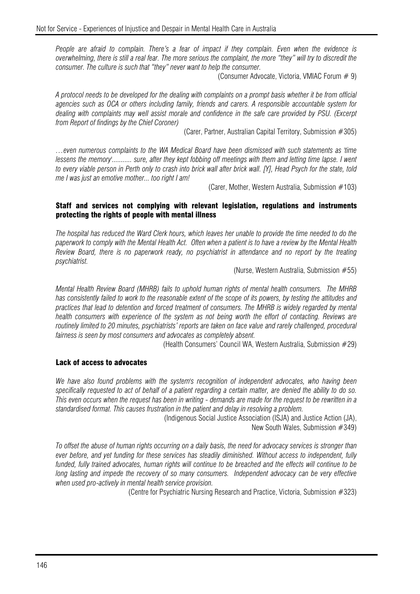*People are afraid to complain. There's a fear of impact if they complain. Even when the evidence is overwhelming, there is still a real fear. The more serious the complaint, the more "they" will try to discredit the consumer. The culture is such that "they" never want to help the consumer.* 

(Consumer Advocate, Victoria, VMIAC Forum # 9)

*A protocol needs to be developed for the dealing with complaints on a prompt basis whether it be from official agencies such as OCA or others including family, friends and carers. A responsible accountable system for dealing with complaints may well assist morale and confidence in the safe care provided by PSU. (Excerpt from Report of findings by the Chief Coroner)* 

(Carer, Partner, Australian Capital Territory, Submission #305)

*…even numerous complaints to the WA Medical Board have been dismissed with such statements as 'time lessens the memory'........... sure, after they kept fobbing off meetings with them and letting time lapse. I went to every viable person in Perth only to crash into brick wall after brick wall. [Y], Head Psych for the state, told me I was just an emotive mother... too right I am!* 

(Carer, Mother, Western Australia, Submission #103)

#### Staff and services not complying with relevant legislation, regulations and instruments protecting the rights of people with mental illness

*The hospital has reduced the Ward Clerk hours, which leaves her unable to provide the time needed to do the paperwork to comply with the Mental Health Act. Often when a patient is to have a review by the Mental Health Review Board, there is no paperwork ready, no psychiatrist in attendance and no report by the treating psychiatrist.* 

(Nurse, Western Australia, Submission #55)

*Mental Health Review Board (MHRB) fails to uphold human rights of mental health consumers. The MHRB has consistently failed to work to the reasonable extent of the scope of its powers, by testing the attitudes and practices that lead to detention and forced treatment of consumers. The MHRB is widely regarded by mental health consumers with experience of the system as not being worth the effort of contacting. Reviews are*  routinely limited to 20 minutes, psychiatrists' reports are taken on face value and rarely challenged, procedural *fairness is seen by most consumers and advocates as completely absent.* 

(Health Consumers' Council WA, Western Australia, Submission #29)

#### Lack of access to advocates

*We have also found problems with the system's recognition of independent advocates, who having been specifically requested to act of behalf of a patient regarding a certain matter, are denied the ability to do so. This even occurs when the request has been in writing - demands are made for the request to be rewritten in a standardised format. This causes frustration in the patient and delay in resolving a problem.* 

(Indigenous Social Justice Association (ISJA) and Justice Action (JA), New South Wales, Submission #349)

*To offset the abuse of human rights occurring on a daily basis, the need for advocacy services is stronger than ever before, and yet funding for these services has steadily diminished. Without access to independent, fully funded, fully trained advocates, human rights will continue to be breached and the effects will continue to be long lasting and impede the recovery of so many consumers. Independent advocacy can be very effective when used pro-actively in mental health service provision.* 

(Centre for Psychiatric Nursing Research and Practice, Victoria, Submission #323)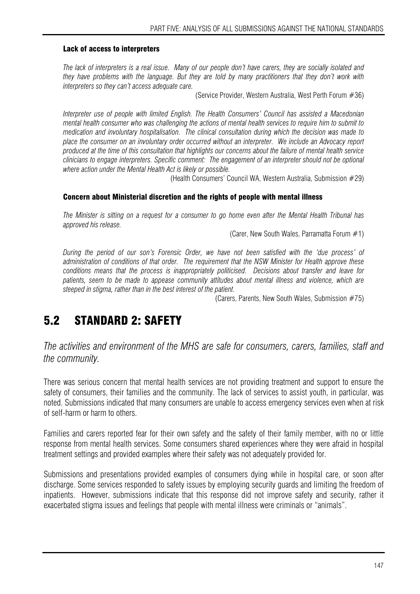#### Lack of access to interpreters

*The lack of interpreters is a real issue. Many of our people don't have carers, they are socially isolated and they have problems with the language. But they are told by many practitioners that they don't work with interpreters so they can't access adequate care.* 

(Service Provider, Western Australia, West Perth Forum #36)

*Interpreter use of people with limited English. The Health Consumers' Council has assisted a Macedonian mental health consumer who was challenging the actions of mental health services to require him to submit to medication and involuntary hospitalisation. The clinical consultation during which the decision was made to place the consumer on an involuntary order occurred without an interpreter. We include an Advocacy report produced at the time of this consultation that highlights our concerns about the failure of mental health service clinicians to engage interpreters. Specific comment: The engagement of an interpreter should not be optional where action under the Mental Health Act is likely or possible.* 

(Health Consumers' Council WA, Western Australia, Submission #29)

#### Concern about Ministerial discretion and the rights of people with mental illness

*The Minister is sitting on a request for a consumer to go home even after the Mental Health Tribunal has approved his release.* 

(Carer, New South Wales, Parramatta Forum  $#1$ )

*During the period of our son's Forensic Order, we have not been satisfied with the 'due process' of administration of conditions of that order. The requirement that the NSW Minister for Health approve these conditions means that the process is inappropriately politicised. Decisions about transfer and leave for patients, seem to be made to appease community attitudes about mental illness and violence, which are steeped in stigma, rather than in the best interest of the patient.* 

(Carers, Parents, New South Wales, Submission #75)

# 5.2 STANDARD 2: SAFETY

*The activities and environment of the MHS are safe for consumers, carers, families, staff and the community.* 

There was serious concern that mental health services are not providing treatment and support to ensure the safety of consumers, their families and the community. The lack of services to assist youth, in particular, was noted. Submissions indicated that many consumers are unable to access emergency services even when at risk of self-harm or harm to others.

Families and carers reported fear for their own safety and the safety of their family member, with no or little response from mental health services. Some consumers shared experiences where they were afraid in hospital treatment settings and provided examples where their safety was not adequately provided for.

Submissions and presentations provided examples of consumers dying while in hospital care, or soon after discharge. Some services responded to safety issues by employing security guards and limiting the freedom of inpatients. However, submissions indicate that this response did not improve safety and security, rather it exacerbated stigma issues and feelings that people with mental illness were criminals or "animals".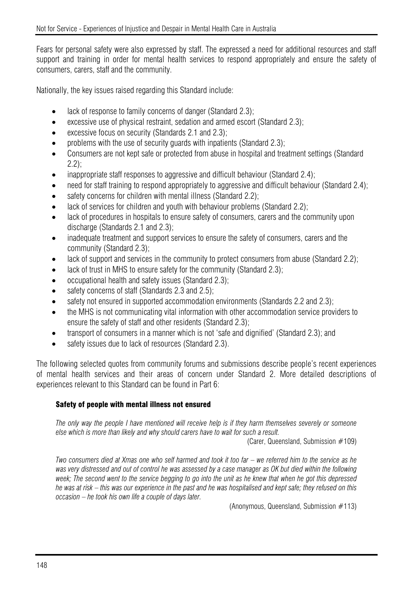Fears for personal safety were also expressed by staff. The expressed a need for additional resources and staff support and training in order for mental health services to respond appropriately and ensure the safety of consumers, carers, staff and the community.

Nationally, the key issues raised regarding this Standard include:

- lack of response to family concerns of danger (Standard 2.3);
- excessive use of physical restraint, sedation and armed escort (Standard 2.3);
- excessive focus on security (Standards 2.1 and 2.3);
- problems with the use of security guards with inpatients (Standard 2.3);
- Consumers are not kept safe or protected from abuse in hospital and treatment settings (Standard 2.2);
- inappropriate staff responses to aggressive and difficult behaviour (Standard 2.4);
- need for staff training to respond appropriately to aggressive and difficult behaviour (Standard 2.4);
- safety concerns for children with mental illness (Standard 2.2);
- lack of services for children and youth with behaviour problems (Standard 2.2);
- lack of procedures in hospitals to ensure safety of consumers, carers and the community upon discharge (Standards 2.1 and 2.3);
- inadequate treatment and support services to ensure the safety of consumers, carers and the community (Standard 2.3);
- lack of support and services in the community to protect consumers from abuse (Standard 2.2);
- lack of trust in MHS to ensure safety for the community (Standard 2.3):
- occupational health and safety issues (Standard 2.3);
- safety concerns of staff (Standards 2.3 and 2.5):
- safety not ensured in supported accommodation environments (Standards 2.2 and 2.3);
- the MHS is not communicating vital information with other accommodation service providers to ensure the safety of staff and other residents (Standard 2.3);
- transport of consumers in a manner which is not 'safe and dignified' (Standard 2.3); and
- safety issues due to lack of resources (Standard 2.3).

The following selected quotes from community forums and submissions describe people's recent experiences of mental health services and their areas of concern under Standard 2. More detailed descriptions of experiences relevant to this Standard can be found in Part 6:

### Safety of people with mental illness not ensured

*The only way the people I have mentioned will receive help is if they harm themselves severely or someone else which is more than likely and why should carers have to wait for such a result.* 

(Carer, Queensland, Submission #109)

*Two consumers died at Xmas one who self harmed and took it too far – we referred him to the service as he was very distressed and out of control he was assessed by a case manager as OK but died within the following week; The second went to the service begging to go into the unit as he knew that when he got this depressed he was at risk – this was our experience in the past and he was hospitalised and kept safe; they refused on this occasion – he took his own life a couple of days later.* 

(Anonymous, Queensland, Submission #113)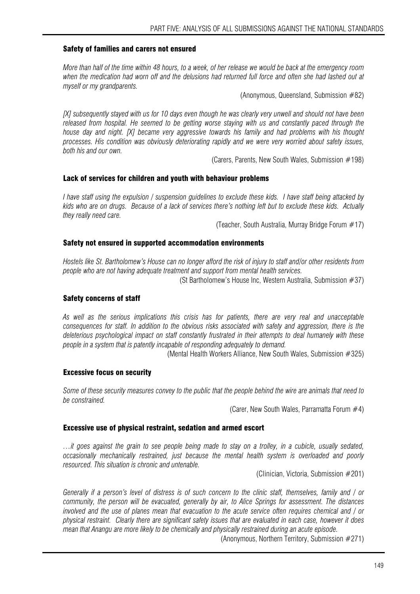#### Safety of families and carers not ensured

*More than half of the time within 48 hours, to a week, of her release we would be back at the emergency room*  when the medication had worn off and the delusions had returned full force and often she had lashed out at *myself or my grandparents.* 

(Anonymous, Queensland, Submission #82)

*[X] subsequently stayed with us for 10 days even though he was clearly very unwell and should not have been*  released from hospital. He seemed to be getting worse staying with us and constantly paced through the *house day and night. [X] became very aggressive towards his family and had problems with his thought processes. His condition was obviously deteriorating rapidly and we were very worried about safety issues, both his and our own.* 

(Carers, Parents, New South Wales, Submission #198)

#### Lack of services for children and youth with behaviour problems

*I have staff using the expulsion / suspension guidelines to exclude these kids. I have staff being attacked by kids who are on drugs. Because of a lack of services there's nothing left but to exclude these kids. Actually they really need care.* 

(Teacher, South Australia, Murray Bridge Forum #17)

#### Safety not ensured in supported accommodation environments

*Hostels like St. Bartholomew's House can no longer afford the risk of injury to staff and/or other residents from people who are not having adequate treatment and support from mental health services.* 

(St Bartholomew's House Inc, Western Australia, Submission #37)

#### Safety concerns of staff

*As well as the serious implications this crisis has for patients, there are very real and unacceptable consequences for staff. In addition to the obvious risks associated with safety and aggression, there is the deleterious psychological impact on staff constantly frustrated in their attempts to deal humanely with these people in a system that is patently incapable of responding adequately to demand.* 

(Mental Health Workers Alliance, New South Wales, Submission #325)

#### Excessive focus on security

*Some of these security measures convey to the public that the people behind the wire are animals that need to be constrained.* 

(Carer, New South Wales, Parramatta Forum  $#4$ )

#### Excessive use of physical restraint, sedation and armed escort

*…it goes against the grain to see people being made to stay on a trolley, in a cubicle, usually sedated, occasionally mechanically restrained, just because the mental health system is overloaded and poorly resourced. This situation is chronic and untenable.* 

(Clinician, Victoria, Submission #201)

*Generally if a person's level of distress is of such concern to the clinic staff, themselves, family and / or community, the person will be evacuated, generally by air, to Alice Springs for assessment. The distances involved and the use of planes mean that evacuation to the acute service often requires chemical and / or physical restraint. Clearly there are significant safety issues that are evaluated in each case, however it does mean that Anangu are more likely to be chemically and physically restrained during an acute episode.* 

(Anonymous, Northern Territory, Submission #271)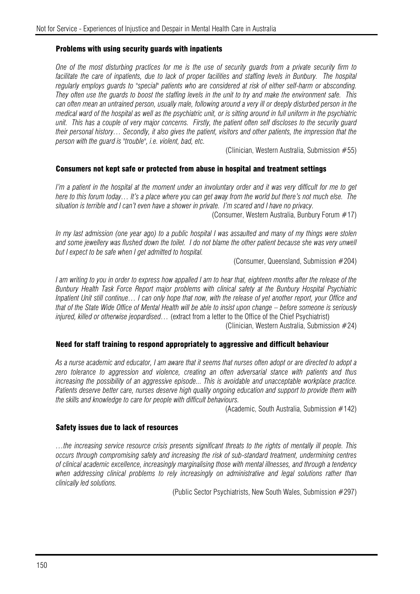#### Problems with using security guards with inpatients

*One of the most disturbing practices for me is the use of security guards from a private security firm to*  facilitate the care of inpatients, due to lack of proper facilities and staffing levels in Bunbury. The hospital *regularly employs guards to "special" patients who are considered at risk of either self-harm or absconding. They often use the guards to boost the staffing levels in the unit to try and make the environment safe. This*  can often mean an untrained person, usually male, following around a very ill or deeply disturbed person in the *medical ward of the hospital as well as the psychiatric unit, or is sitting around in full uniform in the psychiatric unit. This has a couple of very major concerns. Firstly, the patient often self discloses to the security guard their personal history… Secondly, it also gives the patient, visitors and other patients, the impression that the person with the guard is "trouble", i.e. violent, bad, etc.* 

(Clinician, Western Australia, Submission  $#55$ )

#### Consumers not kept safe or protected from abuse in hospital and treatment settings

*I'm a patient in the hospital at the moment under an involuntary order and it was very difficult for me to get here to this forum today… It's a place where you can get away from the world but there's not much else. The situation is terrible and I can't even have a shower in private. I'm scared and I have no privacy.* 

(Consumer, Western Australia, Bunbury Forum #17)

*In my last admission (one year ago) to a public hospital I was assaulted and many of my things were stolen*  and some jewellery was flushed down the toilet. I do not blame the other patient because she was very unwell *but I expect to be safe when I get admitted to hospital.* 

(Consumer, Queensland, Submission #204)

*I am writing to you in order to express how appalled I am to hear that, eighteen months after the release of the Bunbury Health Task Force Report major problems with clinical safety at the Bunbury Hospital Psychiatric Inpatient Unit still continue… I can only hope that now, with the release of yet another report, your Office and that of the State Wide Office of Mental Health will be able to insist upon change – before someone is seriously injured, killed or otherwise jeopardised…* (extract from a letter to the Office of the Chief Psychiatrist) (Clinician, Western Australia, Submission #24)

#### Need for staff training to respond appropriately to aggressive and difficult behaviour

*As a nurse academic and educator, I am aware that it seems that nurses often adopt or are directed to adopt a zero tolerance to aggression and violence, creating an often adversarial stance with patients and thus increasing the possibility of an aggressive episode... This is avoidable and unacceptable workplace practice. Patients deserve better care, nurses deserve high quality ongoing education and support to provide them with the skills and knowledge to care for people with difficult behaviours.* 

(Academic, South Australia, Submission #142)

#### Safety issues due to lack of resources

*…the increasing service resource crisis presents significant threats to the rights of mentally ill people. This occurs through compromising safety and increasing the risk of sub-standard treatment, undermining centres of clinical academic excellence, increasingly marginalising those with mental illnesses, and through a tendency when addressing clinical problems to rely increasingly on administrative and legal solutions rather than clinically led solutions.* 

(Public Sector Psychiatrists, New South Wales, Submission #297)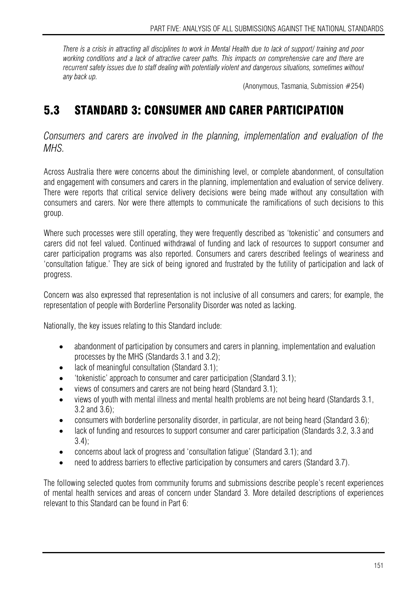*There is a crisis in attracting all disciplines to work in Mental Health due to lack of support/ training and poor working conditions and a lack of attractive career paths. This impacts on comprehensive care and there are recurrent safety issues due to staff dealing with potentially violent and dangerous situations, sometimes without any back up.* 

(Anonymous, Tasmania, Submission #254)

# 5.3 STANDARD 3: CONSUMER AND CARER PARTICIPATION

*Consumers and carers are involved in the planning, implementation and evaluation of the MHS.* 

Across Australia there were concerns about the diminishing level, or complete abandonment, of consultation and engagement with consumers and carers in the planning, implementation and evaluation of service delivery. There were reports that critical service delivery decisions were being made without any consultation with consumers and carers. Nor were there attempts to communicate the ramifications of such decisions to this group.

Where such processes were still operating, they were frequently described as 'tokenistic' and consumers and carers did not feel valued. Continued withdrawal of funding and lack of resources to support consumer and carer participation programs was also reported. Consumers and carers described feelings of weariness and 'consultation fatigue.' They are sick of being ignored and frustrated by the futility of participation and lack of progress.

Concern was also expressed that representation is not inclusive of all consumers and carers; for example, the representation of people with Borderline Personality Disorder was noted as lacking.

Nationally, the key issues relating to this Standard include:

- abandonment of participation by consumers and carers in planning, implementation and evaluation processes by the MHS (Standards 3.1 and 3.2);
- lack of meaningful consultation (Standard 3.1);
- 'tokenistic' approach to consumer and carer participation (Standard 3.1);
- views of consumers and carers are not being heard (Standard 3.1);
- views of youth with mental illness and mental health problems are not being heard (Standards 3.1, 3.2 and 3.6);
- consumers with borderline personality disorder, in particular, are not being heard (Standard 3.6);
- lack of funding and resources to support consumer and carer participation (Standards 3.2, 3.3 and 3.4);
- concerns about lack of progress and 'consultation fatigue' (Standard 3.1); and
- need to address barriers to effective participation by consumers and carers (Standard 3.7).

The following selected quotes from community forums and submissions describe people's recent experiences of mental health services and areas of concern under Standard 3. More detailed descriptions of experiences relevant to this Standard can be found in Part 6: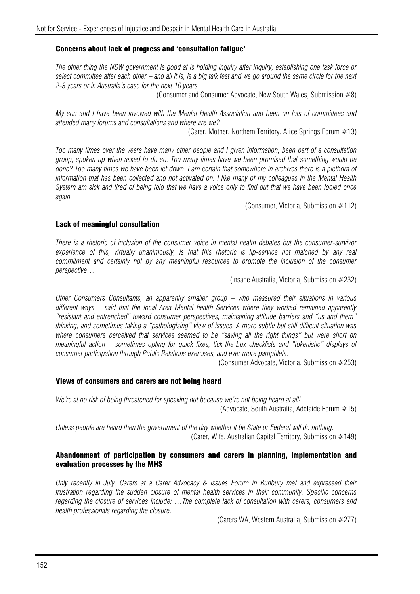#### Concerns about lack of progress and 'consultation fatigue'

*The other thing the NSW government is good at is holding inquiry after inquiry, establishing one task force or select committee after each other – and all it is, is a big talk fest and we go around the same circle for the next 2-3 years or in Australia's case for the next 10 years.* 

(Consumer and Consumer Advocate, New South Wales, Submission #8)

*My son and I have been involved with the Mental Health Association and been on lots of committees and attended many forums and consultations and where are we?* 

(Carer, Mother, Northern Territory, Alice Springs Forum #13)

*Too many times over the years have many other people and I given information, been part of a consultation group, spoken up when asked to do so. Too many times have we been promised that something would be done? Too many times we have been let down. I am certain that somewhere in archives there is a plethora of information that has been collected and not activated on. I like many of my colleagues in the Mental Health System am sick and tired of being told that we have a voice only to find out that we have been fooled once again.* 

(Consumer, Victoria, Submission #112)

#### Lack of meaningful consultation

*There is a rhetoric of inclusion of the consumer voice in mental health debates but the consumer-survivor*  experience of this, virtually unanimously, is that this rhetoric is lip-service not matched by any real commitment and certainly not by any meaningful resources to promote the inclusion of the consumer *perspective…* 

(Insane Australia, Victoria, Submission #232)

*Other Consumers Consultants, an apparently smaller group – who measured their situations in various different ways – said that the local Area Mental health Services where they worked remained apparently "resistant and entrenched" toward consumer perspectives, maintaining attitude barriers and "us and them" thinking, and sometimes taking a "pathologising" view of issues. A more subtle but still difficult situation was where consumers perceived that services seemed to be "saying all the right things" but were short on meaningful action – sometimes opting for quick fixes, tick-the-box checklists and "tokenistic" displays of consumer participation through Public Relations exercises, and ever more pamphlets.* 

(Consumer Advocate, Victoria, Submission #253)

#### Views of consumers and carers are not being heard

*We're at no risk of being threatened for speaking out because we're not being heard at all!*  (Advocate, South Australia, Adelaide Forum #15)

*Unless people are heard then the government of the day whether it be State or Federal will do nothing.*  (Carer, Wife, Australian Capital Territory, Submission #149)

#### Abandonment of participation by consumers and carers in planning, implementation and evaluation processes by the MHS

*Only recently in July, Carers at a Carer Advocacy & Issues Forum in Bunbury met and expressed their frustration regarding the sudden closure of mental health services in their community. Specific concerns regarding the closure of services include: …The complete lack of consultation with carers, consumers and health professionals regarding the closure.* 

(Carers WA, Western Australia, Submission #277)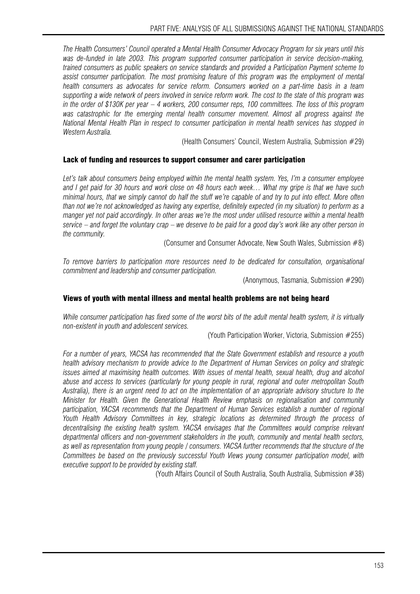*The Health Consumers' Council operated a Mental Health Consumer Advocacy Program for six years until this was de-funded in late 2003. This program supported consumer participation in service decision-making, trained consumers as public speakers on service standards and provided a Participation Payment scheme to assist consumer participation. The most promising feature of this program was the employment of mental health consumers as advocates for service reform. Consumers worked on a part-time basis in a team supporting a wide network of peers involved in service reform work. The cost to the state of this program was in the order of \$130K per year – 4 workers, 200 consumer reps, 100 committees. The loss of this program was catastrophic for the emerging mental health consumer movement. Almost all progress against the National Mental Health Plan in respect to consumer participation in mental health services has stopped in Western Australia.* 

(Health Consumers' Council, Western Australia, Submission #29)

#### Lack of funding and resources to support consumer and carer participation

Let's talk about consumers being employed within the mental health system. Yes, I'm a consumer employee *and I get paid for 30 hours and work close on 48 hours each week… What my gripe is that we have such minimal hours, that we simply cannot do half the stuff we're capable of and try to put into effect. More often than not we're not acknowledged as having any expertise, definitely expected (in my situation) to perform as a manger yet not paid accordingly. In other areas we're the most under utilised resource within a mental health service – and forget the voluntary crap – we deserve to be paid for a good day's work like any other person in the community.* 

(Consumer and Consumer Advocate, New South Wales, Submission #8)

*To remove barriers to participation more resources need to be dedicated for consultation, organisational commitment and leadership and consumer participation.* 

(Anonymous, Tasmania, Submission #290)

#### Views of youth with mental illness and mental health problems are not being heard

*While consumer participation has fixed some of the worst bits of the adult mental health system, it is virtually non-existent in youth and adolescent services.* 

(Youth Participation Worker, Victoria, Submission #255)

*For a number of years, YACSA has recommended that the State Government establish and resource a youth health advisory mechanism to provide advice to the Department of Human Services on policy and strategic issues aimed at maximising health outcomes. With issues of mental health, sexual health, drug and alcohol abuse and access to services (particularly for young people in rural, regional and outer metropolitan South Australia), there is an urgent need to act on the implementation of an appropriate advisory structure to the Minister for Health. Given the Generational Health Review emphasis on regionalisation and community participation, YACSA recommends that the Department of Human Services establish a number of regional Youth Health Advisory Committees in key, strategic locations as determined through the process of decentralising the existing health system. YACSA envisages that the Committees would comprise relevant departmental officers and non-government stakeholders in the youth, community and mental health sectors, as well as representation from young people / consumers. YACSA further recommends that the structure of the Committees be based on the previously successful Youth Views young consumer participation model, with executive support to be provided by existing staff.* 

(Youth Affairs Council of South Australia, South Australia, Submission #38)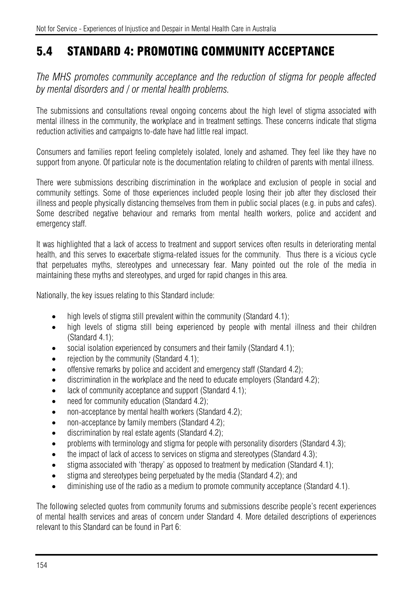# 5.4 STANDARD 4: PROMOTING COMMUNITY ACCEPTANCE

*The MHS promotes community acceptance and the reduction of stigma for people affected by mental disorders and / or mental health problems.* 

The submissions and consultations reveal ongoing concerns about the high level of stigma associated with mental illness in the community, the workplace and in treatment settings. These concerns indicate that stigma reduction activities and campaigns to-date have had little real impact.

Consumers and families report feeling completely isolated, lonely and ashamed. They feel like they have no support from anyone. Of particular note is the documentation relating to children of parents with mental illness.

There were submissions describing discrimination in the workplace and exclusion of people in social and community settings. Some of those experiences included people losing their job after they disclosed their illness and people physically distancing themselves from them in public social places (e.g. in pubs and cafes). Some described negative behaviour and remarks from mental health workers, police and accident and emergency staff.

It was highlighted that a lack of access to treatment and support services often results in deteriorating mental health, and this serves to exacerbate stigma-related issues for the community. Thus there is a vicious cycle that perpetuates myths, stereotypes and unnecessary fear. Many pointed out the role of the media in maintaining these myths and stereotypes, and urged for rapid changes in this area.

Nationally, the key issues relating to this Standard include:

- high levels of stigma still prevalent within the community (Standard 4.1);
- high levels of stigma still being experienced by people with mental illness and their children (Standard 4.1);
- social isolation experienced by consumers and their family (Standard 4.1);
- rejection by the community (Standard 4.1):
- offensive remarks by police and accident and emergency staff (Standard 4.2);
- discrimination in the workplace and the need to educate employers (Standard 4.2);
- lack of community acceptance and support (Standard 4.1);
- need for community education (Standard 4.2);
- non-acceptance by mental health workers (Standard 4.2);
- non-acceptance by family members (Standard 4.2);
- discrimination by real estate agents (Standard 4.2);
- problems with terminology and stigma for people with personality disorders (Standard 4.3);
- the impact of lack of access to services on stigma and stereotypes (Standard 4.3);
- stigma associated with 'therapy' as opposed to treatment by medication (Standard 4.1);
- stigma and stereotypes being perpetuated by the media (Standard 4.2); and
- diminishing use of the radio as a medium to promote community acceptance (Standard 4.1).

The following selected quotes from community forums and submissions describe people's recent experiences of mental health services and areas of concern under Standard 4. More detailed descriptions of experiences relevant to this Standard can be found in Part 6: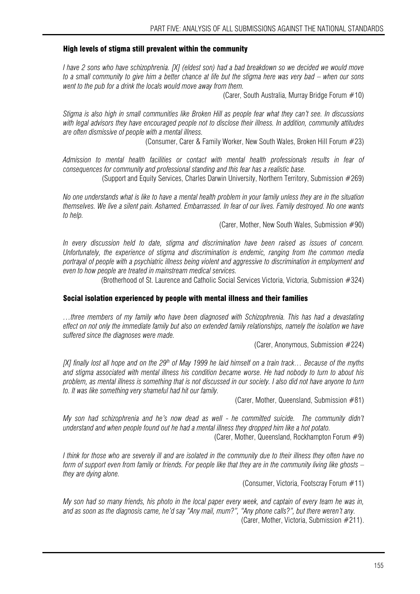#### High levels of stigma still prevalent within the community

*I have 2 sons who have schizophrenia. [X] (eldest son) had a bad breakdown so we decided we would move to a small community to give him a better chance at life but the stigma here was very bad – when our sons went to the pub for a drink the locals would move away from them.* 

(Carer, South Australia, Murray Bridge Forum #10)

*Stigma is also high in small communities like Broken Hill as people fear what they can't see. In discussions with legal advisors they have encouraged people not to disclose their illness. In addition, community attitudes are often dismissive of people with a mental illness.* 

(Consumer, Carer & Family Worker, New South Wales, Broken Hill Forum #23)

*Admission to mental health facilities or contact with mental health professionals results in fear of consequences for community and professional standing and this fear has a realistic base.* 

(Support and Equity Services, Charles Darwin University, Northern Territory, Submission #269)

*No one understands what is like to have a mental health problem in your family unless they are in the situation themselves. We live a silent pain. Ashamed. Embarrassed. In fear of our lives. Family destroyed. No one wants to help.* 

(Carer, Mother, New South Wales, Submission #90)

*In every discussion held to date, stigma and discrimination have been raised as issues of concern. Unfortunately, the experience of stigma and discrimination is endemic, ranging from the common media portrayal of people with a psychiatric illness being violent and aggressive to discrimination in employment and even to how people are treated in mainstream medical services.* 

(Brotherhood of St. Laurence and Catholic Social Services Victoria, Victoria, Submission #324)

#### Social isolation experienced by people with mental illness and their families

*…three members of my family who have been diagnosed with Schizophrenia. This has had a devastating effect on not only the immediate family but also on extended family relationships, namely the isolation we have suffered since the diagnoses were made.* 

(Carer, Anonymous, Submission #224)

*[X] finally lost all hope and on the 29th of May 1999 he laid himself on a train track… Because of the myths and stigma associated with mental illness his condition became worse. He had nobody to turn to about his problem, as mental illness is something that is not discussed in our society. I also did not have anyone to turn to. It was like something very shameful had hit our family.* 

(Carer, Mother, Queensland, Submission #81)

*My son had schizophrenia and he's now dead as well - he committed suicide. The community didn't understand and when people found out he had a mental illness they dropped him like a hot potato.* 

(Carer, Mother, Queensland, Rockhampton Forum #9)

*I think for those who are severely ill and are isolated in the community due to their illness they often have no form of support even from family or friends. For people like that they are in the community living like ghosts – they are dying alone.* 

(Consumer, Victoria, Footscray Forum #11)

*My son had so many friends, his photo in the local paper every week, and captain of every team he was in, and as soon as the diagnosis came, he'd say "Any mail, mum?", "Any phone calls?", but there weren't any.*  (Carer, Mother, Victoria, Submission #211).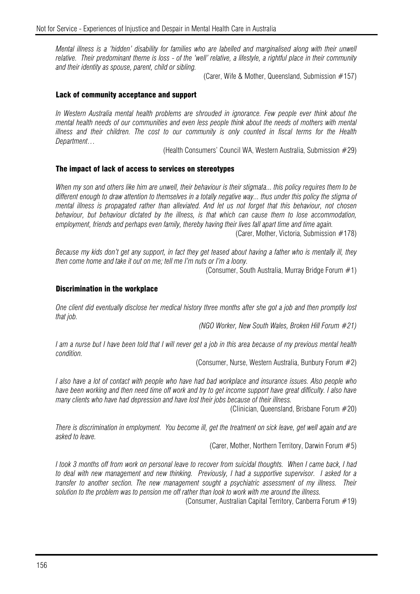*Mental illness is a 'hidden' disability for families who are labelled and marginalised along with their unwell relative. Their predominant theme is loss - of the 'well' relative, a lifestyle, a rightful place in their community and their identity as spouse, parent, child or sibling.* 

(Carer, Wife & Mother, Queensland, Submission #157)

#### Lack of community acceptance and support

*In Western Australia mental health problems are shrouded in ignorance. Few people ever think about the mental health needs of our communities and even less people think about the needs of mothers with mental illness and their children. The cost to our community is only counted in fiscal terms for the Health Department…* 

(Health Consumers' Council WA, Western Australia, Submission #29)

#### The impact of lack of access to services on stereotypes

*When my son and others like him are unwell, their behaviour is their stigmata... this policy requires them to be*  different enough to draw attention to themselves in a totally negative way... thus under this policy the stigma of *mental illness is propagated rather than alleviated. And let us not forget that this behaviour, not chosen behaviour, but behaviour dictated by the illness, is that which can cause them to lose accommodation, employment, friends and perhaps even family, thereby having their lives fall apart time and time again.* 

(Carer, Mother, Victoria, Submission #178)

*Because my kids don't get any support, in fact they get teased about having a father who is mentally ill, they then come home and take it out on me; tell me I'm nuts or I'm a loony.* 

(Consumer, South Australia, Murray Bridge Forum #1)

#### Discrimination in the workplace

*One client did eventually disclose her medical history three months after she got a job and then promptly lost that job.* 

*(NGO Worker, New South Wales, Broken Hill Forum #21)*

*I am a nurse but I have been told that I will never get a job in this area because of my previous mental health condition.* 

(Consumer, Nurse, Western Australia, Bunbury Forum #2)

*I also have a lot of contact with people who have had bad workplace and insurance issues. Also people who have been working and then need time off work and try to get income support have great difficulty. I also have many clients who have had depression and have lost their jobs because of their illness.* 

(Clinician, Queensland, Brisbane Forum #20)

*There is discrimination in employment. You become ill, get the treatment on sick leave, get well again and are asked to leave.* 

(Carer, Mother, Northern Territory, Darwin Forum #5)

*I took 3 months off from work on personal leave to recover from suicidal thoughts. When I came back, I had to deal with new management and new thinking. Previously, I had a supportive supervisor. I asked for a transfer to another section. The new management sought a psychiatric assessment of my illness. Their solution to the problem was to pension me off rather than look to work with me around the illness.* 

(Consumer, Australian Capital Territory, Canberra Forum #19)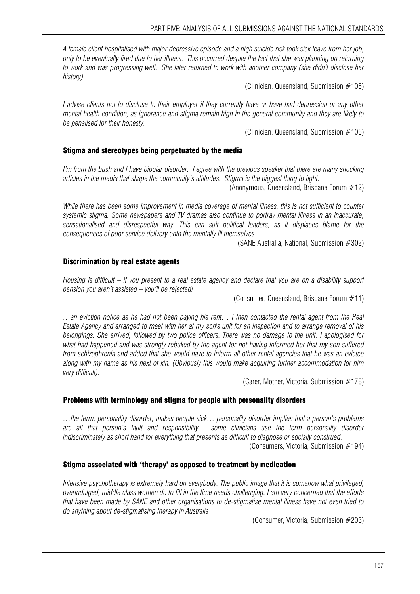*A female client hospitalised with major depressive episode and a high suicide risk took sick leave from her job, only to be eventually fired due to her illness. This occurred despite the fact that she was planning on returning to work and was progressing well. She later returned to work with another company (she didn't disclose her history).* 

(Clinician, Queensland, Submission #105)

*I advise clients not to disclose to their employer if they currently have or have had depression or any other mental health condition, as ignorance and stigma remain high in the general community and they are likely to be penalised for their honesty.* 

(Clinician, Queensland, Submission #105)

#### Stigma and stereotypes being perpetuated by the media

*I'm from the bush and I have bipolar disorder. I agree with the previous speaker that there are many shocking articles in the media that shape the community's attitudes. Stigma is the biggest thing to fight.* 

(Anonymous, Queensland, Brisbane Forum #12)

*While there has been some improvement in media coverage of mental illness, this is not sufficient to counter systemic stigma. Some newspapers and TV dramas also continue to portray mental illness in an inaccurate, sensationalised and disrespectful way. This can suit political leaders, as it displaces blame for the consequences of poor service delivery onto the mentally ill themselves.* 

(SANE Australia, National, Submission #302)

#### Discrimination by real estate agents

*Housing is difficult – if you present to a real estate agency and declare that you are on a disability support pension you aren't assisted – you'll be rejected!* 

(Consumer, Queensland, Brisbane Forum #11)

*…an eviction notice as he had not been paying his rent… I then contacted the rental agent from the Real Estate Agency and arranged to meet with her at my son's unit for an inspection and to arrange removal of his belongings. She arrived, followed by two police officers. There was no damage to the unit. I apologised for what had happened and was strongly rebuked by the agent for not having informed her that my son suffered from schizophrenia and added that she would have to inform all other rental agencies that he was an evictee along with my name as his next of kin. (Obviously this would make acquiring further accommodation for him very difficult).* 

(Carer, Mother, Victoria, Submission #178)

#### Problems with terminology and stigma for people with personality disorders

*…the term, personality disorder, makes people sick… personality disorder implies that a person's problems are all that person's fault and responsibility… some clinicians use the term personality disorder indiscriminately as short hand for everything that presents as difficult to diagnose or socially construed.*  (Consumers, Victoria, Submission #194)

#### Stigma associated with 'therapy' as opposed to treatment by medication

*Intensive psychotherapy is extremely hard on everybody. The public image that it is somehow what privileged, overindulged, middle class women do to fill in the time needs challenging. I am very concerned that the efforts that have been made by SANE and other organisations to de-stigmatise mental illness have not even tried to do anything about de-stigmatising therapy in Australia* 

(Consumer, Victoria, Submission #203)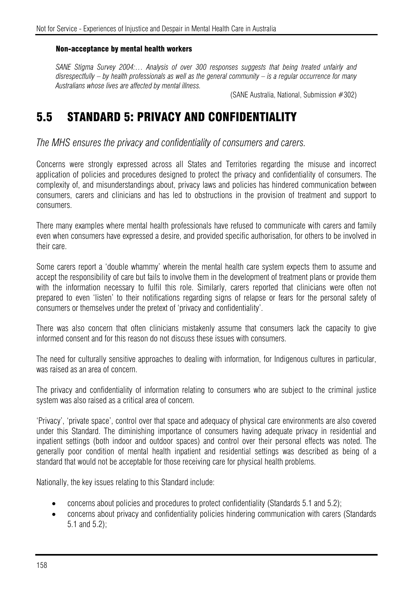#### Non-acceptance by mental health workers

SANE Stigma Survey 2004:... Analysis of over 300 responses suggests that being treated unfairly and *disrespectfully – by health professionals as well as the general community – is a regular occurrence for many Australians whose lives are affected by mental illness.* 

(SANE Australia, National, Submission #302)

# 5.5 STANDARD 5: PRIVACY AND CONFIDENTIALITY

*The MHS ensures the privacy and confidentiality of consumers and carers.* 

Concerns were strongly expressed across all States and Territories regarding the misuse and incorrect application of policies and procedures designed to protect the privacy and confidentiality of consumers. The complexity of, and misunderstandings about, privacy laws and policies has hindered communication between consumers, carers and clinicians and has led to obstructions in the provision of treatment and support to consumers.

There many examples where mental health professionals have refused to communicate with carers and family even when consumers have expressed a desire, and provided specific authorisation, for others to be involved in their care.

Some carers report a 'double whammy' wherein the mental health care system expects them to assume and accept the responsibility of care but fails to involve them in the development of treatment plans or provide them with the information necessary to fulfil this role. Similarly, carers reported that clinicians were often not prepared to even 'listen' to their notifications regarding signs of relapse or fears for the personal safety of consumers or themselves under the pretext of 'privacy and confidentiality'.

There was also concern that often clinicians mistakenly assume that consumers lack the capacity to give informed consent and for this reason do not discuss these issues with consumers.

The need for culturally sensitive approaches to dealing with information, for Indigenous cultures in particular, was raised as an area of concern.

The privacy and confidentiality of information relating to consumers who are subject to the criminal justice system was also raised as a critical area of concern.

'Privacy', 'private space', control over that space and adequacy of physical care environments are also covered under this Standard. The diminishing importance of consumers having adequate privacy in residential and inpatient settings (both indoor and outdoor spaces) and control over their personal effects was noted. The generally poor condition of mental health inpatient and residential settings was described as being of a standard that would not be acceptable for those receiving care for physical health problems.

Nationally, the key issues relating to this Standard include:

- concerns about policies and procedures to protect confidentiality (Standards 5.1 and 5.2);
- concerns about privacy and confidentiality policies hindering communication with carers (Standards 5.1 and 5.2);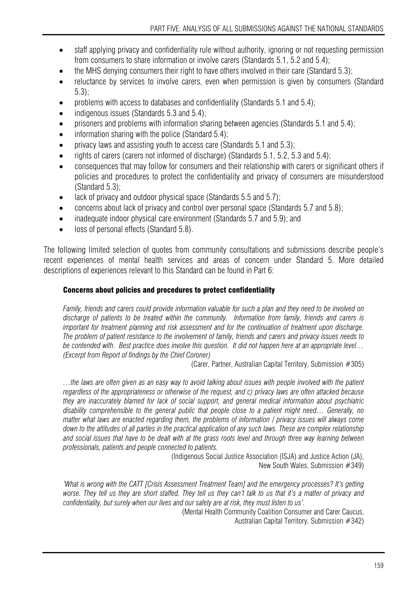- staff applying privacy and confidentiality rule without authority, ignoring or not requesting permission from consumers to share information or involve carers (Standards 5.1, 5.2 and 5.4);
- the MHS denying consumers their right to have others involved in their care (Standard 5.3):
- reluctance by services to involve carers, even when permission is given by consumers (Standard 5.3);
- problems with access to databases and confidentiality (Standards 5.1 and 5.4);
- indigenous issues (Standards 5.3 and 5.4):
- prisoners and problems with information sharing between agencies (Standards 5.1 and 5.4);
- information sharing with the police (Standard  $5.4$ );
- privacy laws and assisting youth to access care (Standards 5.1 and 5.3);
- rights of carers (carers not informed of discharge) (Standards 5.1, 5.2, 5.3 and 5.4);
- consequences that may follow for consumers and their relationship with carers or significant others if policies and procedures to protect the confidentiality and privacy of consumers are misunderstood (Standard 5.3);
- lack of privacy and outdoor physical space (Standards 5.5 and 5.7);
- concerns about lack of privacy and control over personal space (Standards 5.7 and 5.8);
- inadequate indoor physical care environment (Standards 5.7 and 5.9); and
- loss of personal effects (Standard 5.8).

The following limited selection of quotes from community consultations and submissions describe people's recent experiences of mental health services and areas of concern under Standard 5. More detailed descriptions of experiences relevant to this Standard can be found in Part 6:

### Concerns about policies and procedures to protect confidentiality

*Family, friends and carers could provide information valuable for such a plan and they need to be involved on discharge of patients to be treated within the community. Information from family, friends and carers is important for treatment planning and risk assessment and for the continuation of treatment upon discharge. The problem of patient resistance to the involvement of family, friends and carers and privacy issues needs to be contended with. Best practice does involve this question. It did not happen here at an appropriate level… (Excerpt from Report of findings by the Chief Coroner)*

(Carer, Partner, Australian Capital Territory, Submission #305)

*…the laws are often given as an easy way to avoid talking about issues with people involved with the patient regardless of the appropriateness or otherwise of the request, and c) privacy laws are often attacked because they are inaccurately blamed for lack of social support, and general medical information about psychiatric disability comprehensible to the general public that people close to a patient might need… Generally, no matter what laws are enacted regarding them, the problems of information / privacy issues will always come*  down to the attitudes of all parties in the practical application of any such laws. These are complex relationship *and social issues that have to be dealt with at the grass roots level and through three way learning between professionals, patients and people connected to patients.* 

(Indigenous Social Justice Association (ISJA) and Justice Action (JA), New South Wales, Submission #349)

*'What is wrong with the CATT [Crisis Assessment Treatment Team] and the emergency processes? It's getting*  worse. They tell us they are short staffed. They tell us they can't talk to us that it's a matter of privacy and *confidentiality, but surely when our lives and our safety are at risk, they must listen to us'.* 

(Mental Health Community Coalition Consumer and Carer Caucus, Australian Capital Territory, Submission #342)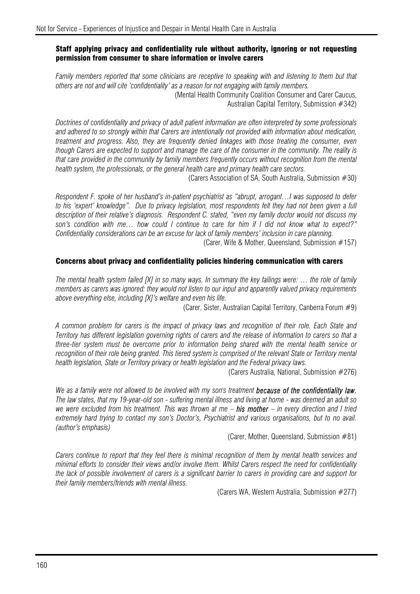#### Staff applying privacy and confidentiality rule without authority, ignoring or not requesting permission from consumer to share information or involve carers

*Family members reported that some clinicians are receptive to speaking with and listening to them but that others are not and will cite 'confidentiality' as a reason for not engaging with family members.* 

(Mental Health Community Coalition Consumer and Carer Caucus, Australian Capital Territory, Submission #342)

*Doctrines of confidentiality and privacy of adult patient information are often interpreted by some professionals and adhered to so strongly within that Carers are intentionally not provided with information about medication, treatment and progress. Also, they are frequently denied linkages with those treating the consumer, even though Carers are expected to support and manage the care of the consumer in the community. The reality is that care provided in the community by family members frequently occurs without recognition from the mental health system, the professionals, or the general health care and primary health care sectors.* 

(Carers Association of SA, South Australia, Submission #30)

*Respondent F. spoke of her husband's in-patient psychiatrist as "abrupt, arrogant…I was supposed to defer*  to his 'expert' knowledge". Due to privacy legislation, most respondents felt they had not been given a full *description of their relative's diagnosis. Respondent C. stated, "even my family doctor would not discuss my son's condition with me… how could I continue to care for him if I did not know what to expect?" Confidentiality considerations can be an excuse for lack of family members' inclusion in care planning.* 

(Carer, Wife & Mother, Queensland, Submission #157)

#### Concerns about privacy and confidentiality policies hindering communication with carers

*The mental health system failed [X] in so many ways. In summary the key failings were: … the role of family members as carers was ignored: they would not listen to our input and apparently valued privacy requirements above everything else, including [X]'s welfare and even his life.* 

(Carer, Sister, Australian Capital Territory, Canberra Forum #9)

*A common problem for carers is the impact of privacy laws and recognition of their role. Each State and Territory has different legislation governing rights of carers and the release of information to carers so that a three-tier system must be overcome prior to information being shared with the mental health service or recognition of their role being granted. This tiered system is comprised of the relevant State or Territory mental health legislation, State or Territory privacy or health legislation and the Federal privacy laws.* 

(Carers Australia, National, Submission #276)

*We as a family were not allowed to be involved with my son's treatment because of the confidentiality law. The law states, that my 19-year-old son - suffering mental illness and living at home - was deemed an adult so we were excluded from his treatment. This was thrown at me – his mother – in every direction and I tried extremely hard trying to contact my son's Doctor's, Psychiatrist and various organisations, but to no avail. (author's emphasis)* 

(Carer, Mother, Queensland, Submission #81)

*Carers continue to report that they feel there is minimal recognition of them by mental health services and minimal efforts to consider their views and/or involve them. Whilst Carers respect the need for confidentiality the lack of possible involvement of carers is a significant barrier to carers in providing care and support for their family members/friends with mental illness.* 

(Carers WA, Western Australia, Submission #277)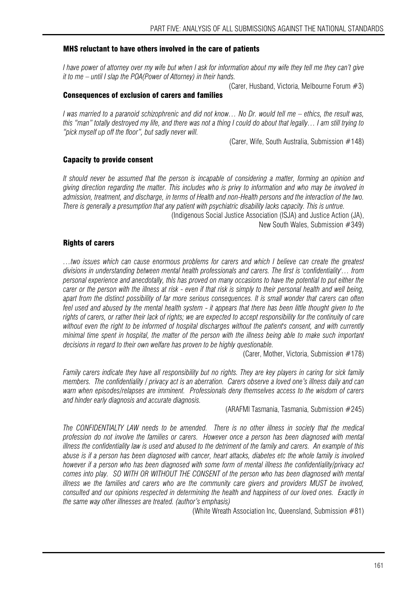#### MHS reluctant to have others involved in the care of patients

I have power of attorney over my wife but when I ask for information about my wife they tell me they can't give *it to me – until I slap the POA(Power of Attorney) in their hands.* 

(Carer, Husband, Victoria, Melbourne Forum #3) Consequences of exclusion of carers and families

*I was married to a paranoid schizophrenic and did not know… No Dr. would tell me – ethics, the result was, this "man" totally destroyed my life, and there was not a thing I could do about that legally… I am still trying to "pick myself up off the floor", but sadly never will.* 

(Carer, Wife, South Australia, Submission #148)

#### Capacity to provide consent

*It should never be assumed that the person is incapable of considering a matter, forming an opinion and giving direction regarding the matter. This includes who is privy to information and who may be involved in admission, treatment, and discharge, in terms of Health and non-Health persons and the interaction of the two. There is generally a presumption that any patient with psychiatric disability lacks capacity. This is untrue.* 

(Indigenous Social Justice Association (ISJA) and Justice Action (JA),

New South Wales, Submission #349)

#### Rights of carers

*…two issues which can cause enormous problems for carers and which I believe can create the greatest divisions in understanding between mental health professionals and carers. The first is 'confidentiality'… from personal experience and anecdotally, this has proved on many occasions to have the potential to put either the carer or the person with the illness at risk - even if that risk is simply to their personal health and well being, apart from the distinct possibility of far more serious consequences. It is small wonder that carers can often*  feel used and abused by the mental health system - it appears that there has been little thought given to the *rights of carers, or rather their lack of rights; we are expected to accept responsibility for the continuity of care without even the right to be informed of hospital discharges without the patient's consent, and with currently minimal time spent in hospital, the matter of the person with the illness being able to make such important decisions in regard to their own welfare has proven to be highly questionable.* 

(Carer, Mother, Victoria, Submission #178)

*Family carers indicate they have all responsibility but no rights. They are key players in caring for sick family members. The confidentiality / privacy act is an aberration. Carers observe a loved one's illness daily and can warn when episodes/relapses are imminent. Professionals deny themselves access to the wisdom of carers and hinder early diagnosis and accurate diagnosis.* 

(ARAFMI Tasmania, Tasmania, Submission #245)

*The CONFIDENTIALTY LAW needs to be amended. There is no other illness in society that the medical profession do not involve the families or carers. However once a person has been diagnosed with mental illness the confidentiality law is used and abused to the detriment of the family and carers. An example of this abuse is if a person has been diagnosed with cancer, heart attacks, diabetes etc the whole family is involved however if a person who has been diagnosed with some form of mental illness the confidentiality/privacy act comes into play. SO WITH OR WITHOUT THE CONSENT of the person who has been diagnosed with mental illness we the families and carers who are the community care givers and providers MUST be involved, consulted and our opinions respected in determining the health and happiness of our loved ones. Exactly in the same way other illnesses are treated. (author's emphasis)* 

(White Wreath Association Inc, Queensland, Submission #81)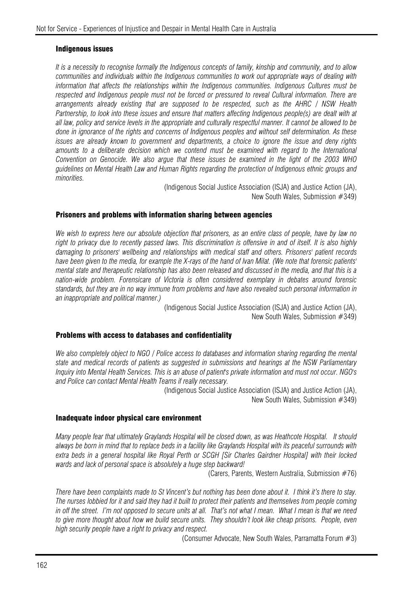#### Indigenous issues

*It is a necessity to recognise formally the Indigenous concepts of family, kinship and community, and to allow communities and individuals within the Indigenous communities to work out appropriate ways of dealing with information that affects the relationships within the Indigenous communities. Indigenous Cultures must be respected and Indigenous people must not be forced or pressured to reveal Cultural information. There are arrangements already existing that are supposed to be respected, such as the AHRC / NSW Health Partnership, to look into these issues and ensure that matters affecting Indigenous people(s) are dealt with at all law, policy and service levels in the appropriate and culturally respectful manner. It cannot be allowed to be done in ignorance of the rights and concerns of Indigenous peoples and without self determination. As these issues are already known to government and departments, a choice to ignore the issue and deny rights*  amounts to a deliberate decision which we contend must be examined with regard to the International *Convention on Genocide. We also argue that these issues be examined in the light of the 2003 WHO guidelines on Mental Health Law and Human Rights regarding the protection of Indigenous ethnic groups and minorities.* 

(Indigenous Social Justice Association (ISJA) and Justice Action (JA), New South Wales, Submission #349)

#### Prisoners and problems with information sharing between agencies

*We wish to express here our absolute objection that prisoners, as an entire class of people, have by law no*  right to privacy due to recently passed laws. This discrimination is offensive in and of itself. It is also highly *damaging to prisoners' wellbeing and relationships with medical staff and others. Prisoners' patient records have been given to the media, for example the X-rays of the hand of Ivan Milat. (We note that forensic patients' mental state and therapeutic relationship has also been released and discussed in the media, and that this is a nation-wide problem. Forensicare of Victoria is often considered exemplary in debates around forensic standards, but they are in no way immune from problems and have also revealed such personal information in an inappropriate and political manner.)* 

(Indigenous Social Justice Association (ISJA) and Justice Action (JA), New South Wales, Submission #349)

#### Problems with access to databases and confidentiality

*We also completely object to NGO / Police access to databases and information sharing regarding the mental state and medical records of patients as suggested in submissions and hearings at the NSW Parliamentary Inquiry into Mental Health Services. This is an abuse of patient's private information and must not occur. NGO's and Police can contact Mental Health Teams if really necessary.* 

(Indigenous Social Justice Association (ISJA) and Justice Action (JA), New South Wales, Submission #349)

#### Inadequate indoor physical care environment

*Many people fear that ultimately Graylands Hospital will be closed down, as was Heathcote Hospital. It should always be born in mind that to replace beds in a facility like Graylands Hospital with its peaceful surrounds with extra beds in a general hospital like Royal Perth or SCGH [Sir Charles Gairdner Hospital] with their locked wards and lack of personal space is absolutely a huge step backward!* 

(Carers, Parents, Western Australia, Submission #76)

*There have been complaints made to St Vincent's but nothing has been done about it. I think it's there to stay. The nurses lobbied for it and said they had it built to protect their patients and themselves from people coming in off the street. I'm not opposed to secure units at all. That's not what I mean. What I mean is that we need to give more thought about how we build secure units. They shouldn't look like cheap prisons. People, even high security people have a right to privacy and respect.* 

(Consumer Advocate, New South Wales, Parramatta Forum #3)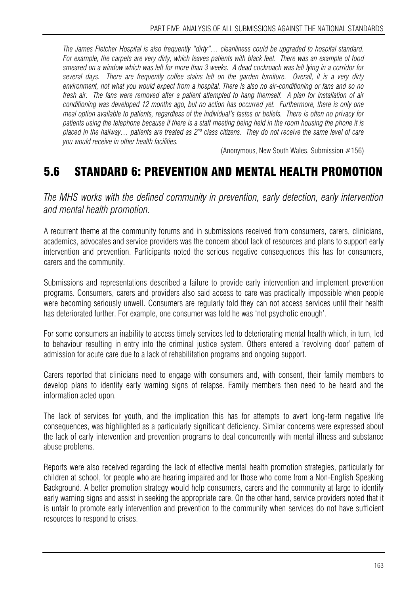*The James Fletcher Hospital is also frequently "dirty"… cleanliness could be upgraded to hospital standard. For example, the carpets are very dirty, which leaves patients with black feet. There was an example of food smeared on a window which was left for more than 3 weeks. A dead cockroach was left lying in a corridor for several days. There are frequently coffee stains left on the garden furniture. Overall, it is a very dirty environment, not what you would expect from a hospital. There is also no air-conditioning or fans and so no fresh air. The fans were removed after a patient attempted to hang themself. A plan for installation of air conditioning was developed 12 months ago, but no action has occurred yet. Furthermore, there is only one meal option available to patients, regardless of the individual's tastes or beliefs. There is often no privacy for patients using the telephone because if there is a staff meeting being held in the room housing the phone it is placed in the hallway… patients are treated as 2nd class citizens. They do not receive the same level of care you would receive in other health facilities.* 

(Anonymous, New South Wales, Submission #156)

# 5.6 STANDARD 6: PREVENTION AND MENTAL HEALTH PROMOTION

*The MHS works with the defined community in prevention, early detection, early intervention and mental health promotion.* 

A recurrent theme at the community forums and in submissions received from consumers, carers, clinicians, academics, advocates and service providers was the concern about lack of resources and plans to support early intervention and prevention. Participants noted the serious negative consequences this has for consumers, carers and the community.

Submissions and representations described a failure to provide early intervention and implement prevention programs. Consumers, carers and providers also said access to care was practically impossible when people were becoming seriously unwell. Consumers are regularly told they can not access services until their health has deteriorated further. For example, one consumer was told he was 'not psychotic enough'.

For some consumers an inability to access timely services led to deteriorating mental health which, in turn, led to behaviour resulting in entry into the criminal justice system. Others entered a 'revolving door' pattern of admission for acute care due to a lack of rehabilitation programs and ongoing support.

Carers reported that clinicians need to engage with consumers and, with consent, their family members to develop plans to identify early warning signs of relapse. Family members then need to be heard and the information acted upon.

The lack of services for youth, and the implication this has for attempts to avert long-term negative life consequences, was highlighted as a particularly significant deficiency. Similar concerns were expressed about the lack of early intervention and prevention programs to deal concurrently with mental illness and substance abuse problems.

Reports were also received regarding the lack of effective mental health promotion strategies, particularly for children at school, for people who are hearing impaired and for those who come from a Non-English Speaking Background. A better promotion strategy would help consumers, carers and the community at large to identify early warning signs and assist in seeking the appropriate care. On the other hand, service providers noted that it is unfair to promote early intervention and prevention to the community when services do not have sufficient resources to respond to crises.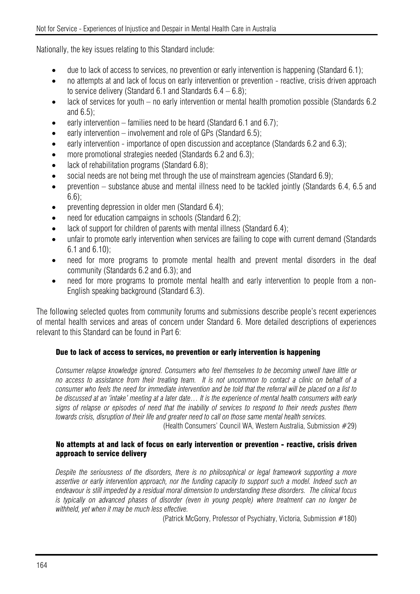Nationally, the key issues relating to this Standard include:

- due to lack of access to services, no prevention or early intervention is happening (Standard 6.1);
- no attempts at and lack of focus on early intervention or prevention reactive, crisis driven approach to service delivery (Standard 6.1 and Standards  $6.4 - 6.8$ );
- lack of services for youth no early intervention or mental health promotion possible (Standards 6.2 and 6.5);
- early intervention families need to be heard (Standard  $6.1$  and  $6.7$ );
- early intervention involvement and role of GPs (Standard  $6.5$ ):
- early intervention importance of open discussion and acceptance (Standards 6.2 and 6.3):
- more promotional strategies needed (Standards 6.2 and 6.3);
- lack of rehabilitation programs (Standard 6.8);
- social needs are not being met through the use of mainstream agencies (Standard 6.9);
- prevention substance abuse and mental illness need to be tackled jointly (Standards 6.4, 6.5 and 6.6);
- preventing depression in older men (Standard 6.4);
- need for education campaigns in schools (Standard 6.2):
- lack of support for children of parents with mental illness (Standard 6.4);
- unfair to promote early intervention when services are failing to cope with current demand (Standards 6.1 and 6.10);
- need for more programs to promote mental health and prevent mental disorders in the deaf community (Standards 6.2 and 6.3); and
- need for more programs to promote mental health and early intervention to people from a non-English speaking background (Standard 6.3).

The following selected quotes from community forums and submissions describe people's recent experiences of mental health services and areas of concern under Standard 6. More detailed descriptions of experiences relevant to this Standard can be found in Part 6:

### Due to lack of access to services, no prevention or early intervention is happening

*Consumer relapse knowledge ignored. Consumers who feel themselves to be becoming unwell have little or no access to assistance from their treating team. It is not uncommon to contact a clinic on behalf of a consumer who feels the need for immediate intervention and be told that the referral will be placed on a list to be discussed at an 'intake' meeting at a later date… It is the experience of mental health consumers with early signs of relapse or episodes of need that the inability of services to respond to their needs pushes them towards crisis, disruption of their life and greater need to call on those same mental health services.*  (Health Consumers' Council WA, Western Australia, Submission #29)

### No attempts at and lack of focus on early intervention or prevention - reactive, crisis driven approach to service delivery

*Despite the seriousness of the disorders, there is no philosophical or legal framework supporting a more assertive or early intervention approach, nor the funding capacity to support such a model. Indeed such an endeavour is still impeded by a residual moral dimension to understanding these disorders. The clinical focus is typically on advanced phases of disorder (even in young people) where treatment can no longer be withheld, yet when it may be much less effective.* 

(Patrick McGorry, Professor of Psychiatry, Victoria, Submission #180)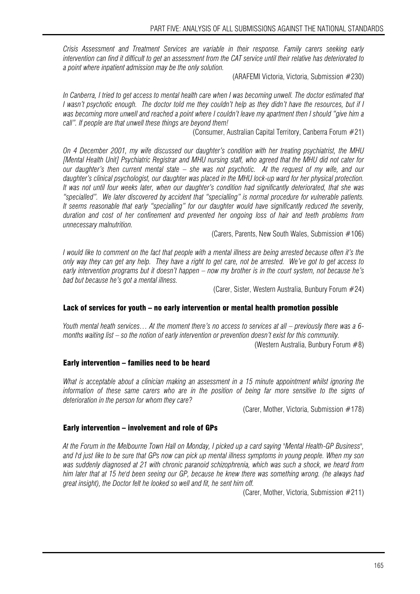*Crisis Assessment and Treatment Services are variable in their response. Family carers seeking early intervention can find it difficult to get an assessment from the CAT service until their relative has deteriorated to a point where inpatient admission may be the only solution.* 

(ARAFEMI Victoria, Victoria, Submission #230)

In Canberra, I tried to get access to mental health care when I was becoming unwell. The doctor estimated that *I wasn't psychotic enough. The doctor told me they couldn't help as they didn't have the resources, but if I was becoming more unwell and reached a point where I couldn't leave my apartment then I should "give him a call". If people are that unwell these things are beyond them!* 

(Consumer, Australian Capital Territory, Canberra Forum #21)

*On 4 December 2001, my wife discussed our daughter's condition with her treating psychiatrist, the MHU [Mental Health Unit] Psychiatric Registrar and MHU nursing staff, who agreed that the MHU did not cater for our daughter's then current mental state – she was not psychotic. At the request of my wife, and our daughter's clinical psychologist, our daughter was placed in the MHU lock-up ward for her physical protection. It was not until four weeks later, when our daughter's condition had significantly deteriorated, that she was "specialled". We later discovered by accident that "specialling" is normal procedure for vulnerable patients. It seems reasonable that early "specialling" for our daughter would have significantly reduced the severity, duration and cost of her confinement and prevented her ongoing loss of hair and teeth problems from unnecessary malnutrition.* 

(Carers, Parents, New South Wales, Submission #106)

*I* would like to comment on the fact that people with a mental illness are being arrested because often it's the *only way they can get any help. They have a right to get care, not be arrested. We've got to get access to early intervention programs but it doesn't happen – now my brother is in the court system, not because he's bad but because he's got a mental illness.* 

(Carer, Sister, Western Australia, Bunbury Forum #24)

#### Lack of services for youth – no early intervention or mental health promotion possible

*Youth mental heath services… At the moment there's no access to services at all – previously there was a 6 months waiting list – so the notion of early intervention or prevention doesn't exist for this community.* 

(Western Australia, Bunbury Forum #8)

#### Early intervention – families need to be heard

*What is acceptable about a clinician making an assessment in a 15 minute appointment whilst ignoring the information of these same carers who are in the position of being far more sensitive to the signs of deterioration in the person for whom they care?* 

(Carer, Mother, Victoria, Submission #178)

#### Early intervention – involvement and role of GPs

*At the Forum in the Melbourne Town Hall on Monday, I picked up a card saying "Mental Health-GP Business", and I'd just like to be sure that GPs now can pick up mental illness symptoms in young people. When my son was suddenly diagnosed at 21 with chronic paranoid schizophrenia, which was such a shock, we heard from him later that at 15 he'd been seeing our GP, because he knew there was something wrong. (he always had great insight), the Doctor felt he looked so well and fit, he sent him off.* 

(Carer, Mother, Victoria, Submission #211)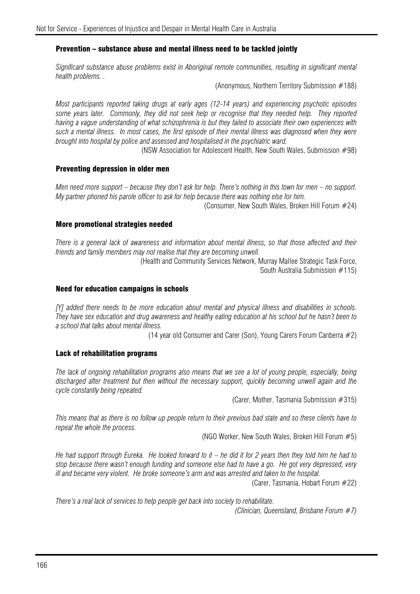#### Prevention – substance abuse and mental illness need to be tackled jointly

*Significant substance abuse problems exist in Aboriginal remote communities, resulting in significant mental health problems. .* 

(Anonymous, Northern Territory Submission #188)

*Most participants reported taking drugs at early ages (12-14 years) and experiencing psychotic episodes*  some years later. Commonly, they did not seek help or recognise that they needed help. They reported *having a vague understanding of what schizophrenia is but they failed to associate their own experiences with such a mental illness. In most cases, the first episode of their mental illness was diagnosed when they were brought into hospital by police and assessed and hospitalised in the psychiatric ward.*

(NSW Association for Adolescent Health, New South Wales, Submission #98)

#### Preventing depression in older men

*Men need more support – because they don't ask for help. There's nothing in this town for men – no support. My partner phoned his parole officer to ask for help because there was nothing else for him.* 

(Consumer, New South Wales, Broken Hill Forum #24)

#### More promotional strategies needed

*There is a general lack of awareness and information about mental illness, so that those affected and their friends and family members may not realise that they are becoming unwell.* 

> (Health and Community Services Network, Murray Mallee Strategic Task Force, South Australia Submission #115)

#### Need for education campaigns in schools

*[Y] added there needs to be more education about mental and physical illness and disabilities in schools. They have sex education and drug awareness and healthy eating education at his school but he hasn't been to a school that talks about mental illness.* 

(14 year old Consumer and Carer (Son), Young Carers Forum Canberra #2)

#### Lack of rehabilitation programs

*The lack of ongoing rehabilitation programs also means that we see a lot of young people, especially, being discharged after treatment but then without the necessary support, quickly becoming unwell again and the cycle constantly being repeated.* 

(Carer, Mother, Tasmania Submission #315)

*This means that as there is no follow up people return to their previous bad state and so these clients have to repeat the whole the process.* 

(NGO Worker, New South Wales, Broken Hill Forum #5)

*He had support through Eureka. He looked forward to it – he did it for 2 years then they told him he had to stop because there wasn't enough funding and someone else had to have a go. He got very depressed, very ill and became very violent. He broke someone's arm and was arrested and taken to the hospital.* 

(Carer, Tasmania, Hobart Forum #22)

*There's a real lack of services to help people get back into society to rehabilitate.* 

*(Clinician, Queensland, Brisbane Forum #7)*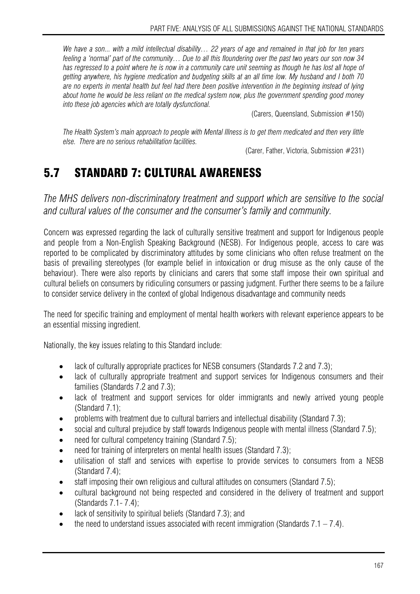*We have a son... with a mild intellectual disability… 22 years of age and remained in that job for ten years feeling a 'normal' part of the community… Due to all this floundering over the past two years our son now 34*  has regressed to a point where he is now in a community care unit seeming as though he has lost all hope of *getting anywhere, his hygiene medication and budgeting skills at an all time low. My husband and I both 70 are no experts in mental health but feel had there been positive intervention in the beginning instead of lying about home he would be less reliant on the medical system now, plus the government spending good money into these job agencies which are totally dysfunctional.* 

(Carers, Queensland, Submission #150)

*The Health System's main approach to people with Mental Illness is to get them medicated and then very little else. There are no serious rehabilitation facilities.* 

(Carer, Father, Victoria, Submission #231)

# 5.7 STANDARD 7: CULTURAL AWARENESS

*The MHS delivers non-discriminatory treatment and support which are sensitive to the social and cultural values of the consumer and the consumer's family and community.* 

Concern was expressed regarding the lack of culturally sensitive treatment and support for Indigenous people and people from a Non-English Speaking Background (NESB). For Indigenous people, access to care was reported to be complicated by discriminatory attitudes by some clinicians who often refuse treatment on the basis of prevailing stereotypes (for example belief in intoxication or drug misuse as the only cause of the behaviour). There were also reports by clinicians and carers that some staff impose their own spiritual and cultural beliefs on consumers by ridiculing consumers or passing judgment. Further there seems to be a failure to consider service delivery in the context of global Indigenous disadvantage and community needs

The need for specific training and employment of mental health workers with relevant experience appears to be an essential missing ingredient.

Nationally, the key issues relating to this Standard include:

- lack of culturally appropriate practices for NESB consumers (Standards 7.2 and 7.3);
- lack of culturally appropriate treatment and support services for Indigenous consumers and their families (Standards 7.2 and 7.3);
- lack of treatment and support services for older immigrants and newly arrived young people (Standard 7.1);
- problems with treatment due to cultural barriers and intellectual disability (Standard 7.3);
- social and cultural prejudice by staff towards Indigenous people with mental illness (Standard 7.5);
- need for cultural competency training (Standard 7.5);
- need for training of interpreters on mental health issues (Standard 7.3);
- utilisation of staff and services with expertise to provide services to consumers from a NESB (Standard 7.4);
- staff imposing their own religious and cultural attitudes on consumers (Standard 7.5);
- cultural background not being respected and considered in the delivery of treatment and support (Standards 7.1- 7.4);
- lack of sensitivity to spiritual beliefs (Standard 7.3); and
- the need to understand issues associated with recent immigration (Standards  $7.1 7.4$ ).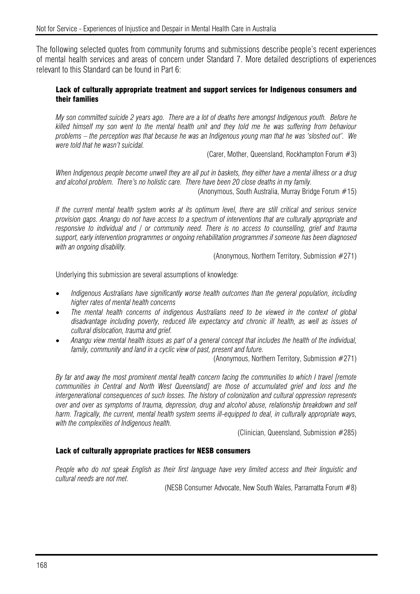The following selected quotes from community forums and submissions describe people's recent experiences of mental health services and areas of concern under Standard 7. More detailed descriptions of experiences relevant to this Standard can be found in Part 6:

#### Lack of culturally appropriate treatment and support services for Indigenous consumers and their families

*My son committed suicide 2 years ago. There are a lot of deaths here amongst Indigenous youth. Before he killed himself my son went to the mental health unit and they told me he was suffering from behaviour problems – the perception was that because he was an Indigenous young man that he was 'sloshed out'. We were told that he wasn't suicidal.* 

(Carer, Mother, Queensland, Rockhampton Forum #3)

*When Indigenous people become unwell they are all put in baskets, they either have a mental illness or a drug and alcohol problem. There's no holistic care. There have been 20 close deaths in my family.*

(Anonymous, South Australia, Murray Bridge Forum #15)

*If the current mental health system works at its optimum level, there are still critical and serious service provision gaps. Anangu do not have access to a spectrum of interventions that are culturally appropriate and responsive to individual and / or community need. There is no access to counselling, grief and trauma support, early intervention programmes or ongoing rehabilitation programmes if someone has been diagnosed with an ongoing disability.* 

(Anonymous, Northern Territory, Submission #271)

Underlying this submission are several assumptions of knowledge:

- *Indigenous Australians have significantly worse health outcomes than the general population, including higher rates of mental health concerns*
- *The mental health concerns of indigenous Australians need to be viewed in the context of global disadvantage including poverty, reduced life expectancy and chronic ill health, as well as issues of cultural dislocation, trauma and grief.*
- *Anangu view mental health issues as part of a general concept that includes the health of the individual, family, community and land in a cyclic view of past, present and future.*

(Anonymous, Northern Territory, Submission #271)

*By far and away the most prominent mental health concern facing the communities to which I travel [remote communities in Central and North West Queensland] are those of accumulated grief and loss and the intergenerational consequences of such losses. The history of colonization and cultural oppression represents over and over as symptoms of trauma, depression, drug and alcohol abuse, relationship breakdown and self harm. Tragically, the current, mental health system seems ill-equipped to deal, in culturally appropriate ways, with the complexities of Indigenous health.* 

(Clinician, Queensland, Submission #285)

#### Lack of culturally appropriate practices for NESB consumers

*People who do not speak English as their first language have very limited access and their linguistic and cultural needs are not met.* 

(NESB Consumer Advocate, New South Wales, Parramatta Forum #8)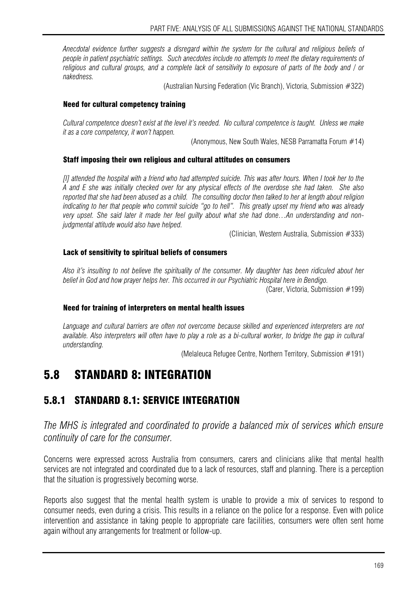*Anecdotal evidence further suggests a disregard within the system for the cultural and religious beliefs of people in patient psychiatric settings. Such anecdotes include no attempts to meet the dietary requirements of religious and cultural groups, and a complete lack of sensitivity to exposure of parts of the body and / or nakedness.* 

(Australian Nursing Federation (Vic Branch), Victoria, Submission #322)

#### Need for cultural competency training

*Cultural competence doesn't exist at the level it's needed. No cultural competence is taught. Unless we make it as a core competency, it won't happen.* 

(Anonymous, New South Wales, NESB Parramatta Forum #14)

#### Staff imposing their own religious and cultural attitudes on consumers

*[I] attended the hospital with a friend who had attempted suicide. This was after hours. When I took her to the A and E she was initially checked over for any physical effects of the overdose she had taken. She also reported that she had been abused as a child. The consulting doctor then talked to her at length about religion indicating to her that people who commit suicide "go to hell". This greatly upset my friend who was already very upset. She said later it made her feel guilty about what she had done…An understanding and nonjudgmental attitude would also have helped.* 

(Clinician, Western Australia, Submission #333)

#### Lack of sensitivity to spiritual beliefs of consumers

*Also it's insulting to not believe the spirituality of the consumer. My daughter has been ridiculed about her belief in God and how prayer helps her. This occurred in our Psychiatric Hospital here in Bendigo.* 

(Carer, Victoria, Submission #199)

#### Need for training of interpreters on mental health issues

*Language and cultural barriers are often not overcome because skilled and experienced interpreters are not available. Also interpreters will often have to play a role as a bi-cultural worker, to bridge the gap in cultural understanding.* 

(Melaleuca Refugee Centre, Northern Territory, Submission #191)

### 5.8 STANDARD 8: INTEGRATION

### 5.8.1 STANDARD 8.1: SERVICE INTEGRATION

*The MHS is integrated and coordinated to provide a balanced mix of services which ensure continuity of care for the consumer.* 

Concerns were expressed across Australia from consumers, carers and clinicians alike that mental health services are not integrated and coordinated due to a lack of resources, staff and planning. There is a perception that the situation is progressively becoming worse.

Reports also suggest that the mental health system is unable to provide a mix of services to respond to consumer needs, even during a crisis. This results in a reliance on the police for a response. Even with police intervention and assistance in taking people to appropriate care facilities, consumers were often sent home again without any arrangements for treatment or follow-up.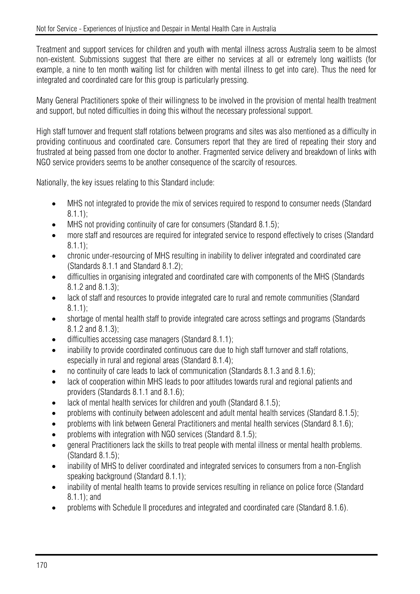Treatment and support services for children and youth with mental illness across Australia seem to be almost non-existent. Submissions suggest that there are either no services at all or extremely long waitlists (for example, a nine to ten month waiting list for children with mental illness to get into care). Thus the need for integrated and coordinated care for this group is particularly pressing.

Many General Practitioners spoke of their willingness to be involved in the provision of mental health treatment and support, but noted difficulties in doing this without the necessary professional support.

High staff turnover and frequent staff rotations between programs and sites was also mentioned as a difficulty in providing continuous and coordinated care. Consumers report that they are tired of repeating their story and frustrated at being passed from one doctor to another. Fragmented service delivery and breakdown of links with NGO service providers seems to be another consequence of the scarcity of resources.

Nationally, the key issues relating to this Standard include:

- MHS not integrated to provide the mix of services required to respond to consumer needs (Standard 8.1.1);
- MHS not providing continuity of care for consumers (Standard 8.1.5):
- more staff and resources are required for integrated service to respond effectively to crises (Standard 8.1.1);
- chronic under-resourcing of MHS resulting in inability to deliver integrated and coordinated care (Standards 8.1.1 and Standard 8.1.2);
- difficulties in organising integrated and coordinated care with components of the MHS (Standards 8.1.2 and 8.1.3);
- lack of staff and resources to provide integrated care to rural and remote communities (Standard 8.1.1);
- shortage of mental health staff to provide integrated care across settings and programs (Standards 8.1.2 and 8.1.3);
- difficulties accessing case managers (Standard 8.1.1);
- inability to provide coordinated continuous care due to high staff turnover and staff rotations, especially in rural and regional areas (Standard 8.1.4);
- no continuity of care leads to lack of communication (Standards 8.1.3 and 8.1.6);
- lack of cooperation within MHS leads to poor attitudes towards rural and regional patients and providers (Standards 8.1.1 and 8.1.6);
- lack of mental health services for children and youth (Standard 8.1.5);
- problems with continuity between adolescent and adult mental health services (Standard 8.1.5);
- problems with link between General Practitioners and mental health services (Standard 8.1.6);
- problems with integration with NGO services (Standard 8.1.5);
- general Practitioners lack the skills to treat people with mental illness or mental health problems. (Standard 8.1.5);
- inability of MHS to deliver coordinated and integrated services to consumers from a non-English speaking background (Standard 8.1.1);
- inability of mental health teams to provide services resulting in reliance on police force (Standard 8.1.1); and
- problems with Schedule II procedures and integrated and coordinated care (Standard 8.1.6).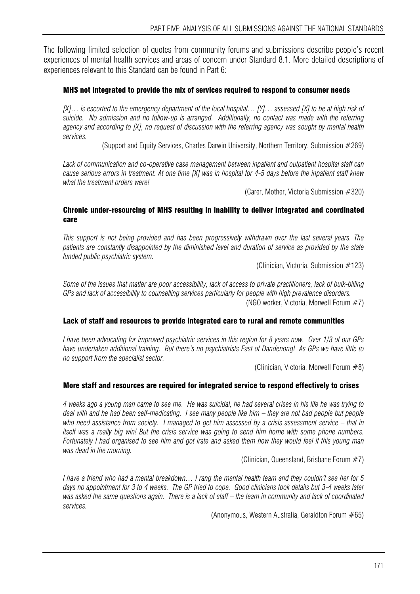The following limited selection of quotes from community forums and submissions describe people's recent experiences of mental health services and areas of concern under Standard 8.1. More detailed descriptions of experiences relevant to this Standard can be found in Part 6:

#### MHS not integrated to provide the mix of services required to respond to consumer needs

*[X]… is escorted to the emergency department of the local hospital… [Y]… assessed [X] to be at high risk of suicide. No admission and no follow-up is arranged. Additionally, no contact was made with the referring agency and according to [X], no request of discussion with the referring agency was sought by mental health services.* 

(Support and Equity Services, Charles Darwin University, Northern Territory, Submission #269)

*Lack of communication and co-operative case management between inpatient and outpatient hospital staff can cause serious errors in treatment. At one time [X] was in hospital for 4-5 days before the inpatient staff knew what the treatment orders were!* 

(Carer, Mother, Victoria Submission #320)

#### Chronic under-resourcing of MHS resulting in inability to deliver integrated and coordinated care

*This support is not being provided and has been progressively withdrawn over the last several years. The patients are constantly disappointed by the diminished level and duration of service as provided by the state funded public psychiatric system.* 

(Clinician, Victoria, Submission #123)

*Some of the issues that matter are poor accessibility, lack of access to private practitioners, lack of bulk-billing GPs and lack of accessibility to counselling services particularly for people with high prevalence disorders.*  (NGO worker, Victoria, Morwell Forum #7)

#### Lack of staff and resources to provide integrated care to rural and remote communities

*I have been advocating for improved psychiatric services in this region for 8 years now. Over 1/3 of our GPs have undertaken additional training. But there's no psychiatrists East of Dandenong! As GPs we have little to no support from the specialist sector.* 

(Clinician, Victoria, Morwell Forum #8)

#### More staff and resources are required for integrated service to respond effectively to crises

*4 weeks ago a young man came to see me. He was suicidal, he had several crises in his life he was trying to deal with and he had been self-medicating. I see many people like him – they are not bad people but people who need assistance from society. I managed to get him assessed by a crisis assessment service – that in itself was a really big win! But the crisis service was going to send him home with some phone numbers. Fortunately I had organised to see him and got irate and asked them how they would feel if this young man was dead in the morning.* 

(Clinician, Queensland, Brisbane Forum #7)

*I have a friend who had a mental breakdown… I rang the mental health team and they couldn't see her for 5 days no appointment for 3 to 4 weeks. The GP tried to cope. Good clinicians took details but 3-4 weeks later was asked the same questions again. There is a lack of staff – the team in community and lack of coordinated services.* 

(Anonymous, Western Australia, Geraldton Forum #65)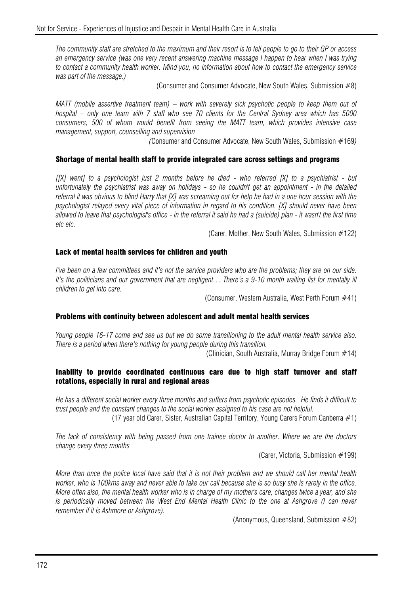*The community staff are stretched to the maximum and their resort is to tell people to go to their GP or access an emergency service (was one very recent answering machine message I happen to hear when I was trying to contact a community health worker. Mind you, no information about how to contact the emergency service was part of the message.)* 

(Consumer and Consumer Advocate, New South Wales, Submission #8)

*MATT (mobile assertive treatment team) – work with severely sick psychotic people to keep them out of hospital – only one team with 7 staff who see 70 clients for the Central Sydney area which has 5000 consumers, 500 of whom would benefit from seeing the MATT team, which provides intensive case management, support, counselling and supervision* 

*(*Consumer and Consumer Advocate, New South Wales, Submission #169*)* 

#### Shortage of mental health staff to provide integrated care across settings and programs

*[[X] went] to a psychologist just 2 months before he died - who referred [X] to a psychiatrist - but unfortunately the psychiatrist was away on holidays - so he couldn't get an appointment - in the detailed referral it was obvious to blind Harry that [X] was screaming out for help he had in a one hour session with the psychologist relayed every vital piece of information in regard to his condition. [X] should never have been allowed to leave that psychologist's office - in the referral it said he had a (suicide) plan - it wasn't the first time etc etc.* 

(Carer, Mother, New South Wales, Submission #122)

#### Lack of mental health services for children and youth

*I've been on a few committees and it's not the service providers who are the problems; they are on our side.* It's the politicians and our government that are negligent... There's a 9-10 month waiting list for mentally ill *children to get into care.* 

(Consumer, Western Australia, West Perth Forum #41)

#### Problems with continuity between adolescent and adult mental health services

*Young people 16-17 come and see us but we do some transitioning to the adult mental health service also. There is a period when there's nothing for young people during this transition.*

(Clinician, South Australia, Murray Bridge Forum #14)

#### Inability to provide coordinated continuous care due to high staff turnover and staff rotations, especially in rural and regional areas

*He has a different social worker every three months and suffers from psychotic episodes. He finds it difficult to trust people and the constant changes to the social worker assigned to his case are not helpful.* 

(17 year old Carer, Sister, Australian Capital Territory, Young Carers Forum Canberra #1)

*The lack of consistency with being passed from one trainee doctor to another. Where we are the doctors change every three months* 

(Carer, Victoria, Submission #199)

*More than once the police local have said that it is not their problem and we should call her mental health worker, who is 100kms away and never able to take our call because she is so busy she is rarely in the office. More often also, the mental health worker who is in charge of my mother's care, changes twice a year, and she*  is periodically moved between the West End Mental Health Clinic to the one at Ashgrove (I can never *remember if it is Ashmore or Ashgrove).* 

(Anonymous, Queensland, Submission #82)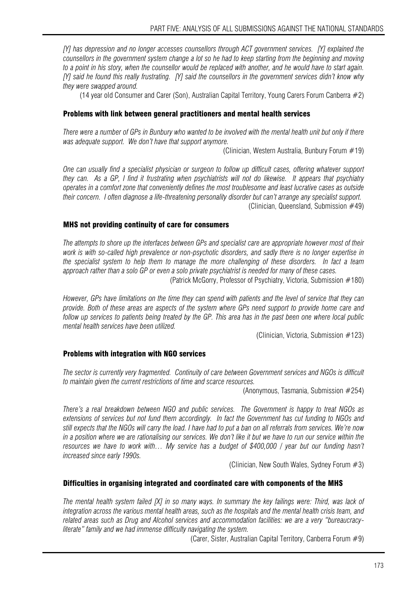*[Y] has depression and no longer accesses counsellors through ACT government services. [Y] explained the counsellors in the government system change a lot so he had to keep starting from the beginning and moving to a point in his story, when the counsellor would be replaced with another, and he would have to start again. [Y] said he found this really frustrating. [Y] said the counsellors in the government services didn't know why they were swapped around.* 

(14 year old Consumer and Carer (Son), Australian Capital Territory, Young Carers Forum Canberra #2)

#### Problems with link between general practitioners and mental health services

*There were a number of GPs in Bunbury who wanted to be involved with the mental health unit but only if there was adequate support. We don't have that support anymore.* 

(Clinician, Western Australia, Bunbury Forum #19)

*One can usually find a specialist physician or surgeon to follow up difficult cases, offering whatever support they can. As a GP, I find it frustrating when psychiatrists will not do likewise. It appears that psychiatry operates in a comfort zone that conveniently defines the most troublesome and least lucrative cases as outside their concern. I often diagnose a life-threatening personality disorder but can't arrange any specialist support.*  (Clinician, Queensland, Submission  $#49$ )

#### MHS not providing continuity of care for consumers

*The attempts to shore up the interfaces between GPs and specialist care are appropriate however most of their work is with so-called high prevalence or non-psychotic disorders, and sadly there is no longer expertise in the specialist system to help them to manage the more challenging of these disorders. In fact a team approach rather than a solo GP or even a solo private psychiatrist is needed for many of these cases.* 

(Patrick McGorry, Professor of Psychiatry, Victoria, Submission #180)

*However, GPs have limitations on the time they can spend with patients and the level of service that they can provide. Both of these areas are aspects of the system where GPs need support to provide home care and follow up services to patients being treated by the GP. This area has in the past been one where local public mental health services have been utilized.* 

(Clinician, Victoria, Submission #123)

#### Problems with integration with NGO services

*The sector is currently very fragmented. Continuity of care between Government services and NGOs is difficult to maintain given the current restrictions of time and scarce resources.* 

(Anonymous, Tasmania, Submission #254)

*There's a real breakdown between NGO and public services. The Government is happy to treat NGOs as extensions of services but not fund them accordingly. In fact the Government has cut funding to NGOs and still expects that the NGOs will carry the load. I have had to put a ban on all referrals from services. We're now in a position where we are rationalising our services. We don't like it but we have to run our service within the resources we have to work with… My service has a budget of \$400,000 / year but our funding hasn't increased since early 1990s.* 

(Clinician, New South Wales, Sydney Forum #3)

#### Difficulties in organising integrated and coordinated care with components of the MHS

*The mental health system failed [X] in so many ways. In summary the key failings were: Third, was lack of integration across the various mental health areas, such as the hospitals and the mental health crisis team, and related areas such as Drug and Alcohol services and accommodation facilities: we are a very "bureaucracyliterate" family and we had immense difficulty navigating the system.* 

(Carer, Sister, Australian Capital Territory, Canberra Forum  $#9$ )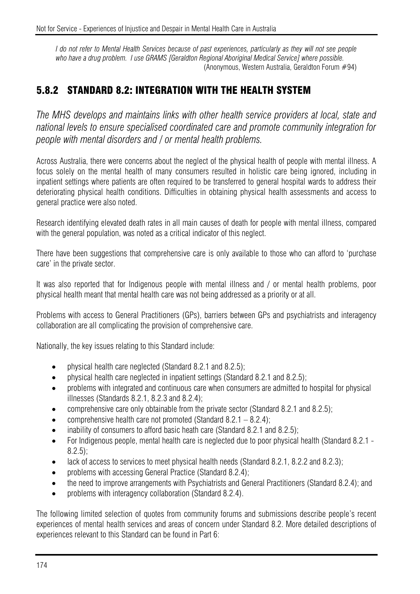*I do not refer to Mental Health Services because of past experiences, particularly as they will not see people*  who have a drug problem. I use GRAMS [Geraldton Regional Aboriginal Medical Service] where possible. (Anonymous, Western Australia, Geraldton Forum #94)

### 5.8.2 STANDARD 8.2: INTEGRATION WITH THE HEALTH SYSTEM

*The MHS develops and maintains links with other health service providers at local, state and national levels to ensure specialised coordinated care and promote community integration for people with mental disorders and / or mental health problems.* 

Across Australia, there were concerns about the neglect of the physical health of people with mental illness. A focus solely on the mental health of many consumers resulted in holistic care being ignored, including in inpatient settings where patients are often required to be transferred to general hospital wards to address their deteriorating physical health conditions. Difficulties in obtaining physical health assessments and access to general practice were also noted.

Research identifying elevated death rates in all main causes of death for people with mental illness, compared with the general population, was noted as a critical indicator of this neglect.

There have been suggestions that comprehensive care is only available to those who can afford to 'purchase care' in the private sector.

It was also reported that for Indigenous people with mental illness and / or mental health problems, poor physical health meant that mental health care was not being addressed as a priority or at all.

Problems with access to General Practitioners (GPs), barriers between GPs and psychiatrists and interagency collaboration are all complicating the provision of comprehensive care.

Nationally, the key issues relating to this Standard include:

- physical health care neglected (Standard 8.2.1 and 8.2.5);
- physical health care neglected in inpatient settings (Standard 8.2.1 and 8.2.5);
- problems with integrated and continuous care when consumers are admitted to hospital for physical illnesses (Standards 8.2.1, 8.2.3 and 8.2.4);
- comprehensive care only obtainable from the private sector (Standard 8.2.1 and 8.2.5);
- comprehensive health care not promoted (Standard  $8.2.1 8.2.4$ );
- inability of consumers to afford basic heath care (Standard 8.2.1 and 8.2.5);
- For Indigenous people, mental health care is neglected due to poor physical health (Standard 8.2.1 8.2.5);
- lack of access to services to meet physical health needs (Standard 8.2.1, 8.2.2 and 8.2.3);
- problems with accessing General Practice (Standard 8.2.4);
- the need to improve arrangements with Psychiatrists and General Practitioners (Standard 8.2.4); and
- problems with interagency collaboration (Standard 8.2.4).

The following limited selection of quotes from community forums and submissions describe people's recent experiences of mental health services and areas of concern under Standard 8.2. More detailed descriptions of experiences relevant to this Standard can be found in Part 6: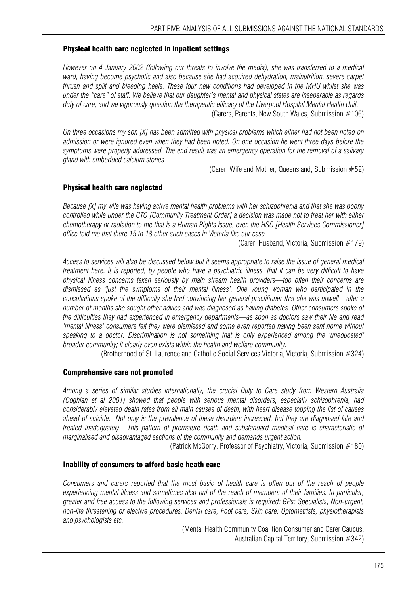#### Physical health care neglected in inpatient settings

*However on 4 January 2002 (following our threats to involve the media), she was transferred to a medical ward, having become psychotic and also because she had acquired dehydration, malnutrition, severe carpet thrush and split and bleeding heels. These four new conditions had developed in the MHU whilst she was under the "care" of staff. We believe that our daughter's mental and physical states are inseparable as regards duty of care, and we vigorously question the therapeutic efficacy of the Liverpool Hospital Mental Health Unit.*  (Carers, Parents, New South Wales, Submission #106)

*On three occasions my son [X] has been admitted with physical problems which either had not been noted on admission or were ignored even when they had been noted. On one occasion he went three days before the symptoms were properly addressed. The end result was an emergency operation for the removal of a salivary gland with embedded calcium stones.* 

(Carer, Wife and Mother, Queensland, Submission #52)

#### Physical health care neglected

*Because [X] my wife was having active mental health problems with her schizophrenia and that she was poorly controlled while under the CTO [Community Treatment Order] a decision was made not to treat her with either chemotherapy or radiation to me that is a Human Rights issue, even the HSC [Health Services Commissioner] office told me that there 15 to 18 other such cases in Victoria like our case.* 

(Carer, Husband, Victoria, Submission #179)

*Access to services will also be discussed below but it seems appropriate to raise the issue of general medical treatment here. It is reported, by people who have a psychiatric illness, that it can be very difficult to have physical illness concerns taken seriously by main stream health providers—too often their concerns are dismissed as 'just the symptoms of their mental illness'. One young woman who participated in the consultations spoke of the difficulty she had convincing her general practitioner that she was unwell—after a number of months she sought other advice and was diagnosed as having diabetes. Other consumers spoke of the difficulties they had experienced in emergency departments—as soon as doctors saw their file and read 'mental illness' consumers felt they were dismissed and some even reported having been sent home without speaking to a doctor. Discrimination is not something that is only experienced among the 'uneducated' broader community; it clearly even exists within the health and welfare community.* 

(Brotherhood of St. Laurence and Catholic Social Services Victoria, Victoria, Submission #324)

#### Comprehensive care not promoted

*Among a series of similar studies internationally, the crucial Duty to Care study from Western Australia (Coghlan et al 2001) showed that people with serious mental disorders, especially schizophrenia, had considerably elevated death rates from all main causes of death, with heart disease topping the list of causes ahead of suicide. Not only is the prevalence of these disorders increased, but they are diagnosed late and treated inadequately. This pattern of premature death and substandard medical care is characteristic of marginalised and disadvantaged sections of the community and demands urgent action.* 

(Patrick McGorry, Professor of Psychiatry, Victoria, Submission #180)

#### Inability of consumers to afford basic heath care

*Consumers and carers reported that the most basic of health care is often out of the reach of people experiencing mental illness and sometimes also out of the reach of members of their families. In particular, greater and free access to the following services and professionals is required: GPs; Specialists; Non-urgent, non-life threatening or elective procedures; Dental care; Foot care; Skin care; Optometrists, physiotherapists and psychologists etc.* 

> (Mental Health Community Coalition Consumer and Carer Caucus, Australian Capital Territory, Submission #342)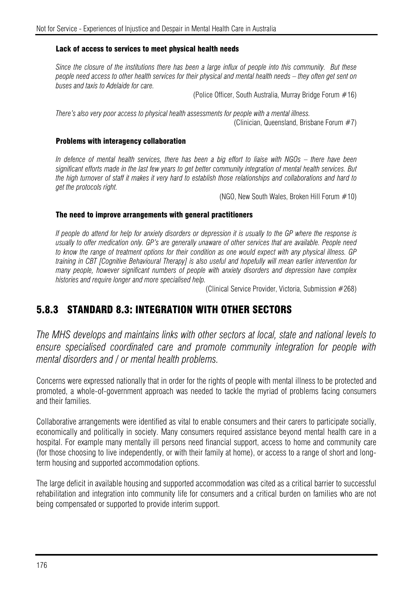#### Lack of access to services to meet physical health needs

*Since the closure of the institutions there has been a large influx of people into this community. But these people need access to other health services for their physical and mental health needs – they often get sent on buses and taxis to Adelaide for care.*

(Police Officer, South Australia, Murray Bridge Forum #16)

*There's also very poor access to physical health assessments for people with a mental illness.*  (Clinician, Queensland, Brisbane Forum #7)

#### Problems with interagency collaboration

*In defence of mental health services, there has been a big effort to liaise with NGOs – there have been significant efforts made in the last few years to get better community integration of mental health services. But the high turnover of staff it makes it very hard to establish those relationships and collaborations and hard to get the protocols right.* 

(NGO, New South Wales, Broken Hill Forum #10)

#### The need to improve arrangements with general practitioners

*If people do attend for help for anxiety disorders or depression it is usually to the GP where the response is usually to offer medication only. GP's are generally unaware of other services that are available. People need to know the range of treatment options for their condition as one would expect with any physical illness. GP training in CBT [Cognitive Behavioural Therapy] is also useful and hopefully will mean earlier intervention for many people, however significant numbers of people with anxiety disorders and depression have complex histories and require longer and more specialised help.* 

(Clinical Service Provider, Victoria, Submission #268)

### 5.8.3 STANDARD 8.3: INTEGRATION WITH OTHER SECTORS

*The MHS develops and maintains links with other sectors at local, state and national levels to ensure specialised coordinated care and promote community integration for people with mental disorders and / or mental health problems.* 

Concerns were expressed nationally that in order for the rights of people with mental illness to be protected and promoted, a whole-of-government approach was needed to tackle the myriad of problems facing consumers and their families.

Collaborative arrangements were identified as vital to enable consumers and their carers to participate socially, economically and politically in society. Many consumers required assistance beyond mental health care in a hospital. For example many mentally ill persons need financial support, access to home and community care (for those choosing to live independently, or with their family at home), or access to a range of short and longterm housing and supported accommodation options.

The large deficit in available housing and supported accommodation was cited as a critical barrier to successful rehabilitation and integration into community life for consumers and a critical burden on families who are not being compensated or supported to provide interim support.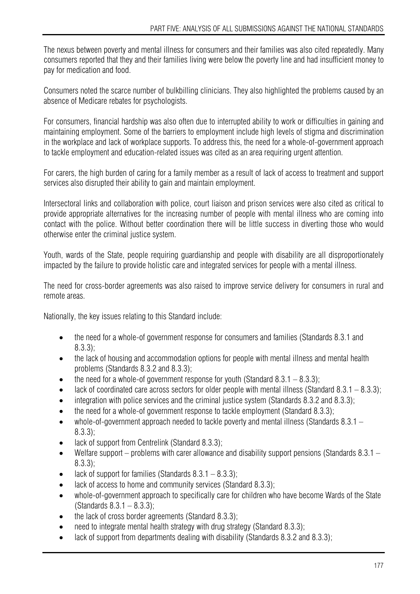The nexus between poverty and mental illness for consumers and their families was also cited repeatedly. Many consumers reported that they and their families living were below the poverty line and had insufficient money to pay for medication and food.

Consumers noted the scarce number of bulkbilling clinicians. They also highlighted the problems caused by an absence of Medicare rebates for psychologists.

For consumers, financial hardship was also often due to interrupted ability to work or difficulties in gaining and maintaining employment. Some of the barriers to employment include high levels of stigma and discrimination in the workplace and lack of workplace supports. To address this, the need for a whole-of-government approach to tackle employment and education-related issues was cited as an area requiring urgent attention.

For carers, the high burden of caring for a family member as a result of lack of access to treatment and support services also disrupted their ability to gain and maintain employment.

Intersectoral links and collaboration with police, court liaison and prison services were also cited as critical to provide appropriate alternatives for the increasing number of people with mental illness who are coming into contact with the police. Without better coordination there will be little success in diverting those who would otherwise enter the criminal justice system.

Youth, wards of the State, people requiring quardianship and people with disability are all disproportionately impacted by the failure to provide holistic care and integrated services for people with a mental illness.

The need for cross-border agreements was also raised to improve service delivery for consumers in rural and remote areas.

Nationally, the key issues relating to this Standard include:

- the need for a whole-of government response for consumers and families (Standards 8.3.1 and 8.3.3);
- the lack of housing and accommodation options for people with mental illness and mental health problems (Standards 8.3.2 and 8.3.3);
- the need for a whole-of government response for youth (Standard 8.3.1 8.3.3);
- lack of coordinated care across sectors for older people with mental illness (Standard 8.3.1 8.3.3);
- integration with police services and the criminal justice system (Standards 8.3.2 and 8.3.3);
- the need for a whole-of government response to tackle employment (Standard 8.3.3);
- whole-of-government approach needed to tackle poverty and mental illness (Standards 8.3.1 8.3.3);
- lack of support from Centrelink (Standard 8.3.3);
- Welfare support problems with carer allowance and disability support pensions (Standards 8.3.1 8.3.3);
- lack of support for families (Standards  $8.3.1 8.3.3$ );
- lack of access to home and community services (Standard 8.3.3);
- whole-of-government approach to specifically care for children who have become Wards of the State (Standards  $8.3.1 - 8.3.3$ );
- the lack of cross border agreements (Standard 8.3.3);
- need to integrate mental health strategy with drug strategy (Standard 8.3.3);
- lack of support from departments dealing with disability (Standards 8.3.2 and 8.3.3);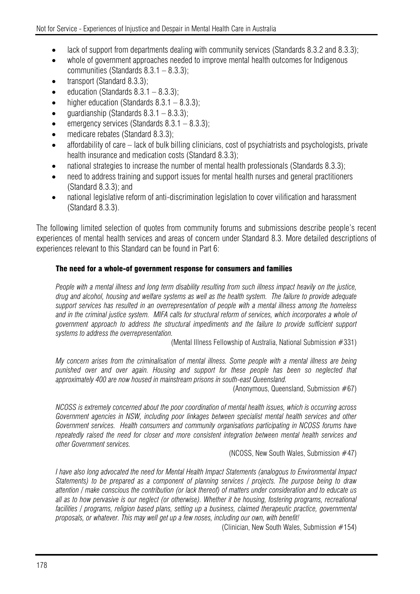- lack of support from departments dealing with community services (Standards 8.3.2 and 8.3.3);
- whole of government approaches needed to improve mental health outcomes for Indigenous communities (Standards 8.3.1 – 8.3.3);
- transport (Standard 8.3.3);
- $\bullet$  education (Standards 8.3.1 8.3.3):
- higher education (Standards  $8.3.1 8.3.3$ );
- quardianship (Standards  $8.3.1 8.3.3$ );
- emergency services (Standards  $8.3.1 8.3.3$ );
- medicare rebates (Standard 8.3.3);
- affordability of care lack of bulk billing clinicians, cost of psychiatrists and psychologists, private health insurance and medication costs (Standard 8.3.3);
- national strategies to increase the number of mental health professionals (Standards 8.3.3);
- need to address training and support issues for mental health nurses and general practitioners (Standard 8.3.3); and
- national legislative reform of anti-discrimination legislation to cover vilification and harassment (Standard 8.3.3).

The following limited selection of quotes from community forums and submissions describe people's recent experiences of mental health services and areas of concern under Standard 8.3. More detailed descriptions of experiences relevant to this Standard can be found in Part 6:

## The need for a whole-of government response for consumers and families

*People with a mental illness and long term disability resulting from such illness impact heavily on the justice, drug and alcohol, housing and welfare systems as well as the health system. The failure to provide adequate support services has resulted in an overrepresentation of people with a mental illness among the homeless*  and in the criminal justice system. MIFA calls for structural reform of services, which incorporates a whole of *government approach to address the structural impediments and the failure to provide sufficient support systems to address the overrepresentation.* 

(Mental Illness Fellowship of Australia, National Submission #331)

*My concern arises from the criminalisation of mental illness. Some people with a mental illness are being punished over and over again. Housing and support for these people has been so neglected that approximately 400 are now housed in mainstream prisons in south-east Queensland.* 

(Anonymous, Queensland, Submission #67)

*NCOSS is extremely concerned about the poor coordination of mental health issues, which is occurring across*  Government agencies in NSW, including poor linkages between specialist mental health services and other *Government services. Health consumers and community organisations participating in NCOSS forums have repeatedly raised the need for closer and more consistent integration between mental health services and other Government services.* 

(NCOSS, New South Wales, Submission #47)

*I have also long advocated the need for Mental Health Impact Statements (analogous to Environmental Impact Statements) to be prepared as a component of planning services / projects. The purpose being to draw attention / make conscious the contribution (or lack thereof) of matters under consideration and to educate us all as to how pervasive is our neglect (or otherwise). Whether it be housing, fostering programs, recreational*  facilities / programs, religion based plans, setting up a business, claimed therapeutic practice, governmental *proposals, or whatever. This may well get up a few noses, including our own, with benefit!* 

(Clinician, New South Wales, Submission #154)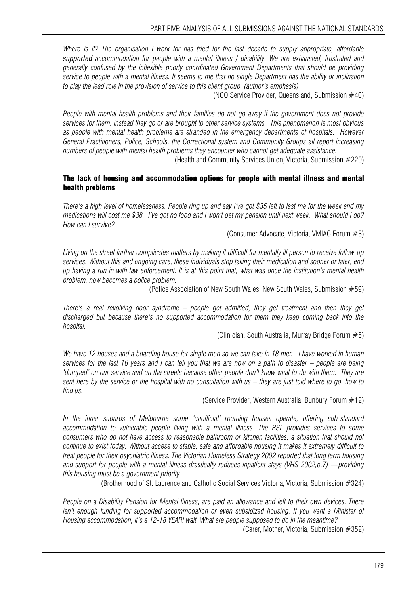*Where is it? The organisation I work for has tried for the last decade to supply appropriate, affordable supported accommodation for people with a mental illness / disability. We are exhausted, frustrated and generally confused by the inflexible poorly coordinated Government Departments that should be providing service to people with a mental illness. It seems to me that no single Department has the ability or inclination to play the lead role in the provision of service to this client group. (author's emphasis)* 

(NGO Service Provider, Queensland, Submission #40)

*People with mental health problems and their families do not go away if the government does not provide services for them. Instead they go or are brought to other service systems. This phenomenon is most obvious as people with mental health problems are stranded in the emergency departments of hospitals. However General Practitioners, Police, Schools, the Correctional system and Community Groups all report increasing numbers of people with mental health problems they encounter who cannot get adequate assistance.* 

(Health and Community Services Union, Victoria, Submission #220)

#### The lack of housing and accommodation options for people with mental illness and mental health problems

*There's a high level of homelessness. People ring up and say I've got \$35 left to last me for the week and my medications will cost me \$38. I've got no food and I won't get my pension until next week. What should I do? How can I survive?* 

(Consumer Advocate, Victoria, VMIAC Forum #3)

*Living on the street further complicates matters by making it difficult for mentally ill person to receive follow-up services. Without this and ongoing care, these individuals stop taking their medication and sooner or later, end up having a run in with law enforcement. It is at this point that, what was once the institution's mental health problem, now becomes a police problem.* 

(Police Association of New South Wales, New South Wales, Submission #59)

*There's a real revolving door syndrome – people get admitted, they get treatment and then they get discharged but because there's no supported accommodation for them they keep coming back into the hospital.* 

(Clinician, South Australia, Murray Bridge Forum #5)

*We have 12 houses and a boarding house for single men so we can take in 18 men. I have worked in human services for the last 16 years and I can tell you that we are now on a path to disaster – people are being 'dumped' on our service and on the streets because other people don't know what to do with them. They are*  sent here by the service or the hospital with no consultation with us – they are just told where to go, how to *find us.* 

(Service Provider, Western Australia, Bunbury Forum #12)

*In the inner suburbs of Melbourne some 'unofficial' rooming houses operate, offering sub-standard accommodation to vulnerable people living with a mental illness. The BSL provides services to some consumers who do not have access to reasonable bathroom or kitchen facilities, a situation that should not continue to exist today. Without access to stable, safe and affordable housing it makes it extremely difficult to treat people for their psychiatric illness. The Victorian Homeless Strategy 2002 reported that long term housing and support for people with a mental illness drastically reduces inpatient stays (VHS 2002,p.7) —providing this housing must be a government priority.* 

(Brotherhood of St. Laurence and Catholic Social Services Victoria, Victoria, Submission #324)

*People on a Disability Pension for Mental Illness, are paid an allowance and left to their own devices. There isn't enough funding for supported accommodation or even subsidized housing. If you want a Minister of Housing accommodation, it's a 12-18 YEAR! wait. What are people supposed to do in the meantime?* 

(Carer, Mother, Victoria, Submission #352)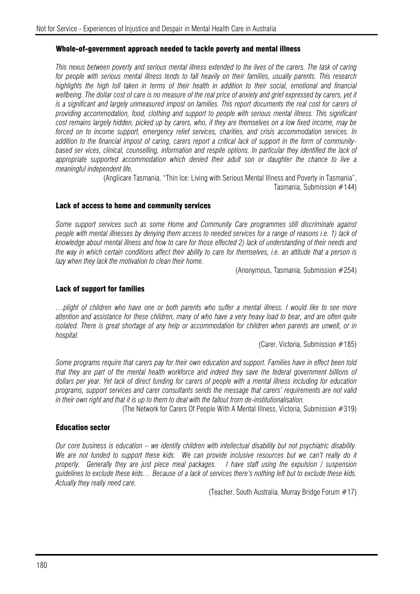#### Whole-of-government approach needed to tackle poverty and mental illness

*This nexus between poverty and serious mental illness extended to the lives of the carers. The task of caring for people with serious mental illness tends to fall heavily on their families, usually parents. This research highlights the high toll taken in terms of their health in addition to their social, emotional and financial*  wellbeing. The dollar cost of care is no measure of the real price of anxiety and grief expressed by carers, yet it *is a significant and largely unmeasured impost on families. This report documents the real cost for carers of providing accommodation, food, clothing and support to people with serious mental illness. This significant cost remains largely hidden, picked up by carers, who, if they are themselves on a low fixed income, may be forced on to income support, emergency relief services, charities, and crisis accommodation services. In addition to the financial impost of caring, carers report a critical lack of support in the form of communitybased ser vices, clinical, counselling, information and respite options. In particular they identified the lack of appropriate supported accommodation which denied their adult son or daughter the chance to live a meaningful independent life.* 

> (Anglicare Tasmania, "Thin Ice: Living with Serious Mental Illness and Poverty in Tasmania", Tasmania, Submission #144)

#### Lack of access to home and community services

*Some support services such as some Home and Community Care programmes still discriminate against people with mental illnesses by denying them access to needed services for a range of reasons i.e. 1) lack of knowledge about mental illness and how to care for those effected 2) lack of understanding of their needs and the way in which certain conditions affect their ability to care for themselves, i.e. an attitude that a person is lazy when they lack the motivation to clean their home.* 

(Anonymous, Tasmania, Submission #254)

#### Lack of support for families

*…plight of children who have one or both parents who suffer a mental illness. I would like to see more attention and assistance for these children, many of who have a very heavy load to bear, and are often quite isolated. There is great shortage of any help or accommodation for children when parents are unwell, or in hospital.* 

(Carer, Victoria, Submission #185)

*Some programs require that carers pay for their own education and support. Families have in effect been told that they are part of the mental health workforce and indeed they save the federal government billions of dollars per year. Yet lack of direct funding for carers of people with a mental illness including for education programs, support services and carer consultants sends the message that carers' requirements are not valid in their own right and that it is up to them to deal with the fallout from de-institutionalisation.* 

(The Network for Carers Of People With A Mental Illness, Victoria, Submission #319)

#### Education sector

*Our core business is education – we identify children with intellectual disability but not psychiatric disability.*  We are not funded to support these kids. We can provide inclusive resources but we can't really do it *properly. Generally they are just piece meal packages. I have staff using the expulsion / suspension guidelines to exclude these kids… Because of a lack of services there's nothing left but to exclude these kids. Actually they really need care.* 

(Teacher, South Australia, Murray Bridge Forum #17)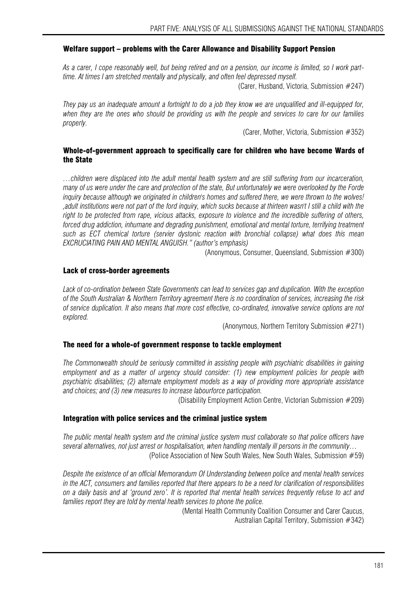#### Welfare support – problems with the Carer Allowance and Disability Support Pension

*As a carer, I cope reasonably well, but being retired and on a pension, our income is limited, so I work parttime. At times I am stretched mentally and physically, and often feel depressed myself.* 

(Carer, Husband, Victoria, Submission #247)

*They pay us an inadequate amount a fortnight to do a job they know we are unqualified and ill-equipped for, when they are the ones who should be providing us with the people and services to care for our families properly.* 

(Carer, Mother, Victoria, Submission #352)

#### Whole-of-government approach to specifically care for children who have become Wards of the State

*…children were displaced into the adult mental health system and are still suffering from our incarceration, many of us were under the care and protection of the state, But unfortunately we were overlooked by the Forde inquiry because although we originated in children's homes and suffered there, we were thrown to the wolves! ,adult institutions were not part of the ford inquiry, which sucks because at thirteen wasn't I still a child with the right to be protected from rape, vicious attacks, exposure to violence and the incredible suffering of others, forced drug addiction, inhumane and degrading punishment, emotional and mental torture, terrifying treatment such as ECT chemical torture (servier dystonic reaction with bronchial collapse) what does this mean EXCRUCIATING PAIN AND MENTAL ANGUISH." (author's emphasis)* 

(Anonymous, Consumer, Queensland, Submission #300)

#### Lack of cross-border agreements

*Lack of co-ordination between State Governments can lead to services gap and duplication. With the exception of the South Australian & Northern Territory agreement there is no coordination of services, increasing the risk of service duplication. It also means that more cost effective, co-ordinated, innovative service options are not explored.* 

(Anonymous, Northern Territory Submission #271)

#### The need for a whole-of government response to tackle employment

*The Commonwealth should be seriously committed in assisting people with psychiatric disabilities in gaining employment and as a matter of urgency should consider: (1) new employment policies for people with psychiatric disabilities; (2) alternate employment models as a way of providing more appropriate assistance and choices; and (3) new measures to increase labourforce participation.* 

(Disability Employment Action Centre, Victorian Submission #209)

#### Integration with police services and the criminal justice system

*The public mental health system and the criminal justice system must collaborate so that police officers have several alternatives, not just arrest or hospitalisation, when handling mentally ill persons in the community…*  (Police Association of New South Wales, New South Wales, Submission #59)

*Despite the existence of an official Memorandum Of Understanding between police and mental health services in the ACT, consumers and families reported that there appears to be a need for clarification of responsibilities on a daily basis and at 'ground zero'. It is reported that mental health services frequently refuse to act and families report they are told by mental health services to phone the police.* 

> (Mental Health Community Coalition Consumer and Carer Caucus, Australian Capital Territory, Submission #342)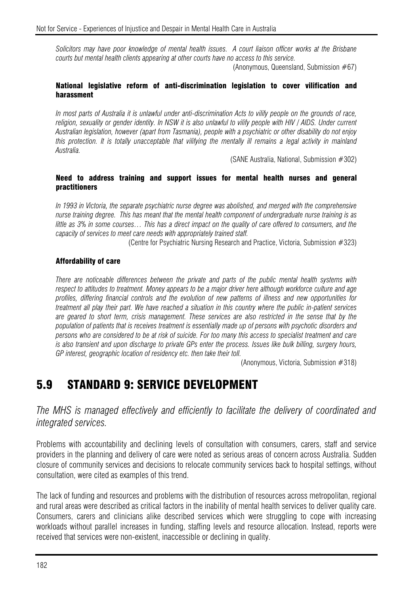*Solicitors may have poor knowledge of mental health issues. A court liaison officer works at the Brisbane courts but mental health clients appearing at other courts have no access to this service.* 

(Anonymous, Queensland, Submission  $#67$ )

#### National legislative reform of anti-discrimination legislation to cover vilification and harassment

*In most parts of Australia it is unlawful under anti-discrimination Acts to vilify people on the grounds of race,*  religion, sexuality or gender identity. In NSW it is also unlawful to vilify people with HIV / AIDS. Under current *Australian legislation, however (apart from Tasmania), people with a psychiatric or other disability do not enjoy this protection. It is totally unacceptable that vilifying the mentally ill remains a legal activity in mainland Australia.* 

(SANE Australia, National, Submission #302)

#### Need to address training and support issues for mental health nurses and general practitioners

*In 1993 in Victoria, the separate psychiatric nurse degree was abolished, and merged with the comprehensive nurse training degree. This has meant that the mental health component of undergraduate nurse training is as little as 3% in some courses… This has a direct impact on the quality of care offered to consumers, and the capacity of services to meet care needs with appropriately trained staff.* 

(Centre for Psychiatric Nursing Research and Practice, Victoria, Submission #323)

#### Affordability of care

*There are noticeable differences between the private and parts of the public mental health systems with respect to attitudes to treatment. Money appears to be a major driver here although workforce culture and age profiles, differing financial controls and the evolution of new patterns of illness and new opportunities for treatment all play their part. We have reached a situation in this country where the public in-patient services are geared to short term, crisis management. These services are also restricted in the sense that by the population of patients that is receives treatment is essentially made up of persons with psychotic disorders and persons who are considered to be at risk of suicide. For too many this access to specialist treatment and care is also transient and upon discharge to private GPs enter the process. Issues like bulk billing, surgery hours, GP interest, geographic location of residency etc. then take their toll.* 

(Anonymous, Victoria, Submission #318)

# 5.9 STANDARD 9: SERVICE DEVELOPMENT

*The MHS is managed effectively and efficiently to facilitate the delivery of coordinated and integrated services.* 

Problems with accountability and declining levels of consultation with consumers, carers, staff and service providers in the planning and delivery of care were noted as serious areas of concern across Australia. Sudden closure of community services and decisions to relocate community services back to hospital settings, without consultation, were cited as examples of this trend.

The lack of funding and resources and problems with the distribution of resources across metropolitan, regional and rural areas were described as critical factors in the inability of mental health services to deliver quality care. Consumers, carers and clinicians alike described services which were struggling to cope with increasing workloads without parallel increases in funding, staffing levels and resource allocation. Instead, reports were received that services were non-existent, inaccessible or declining in quality.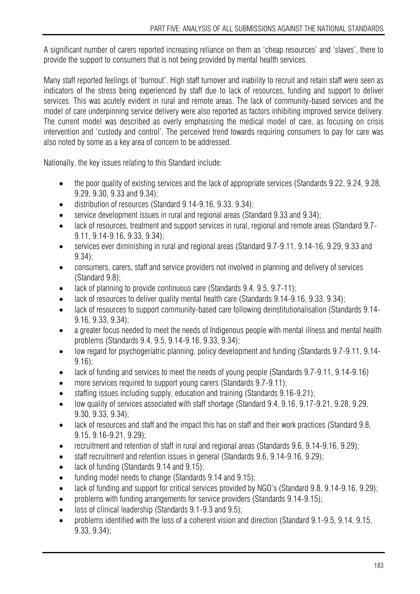A significant number of carers reported increasing reliance on them as 'cheap resources' and 'slaves', there to provide the support to consumers that is not being provided by mental health services.

Many staff reported feelings of 'burnout'. High staff turnover and inability to recruit and retain staff were seen as indicators of the stress being experienced by staff due to lack of resources, funding and support to deliver services. This was acutely evident in rural and remote areas. The lack of community-based services and the model of care underpinning service delivery were also reported as factors inhibiting improved service delivery. The current model was described as overly emphasising the medical model of care, as focusing on crisis intervention and 'custody and control'. The perceived trend towards requiring consumers to pay for care was also noted by some as a key area of concern to be addressed.

Nationally, the key issues relating to this Standard include:

- the poor quality of existing services and the lack of appropriate services (Standards 9.22, 9.24, 9.28, 9.29, 9.30, 9.33 and 9.34);
- distribution of resources (Standard 9.14-9.16, 9.33. 9.34);
- service development issues in rural and regional areas (Standard 9.33 and 9.34);
- lack of resources, treatment and support services in rural, regional and remote areas (Standard 9.7- 9.11, 9.14-9.16, 9.33, 9.34);
- services ever diminishing in rural and regional areas (Standard 9.7-9.11, 9.14-16, 9.29, 9.33 and 9.34);
- consumers, carers, staff and service providers not involved in planning and delivery of services (Standard 9.8);
- lack of planning to provide continuous care (Standards 9.4. 9.5, 9.7-11);
- lack of resources to deliver quality mental health care (Standards 9.14-9.16, 9.33, 9.34);
- lack of resources to support community-based care following deinstitutionalisation (Standards 9.14- 9.16, 9.33, 9.34);
- a greater focus needed to meet the needs of Indigenous people with mental illness and mental health problems (Standards 9.4, 9.5, 9.14-9.16, 9.33, 9.34);
- low regard for psychogeriatric planning, policy development and funding (Standards 9.7-9.11, 9.14- 9.16);
- lack of funding and services to meet the needs of young people (Standards 9.7-9.11, 9.14-9.16)
- more services required to support young carers (Standards 9.7-9.11);
- staffing issues including supply, education and training (Standards 9.16-9.21);
- low quality of services associated with staff shortage (Standard 9.4, 9.16, 9.17-9.21, 9.28, 9.29, 9.30, 9.33, 9.34);
- lack of resources and staff and the impact this has on staff and their work practices (Standard 9.8, 9.15, 9.16-9.21, 9.29);
- recruitment and retention of staff in rural and regional areas (Standards 9.6, 9.14-9.16, 9.29);
- staff recruitment and retention issues in general (Standards 9.6, 9.14-9.16, 9.29);
- lack of funding (Standards 9.14 and 9.15);
- funding model needs to change (Standards 9.14 and 9.15);
- lack of funding and support for critical services provided by NGO's (Standard 9.8, 9.14-9.16, 9.29);
- problems with funding arrangements for service providers (Standards 9.14-9.15);
- loss of clinical leadership (Standards 9.1-9.3 and 9.5);
- problems identified with the loss of a coherent vision and direction (Standard 9.1-9.5, 9.14, 9.15, 9.33, 9.34);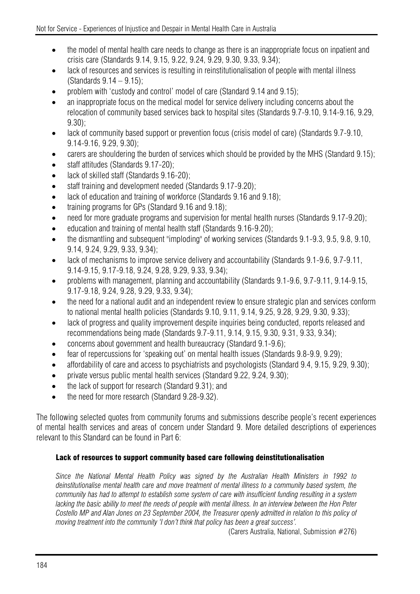- the model of mental health care needs to change as there is an inappropriate focus on inpatient and crisis care (Standards 9.14, 9.15, 9.22, 9.24, 9.29, 9.30, 9.33, 9.34);
- lack of resources and services is resulting in reinstitutionalisation of people with mental illness (Standards 9.14 – 9.15);
- problem with 'custody and control' model of care (Standard 9.14 and 9.15);
- an inappropriate focus on the medical model for service delivery including concerns about the relocation of community based services back to hospital sites (Standards 9.7-9.10, 9.14-9.16, 9.29, 9.30);
- lack of community based support or prevention focus (crisis model of care) (Standards 9.7-9.10, 9.14-9.16, 9.29, 9.30);
- carers are shouldering the burden of services which should be provided by the MHS (Standard 9.15);
- staff attitudes (Standards 9.17-20);
- lack of skilled staff (Standards 9.16-20);
- staff training and development needed (Standards 9.17-9.20);
- lack of education and training of workforce (Standards 9.16 and 9.18);
- training programs for GPs (Standard 9.16 and 9.18);
- need for more graduate programs and supervision for mental health nurses (Standards 9.17-9.20);
- education and training of mental health staff (Standards 9.16-9.20);
- the dismantling and subsequent "imploding" of working services (Standards 9.1-9.3, 9.5, 9.8, 9.10, 9.14, 9.24, 9.29, 9.33, 9.34);
- lack of mechanisms to improve service delivery and accountability (Standards 9.1-9.6, 9.7-9.11, 9.14-9.15, 9.17-9.18, 9.24, 9.28, 9.29, 9.33, 9.34);
- problems with management, planning and accountability (Standards 9.1-9.6, 9.7-9.11, 9.14-9.15, 9.17-9.18, 9.24, 9.28, 9.29, 9.33, 9.34);
- the need for a national audit and an independent review to ensure strategic plan and services conform to national mental health policies (Standards 9.10, 9.11, 9.14, 9.25, 9.28, 9.29, 9.30, 9.33);
- lack of progress and quality improvement despite inquiries being conducted, reports released and recommendations being made (Standards 9.7-9.11, 9.14, 9.15, 9.30, 9.31, 9.33, 9.34);
- concerns about government and health bureaucracy (Standard 9.1-9.6);
- fear of repercussions for 'speaking out' on mental health issues (Standards 9.8-9.9, 9.29);
- affordability of care and access to psychiatrists and psychologists (Standard 9.4, 9.15, 9.29, 9.30);
- private versus public mental health services (Standard 9.22, 9.24, 9.30);
- the lack of support for research (Standard 9.31); and
- the need for more research (Standard 9.28-9.32).

The following selected quotes from community forums and submissions describe people's recent experiences of mental health services and areas of concern under Standard 9. More detailed descriptions of experiences relevant to this Standard can be found in Part 6:

## Lack of resources to support community based care following deinstitutionalisation

*Since the National Mental Health Policy was signed by the Australian Health Ministers in 1992 to deinstitutionalise mental health care and move treatment of mental illness to a community based system, the community has had to attempt to establish some system of care with insufficient funding resulting in a system lacking the basic ability to meet the needs of people with mental illness. In an interview between the Hon Peter Costello MP and Alan Jones on 23 September 2004, the Treasurer openly admitted in relation to this policy of moving treatment into the community 'I don't think that policy has been a great success'.* 

(Carers Australia, National, Submission #276)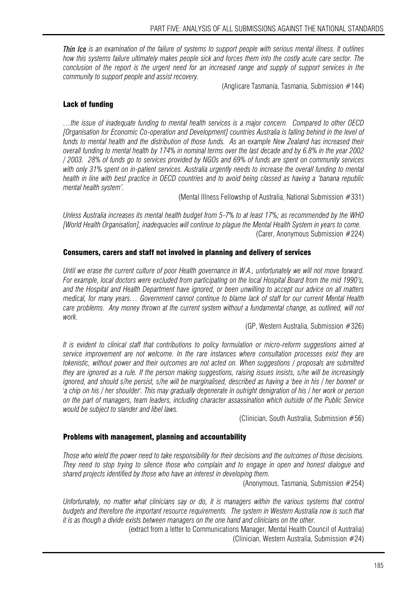*Thin Ice is an examination of the failure of systems to support people with serious mental illness. It outlines how this systems failure ultimately makes people sick and forces them into the costly acute care sector. The conclusion of the report is the urgent need for an increased range and supply of support services in the community to support people and assist recovery.* 

(Anglicare Tasmania, Tasmania, Submission #144)

#### Lack of funding

*…the issue of inadequate funding to mental health services is a major concern. Compared to other OECD [Organisation for Economic Co-operation and Development] countries Australia is falling behind in the level of funds to mental health and the distribution of those funds. As an example New Zealand has increased their overall funding to mental health by 174% in nominal terms over the last decade and by 6.8% in the year 2002 / 2003. 28% of funds go to services provided by NGOs and 69% of funds are spent on community services*  with only 31% spent on in-patient services. Australia urgently needs to increase the overall funding to mental *health in line with best practice in OECD countries and to avoid being classed as having a 'banana republic mental health system'.* 

(Mental Illness Fellowship of Australia, National Submission #331)

*Unless Australia increases its mental health budget from 5-7% to at least 17%; as recommended by the WHO [World Health Organisation], inadequacies will continue to plague the Mental Health System in years to come.*  (Carer, Anonymous Submission #224)

#### Consumers, carers and staff not involved in planning and delivery of services

*Until we erase the current culture of poor Health governance in W.A., unfortunately we will not move forward. For example, local doctors were excluded from participating on the local Hospital Board from the mid 1990's, and the Hospital and Health Department have ignored, or been unwilling to accept our advice on all matters medical, for many years… Government cannot continue to blame lack of staff for our current Mental Health care problems. Any money thrown at the current system without a fundamental change, as outlined, will not work.* 

(GP, Western Australia, Submission #326)

*It is evident to clinical staff that contributions to policy formulation or micro-reform suggestions aimed at service improvement are not welcome. In the rare instances where consultation processes exist they are tokenistic, without power and their outcomes are not acted on. When suggestions / proposals are submitted they are ignored as a rule. If the person making suggestions, raising issues insists, s/he will be increasingly ignored, and should s/he persist, s/he will be marginalised, described as having a 'bee in his / her bonnet' or 'a chip on his / her shoulder'. This may gradually degenerate in outright denigration of his / her work or person on the part of managers, team leaders, including character assassination which outside of the Public Service would be subject to slander and libel laws.* 

(Clinician, South Australia, Submission #56)

#### Problems with management, planning and accountability

*Those who wield the power need to take responsibility for their decisions and the outcomes of those decisions. They need to stop trying to silence those who complain and to engage in open and honest dialogue and shared projects identified by those who have an interest in developing them.* 

(Anonymous, Tasmania, Submission #254)

*Unfortunately, no matter what clinicians say or do, it is managers within the various systems that control budgets and therefore the important resource requirements. The system in Western Australia now is such that it is as though a divide exists between managers on the one hand and clinicians on the other.* 

(extract from a letter to Communications Manager, Mental Health Council of Australia) (Clinician, Western Australia, Submission #24)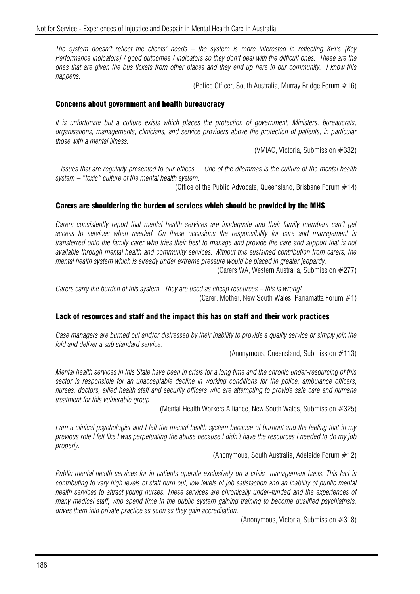*The system doesn't reflect the clients' needs – the system is more interested in reflecting KPI's [Key Performance Indicators] / good outcomes / indicators so they don't deal with the difficult ones. These are the ones that are given the bus tickets from other places and they end up here in our community. I know this happens.*

(Police Officer, South Australia, Murray Bridge Forum #16)

#### Concerns about government and health bureaucracy

*It is unfortunate but a culture exists which places the protection of government, Ministers, bureaucrats, organisations, managements, clinicians, and service providers above the protection of patients, in particular those with a mental illness.* 

(VMIAC, Victoria, Submission #332)

*...issues that are regularly presented to our offices… One of the dilemmas is the culture of the mental health system – "toxic" culture of the mental health system.* 

(Office of the Public Advocate, Queensland, Brisbane Forum  $#14$ )

#### Carers are shouldering the burden of services which should be provided by the MHS

*Carers consistently report that mental health services are inadequate and their family members can't get access to services when needed. On these occasions the responsibility for care and management is transferred onto the family carer who tries their best to manage and provide the care and support that is not available through mental health and community services. Without this sustained contribution from carers, the mental health system which is already under extreme pressure would be placed in greater jeopardy.* 

(Carers WA, Western Australia, Submission #277)

*Carers carry the burden of this system. They are used as cheap resources – this is wrong!*  (Carer, Mother, New South Wales, Parramatta Forum #1)

#### Lack of resources and staff and the impact this has on staff and their work practices

*Case managers are burned out and/or distressed by their inability to provide a quality service or simply join the fold and deliver a sub standard service.* 

(Anonymous, Queensland, Submission #113)

*Mental health services in this State have been in crisis for a long time and the chronic under-resourcing of this sector is responsible for an unacceptable decline in working conditions for the police, ambulance officers, nurses, doctors, allied health staff and security officers who are attempting to provide safe care and humane treatment for this vulnerable group.* 

(Mental Health Workers Alliance, New South Wales, Submission #325)

*I am a clinical psychologist and I left the mental health system because of burnout and the feeling that in my previous role I felt like I was perpetuating the abuse because I didn't have the resources I needed to do my job properly.* 

(Anonymous, South Australia, Adelaide Forum #12)

*Public mental health services for in-patients operate exclusively on a crisis- management basis. This fact is contributing to very high levels of staff burn out, low levels of job satisfaction and an inability of public mental health services to attract young nurses. These services are chronically under-funded and the experiences of many medical staff, who spend time in the public system gaining training to become qualified psychiatrists, drives them into private practice as soon as they gain accreditation.* 

(Anonymous, Victoria, Submission #318)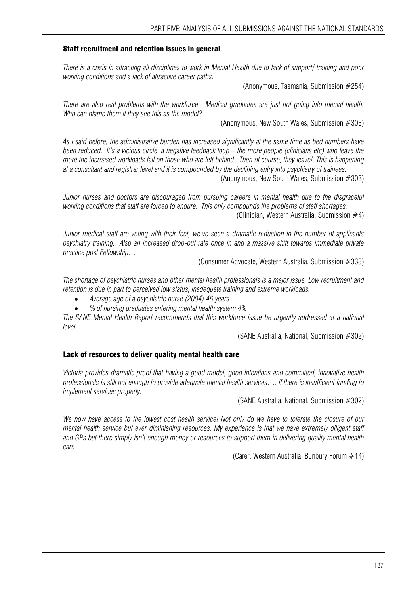#### Staff recruitment and retention issues in general

*There is a crisis in attracting all disciplines to work in Mental Health due to lack of support/ training and poor working conditions and a lack of attractive career paths.* 

(Anonymous, Tasmania, Submission #254)

*There are also real problems with the workforce. Medical graduates are just not going into mental health. Who can blame them if they see this as the model?* 

(Anonymous, New South Wales, Submission #303)

*As I said before, the administrative burden has increased significantly at the same time as bed numbers have been reduced. It's a vicious circle, a negative feedback loop – the more people (clinicians etc) who leave the more the increased workloads fall on those who are left behind. Then of course, they leave! This is happening at a consultant and registrar level and it is compounded by the declining entry into psychiatry of trainees.*  (Anonymous, New South Wales, Submission #303)

*Junior nurses and doctors are discouraged from pursuing careers in mental health due to the disgraceful working conditions that staff are forced to endure. This only compounds the problems of staff shortages.* 

(Clinician, Western Australia, Submission  $#4$ )

*Junior medical staff are voting with their feet, we've seen a dramatic reduction in the number of applicants psychiatry training. Also an increased drop-out rate once in and a massive shift towards immediate private practice post Fellowship…* 

(Consumer Advocate, Western Australia, Submission #338)

*The shortage of psychiatric nurses and other mental health professionals is a major issue. Low recruitment and retention is due in part to perceived low status, inadequate training and extreme workloads.* 

- *Average age of a psychiatric nurse (2004) 46 years*
- *% of nursing graduates entering mental health system 4%*

*The SANE Mental Health Report recommends that this workforce issue be urgently addressed at a national level.* 

(SANE Australia, National, Submission #302)

#### Lack of resources to deliver quality mental health care

*Victoria provides dramatic proof that having a good model, good intentions and committed, innovative health professionals is still not enough to provide adequate mental health services…. if there is insufficient funding to implement services properly.* 

(SANE Australia, National, Submission #302)

*We now have access to the lowest cost health service! Not only do we have to tolerate the closure of our mental health service but ever diminishing resources. My experience is that we have extremely diligent staff and GPs but there simply isn't enough money or resources to support them in delivering quality mental health care.* 

(Carer, Western Australia, Bunbury Forum #14)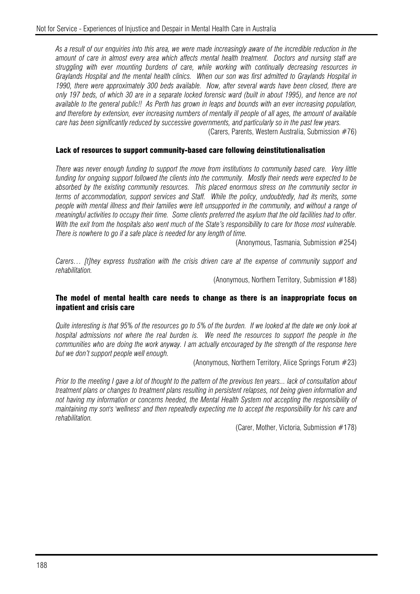*As a result of our enquiries into this area, we were made increasingly aware of the incredible reduction in the amount of care in almost every area which affects mental health treatment. Doctors and nursing staff are struggling with ever mounting burdens of care, while working with continually decreasing resources in Graylands Hospital and the mental health clinics. When our son was first admitted to Graylands Hospital in 1990, there were approximately 300 beds available. Now, after several wards have been closed, there are only 197 beds, of which 30 are in a separate locked forensic ward (built in about 1995), and hence are not available to the general public!! As Perth has grown in leaps and bounds with an ever increasing population, and therefore by extension, ever increasing numbers of mentally ill people of all ages, the amount of available care has been significantly reduced by successive governments, and particularly so in the past few years.* 

(Carers, Parents, Western Australia, Submission #76)

#### Lack of resources to support community-based care following deinstitutionalisation

*There was never enough funding to support the move from institutions to community based care. Very little funding for ongoing support followed the clients into the community. Mostly their needs were expected to be absorbed by the existing community resources. This placed enormous stress on the community sector in terms of accommodation, support services and Staff. While the policy, undoubtedly, had its merits, some people with mental illness and their families were left unsupported in the community, and without a range of meaningful activities to occupy their time. Some clients preferred the asylum that the old facilities had to offer. With the exit from the hospitals also went much of the State's responsibility to care for those most vulnerable. There is nowhere to go if a safe place is needed for any length of time.* 

(Anonymous, Tasmania, Submission #254)

*Carers… [t]hey express frustration with the crisis driven care at the expense of community support and rehabilitation.* 

(Anonymous, Northern Territory, Submission #188)

#### The model of mental health care needs to change as there is an inappropriate focus on inpatient and crisis care

*Quite interesting is that 95% of the resources go to 5% of the burden. If we looked at the date we only look at hospital admissions not where the real burden is. We need the resources to support the people in the communities who are doing the work anyway. I am actually encouraged by the strength of the response here but we don't support people well enough.* 

(Anonymous, Northern Territory, Alice Springs Forum #23)

*Prior to the meeting I gave a lot of thought to the pattern of the previous ten years... lack of consultation about treatment plans or changes to treatment plans resulting in persistent relapses, not being given information and not having my information or concerns heeded, the Mental Health System not accepting the responsibility of maintaining my son's 'wellness' and then repeatedly expecting me to accept the responsibility for his care and rehabilitation.* 

(Carer, Mother, Victoria, Submission #178)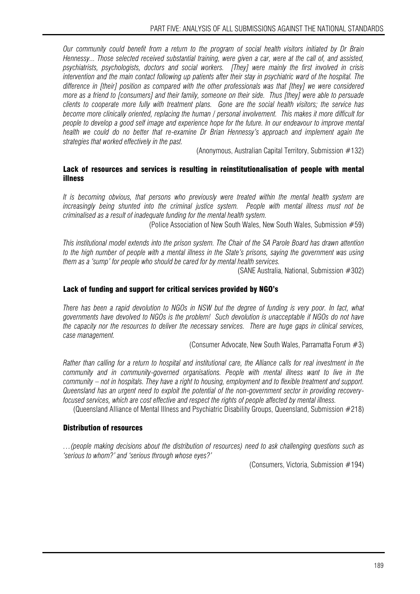*Our community could benefit from a return to the program of social health visitors initiated by Dr Brain Hennessy... Those selected received substantial training, were given a car, were at the call of, and assisted, psychiatrists, psychologists, doctors and social workers. [They] were mainly the first involved in crisis intervention and the main contact following up patients after their stay in psychiatric ward of the hospital. The difference in [their] position as compared with the other professionals was that [they] we were considered more as a friend to [consumers] and their family, someone on their side. Thus [they] were able to persuade clients to cooperate more fully with treatment plans. Gone are the social health visitors; the service has become more clinically oriented, replacing the human / personal involvement. This makes it more difficult for people to develop a good self image and experience hope for the future. In our endeavour to improve mental health we could do no better that re-examine Dr Brian Hennessy's approach and implement again the strategies that worked effectively in the past.* 

(Anonymous, Australian Capital Territory, Submission #132)

#### Lack of resources and services is resulting in reinstitutionalisation of people with mental illness

*It is becoming obvious, that persons who previously were treated within the mental health system are increasingly being shunted into the criminal justice system. People with mental illness must not be criminalised as a result of inadequate funding for the mental health system.* 

(Police Association of New South Wales, New South Wales, Submission #59)

*This institutional model extends into the prison system. The Chair of the SA Parole Board has drawn attention to the high number of people with a mental illness in the State's prisons, saying the government was using them as a 'sump' for people who should be cared for by mental health services.* 

(SANE Australia, National, Submission #302)

#### Lack of funding and support for critical services provided by NGO's

There has been a rapid devolution to NGOs in NSW but the degree of funding is very poor. In fact, what *governments have devolved to NGOs is the problem! Such devolution is unacceptable if NGOs do not have the capacity nor the resources to deliver the necessary services. There are huge gaps in clinical services, case management.* 

(Consumer Advocate, New South Wales, Parramatta Forum #3)

*Rather than calling for a return to hospital and institutional care, the Alliance calls for real investment in the community and in community-governed organisations. People with mental illness want to live in the community – not in hospitals. They have a right to housing, employment and to flexible treatment and support. Queensland has an urgent need to exploit the potential of the non-government sector in providing recoveryfocused services, which are cost effective and respect the rights of people affected by mental illness.* 

(Queensland Alliance of Mental Illness and Psychiatric Disability Groups, Queensland, Submission #218)

#### Distribution of resources

*…(people making decisions about the distribution of resources) need to ask challenging questions such as 'serious to whom?' and 'serious through whose eyes?'* 

(Consumers, Victoria, Submission #194)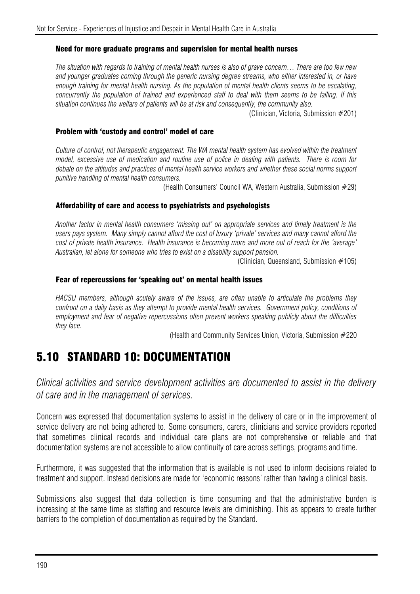#### Need for more graduate programs and supervision for mental health nurses

*The situation with regards to training of mental health nurses is also of grave concern… There are too few new and younger graduates coming through the generic nursing degree streams, who either interested in, or have enough training for mental health nursing. As the population of mental health clients seems to be escalating, concurrently the population of trained and experienced staff to deal with them seems to be falling. If this situation continues the welfare of patients will be at risk and consequently, the community also.* 

(Clinician, Victoria, Submission #201)

#### Problem with 'custody and control' model of care

*Culture of control, not therapeutic engagement. The WA mental health system has evolved within the treatment model, excessive use of medication and routine use of police in dealing with patients. There is room for debate on the attitudes and practices of mental health service workers and whether these social norms support punitive handling of mental health consumers.* 

(Health Consumers' Council WA, Western Australia, Submission #29)

#### Affordability of care and access to psychiatrists and psychologists

*Another factor in mental health consumers 'missing out' on appropriate services and timely treatment is the users pays system. Many simply cannot afford the cost of luxury 'private' services and many cannot afford the cost of private health insurance. Health insurance is becoming more and more out of reach for the 'average' Australian, let alone for someone who tries to exist on a disability support pension.* 

(Clinician, Queensland, Submission #105)

#### Fear of repercussions for 'speaking out' on mental health issues

*HACSU members, although acutely aware of the issues, are often unable to articulate the problems they confront on a daily basis as they attempt to provide mental health services. Government policy, conditions of employment and fear of negative repercussions often prevent workers speaking publicly about the difficulties they face.* 

(Health and Community Services Union, Victoria, Submission #220

# 5.10 STANDARD 10: DOCUMENTATION

*Clinical activities and service development activities are documented to assist in the delivery of care and in the management of services.* 

Concern was expressed that documentation systems to assist in the delivery of care or in the improvement of service delivery are not being adhered to. Some consumers, carers, clinicians and service providers reported that sometimes clinical records and individual care plans are not comprehensive or reliable and that documentation systems are not accessible to allow continuity of care across settings, programs and time.

Furthermore, it was suggested that the information that is available is not used to inform decisions related to treatment and support. Instead decisions are made for 'economic reasons' rather than having a clinical basis.

Submissions also suggest that data collection is time consuming and that the administrative burden is increasing at the same time as staffing and resource levels are diminishing. This as appears to create further barriers to the completion of documentation as required by the Standard.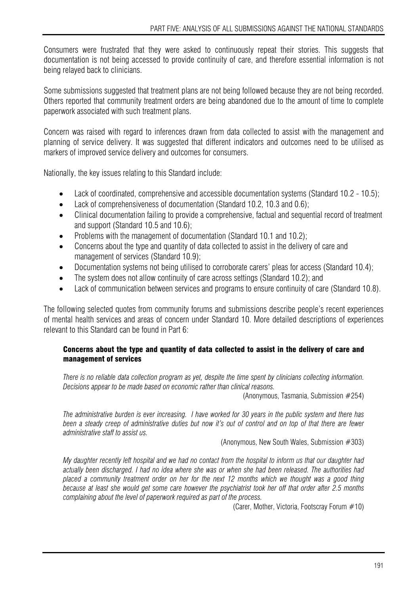Consumers were frustrated that they were asked to continuously repeat their stories. This suggests that documentation is not being accessed to provide continuity of care, and therefore essential information is not being relayed back to clinicians.

Some submissions suggested that treatment plans are not being followed because they are not being recorded. Others reported that community treatment orders are being abandoned due to the amount of time to complete paperwork associated with such treatment plans.

Concern was raised with regard to inferences drawn from data collected to assist with the management and planning of service delivery. It was suggested that different indicators and outcomes need to be utilised as markers of improved service delivery and outcomes for consumers.

Nationally, the key issues relating to this Standard include:

- Lack of coordinated, comprehensive and accessible documentation systems (Standard 10.2 10.5);
- Lack of comprehensiveness of documentation (Standard 10.2, 10.3 and 0.6);
- Clinical documentation failing to provide a comprehensive, factual and sequential record of treatment and support (Standard 10.5 and 10.6);
- Problems with the management of documentation (Standard 10.1 and 10.2);
- Concerns about the type and quantity of data collected to assist in the delivery of care and management of services (Standard 10.9);
- Documentation systems not being utilised to corroborate carers' pleas for access (Standard 10.4);
- The system does not allow continuity of care across settings (Standard 10.2); and
- Lack of communication between services and programs to ensure continuity of care (Standard 10.8).

The following selected quotes from community forums and submissions describe people's recent experiences of mental health services and areas of concern under Standard 10. More detailed descriptions of experiences relevant to this Standard can be found in Part 6:

### Concerns about the type and quantity of data collected to assist in the delivery of care and management of services

*There is no reliable data collection program as yet, despite the time spent by clinicians collecting information. Decisions appear to be made based on economic rather than clinical reasons.* 

(Anonymous, Tasmania, Submission #254)

*The administrative burden is ever increasing. I have worked for 30 years in the public system and there has been a steady creep of administrative duties but now it's out of control and on top of that there are fewer administrative staff to assist us.* 

(Anonymous, New South Wales, Submission #303)

*My daughter recently left hospital and we had no contact from the hospital to inform us that our daughter had actually been discharged. I had no idea where she was or when she had been released. The authorities had placed a community treatment order on her for the next 12 months which we thought was a good thing because at least she would get some care however the psychiatrist took her off that order after 2.5 months complaining about the level of paperwork required as part of the process.* 

(Carer, Mother, Victoria, Footscray Forum #10)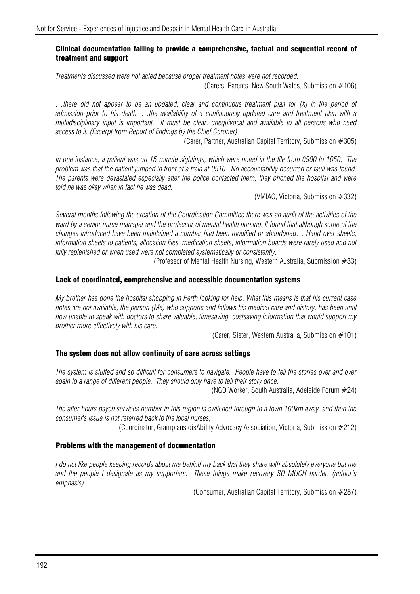#### Clinical documentation failing to provide a comprehensive, factual and sequential record of treatment and support

*Treatments discussed were not acted because proper treatment notes were not recorded.*  (Carers, Parents, New South Wales, Submission #106)

*…there did not appear to be an updated, clear and continuous treatment plan for [X] in the period of admission prior to his death. …the availability of a continuously updated care and treatment plan with a multidisciplinary input is important. It must be clear, unequivocal and available to all persons who need access to it. (Excerpt from Report of findings by the Chief Coroner)*

(Carer, Partner, Australian Capital Territory, Submission #305)

*In one instance, a patient was on 15-minute sightings, which were noted in the file from 0900 to 1050. The problem was that the patient jumped in front of a train at 0910. No accountability occurred or fault was found. The parents were devastated especially after the police contacted them, they phoned the hospital and were told he was okay when in fact he was dead.* 

(VMIAC, Victoria, Submission #332)

*Several months following the creation of the Coordination Committee there was an audit of the activities of the ward by a senior nurse manager and the professor of mental health nursing. It found that although some of the changes introduced have been maintained a number had been modified or abandoned… Hand-over sheets,*  information sheets to patients, allocation files, medication sheets, information boards were rarely used and not fully replenished or when used were not completed systematically or consistently.

(Professor of Mental Health Nursing, Western Australia, Submission #33)

#### Lack of coordinated, comprehensive and accessible documentation systems

*My brother has done the hospital shopping in Perth looking for help. What this means is that his current case notes are not available, the person (Me) who supports and follows his medical care and history, has been until now unable to speak with doctors to share valuable, timesaving, costsaving information that would support my brother more effectively with his care.* 

(Carer, Sister, Western Australia, Submission #101)

#### The system does not allow continuity of care across settings

*The system is stuffed and so difficult for consumers to navigate. People have to tell the stories over and over again to a range of different people. They should only have to tell their story once.* 

(NGO Worker, South Australia, Adelaide Forum #24)

*The after hours psych services number in this region is switched through to a town 100km away, and then the consumer's issue is not referred back to the local nurses;* 

(Coordinator, Grampians disAbility Advocacy Association, Victoria, Submission #212)

#### Problems with the management of documentation

*I do not like people keeping records about me behind my back that they share with absolutely everyone but me and the people I designate as my supporters. These things make recovery SO MUCH harder. (author's emphasis)* 

(Consumer, Australian Capital Territory, Submission #287)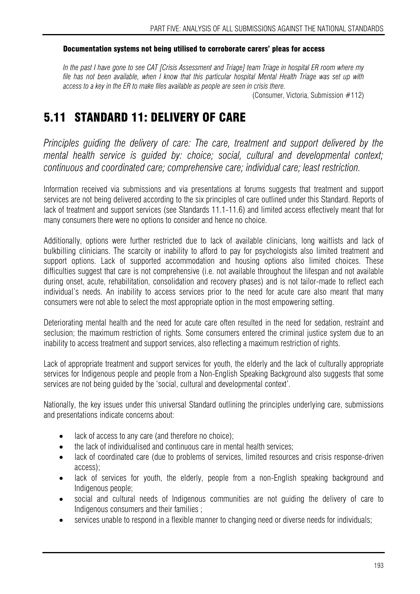#### Documentation systems not being utilised to corroborate carers' pleas for access

*In the past I have gone to see CAT [Crisis Assessment and Triage] team Triage in hospital ER room where my file has not been available, when I know that this particular hospital Mental Health Triage was set up with access to a key in the ER to make files available as people are seen in crisis there.* 

(Consumer, Victoria, Submission #112)

# 5.11 STANDARD 11: DELIVERY OF CARE

*Principles guiding the delivery of care: The care, treatment and support delivered by the mental health service is guided by: choice; social, cultural and developmental context; continuous and coordinated care; comprehensive care; individual care; least restriction.*

Information received via submissions and via presentations at forums suggests that treatment and support services are not being delivered according to the six principles of care outlined under this Standard. Reports of lack of treatment and support services (see Standards 11.1-11.6) and limited access effectively meant that for many consumers there were no options to consider and hence no choice.

Additionally, options were further restricted due to lack of available clinicians, long waitlists and lack of bulkbilling clinicians. The scarcity or inability to afford to pay for psychologists also limited treatment and support options. Lack of supported accommodation and housing options also limited choices. These difficulties suggest that care is not comprehensive (i.e. not available throughout the lifespan and not available during onset, acute, rehabilitation, consolidation and recovery phases) and is not tailor-made to reflect each individual's needs. An inability to access services prior to the need for acute care also meant that many consumers were not able to select the most appropriate option in the most empowering setting.

Deteriorating mental health and the need for acute care often resulted in the need for sedation, restraint and seclusion; the maximum restriction of rights. Some consumers entered the criminal justice system due to an inability to access treatment and support services, also reflecting a maximum restriction of rights.

Lack of appropriate treatment and support services for youth, the elderly and the lack of culturally appropriate services for Indigenous people and people from a Non-English Speaking Background also suggests that some services are not being quided by the 'social, cultural and developmental context'.

Nationally, the key issues under this universal Standard outlining the principles underlying care, submissions and presentations indicate concerns about:

- lack of access to any care (and therefore no choice);
- the lack of individualised and continuous care in mental health services:
- lack of coordinated care (due to problems of services, limited resources and crisis response-driven access);
- lack of services for youth, the elderly, people from a non-English speaking background and Indigenous people;
- social and cultural needs of Indigenous communities are not guiding the delivery of care to Indigenous consumers and their families ;
- services unable to respond in a flexible manner to changing need or diverse needs for individuals;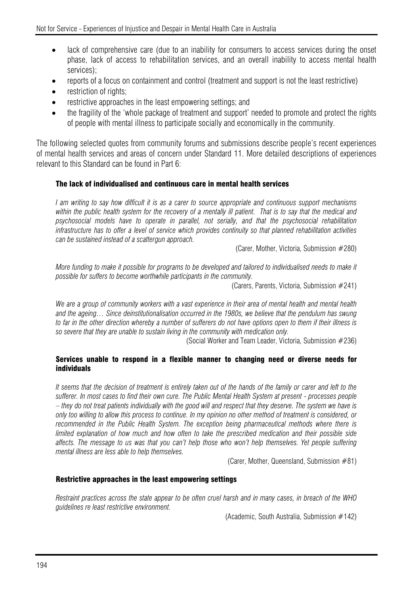- lack of comprehensive care (due to an inability for consumers to access services during the onset phase, lack of access to rehabilitation services, and an overall inability to access mental health services);
- reports of a focus on containment and control (treatment and support is not the least restrictive)
- restriction of rights:
- restrictive approaches in the least empowering settings; and
- the fragility of the 'whole package of treatment and support' needed to promote and protect the rights of people with mental illness to participate socially and economically in the community.

The following selected quotes from community forums and submissions describe people's recent experiences of mental health services and areas of concern under Standard 11. More detailed descriptions of experiences relevant to this Standard can be found in Part 6:

### The lack of individualised and continuous care in mental health services

*I am writing to say how difficult it is as a carer to source appropriate and continuous support mechanisms*  within the public health system for the recovery of a mentally ill patient. That is to say that the medical and *psychosocial models have to operate in parallel, not serially, and that the psychosocial rehabilitation infrastructure has to offer a level of service which provides continuity so that planned rehabilitation activities can be sustained instead of a scattergun approach.* 

(Carer, Mother, Victoria, Submission #280)

*More funding to make it possible for programs to be developed and tailored to individualised needs to make it possible for suffers to become worthwhile participants in the community.* 

(Carers, Parents, Victoria, Submission #241)

*We are a group of community workers with a vast experience in their area of mental health and mental health and the ageing… Since deinstitutionalisation occurred in the 1980s, we believe that the pendulum has swung to far in the other direction whereby a number of sufferers do not have options open to them if their illness is so severe that they are unable to sustain living in the community with medication only.* 

(Social Worker and Team Leader, Victoria, Submission #236)

#### Services unable to respond in a flexible manner to changing need or diverse needs for individuals

*It seems that the decision of treatment is entirely taken out of the hands of the family or carer and left to the sufferer. In most cases to find their own cure. The Public Mental Health System at present - processes people – they do not treat patients individually with the good will and respect that they deserve. The system we have is only too willing to allow this process to continue. In my opinion no other method of treatment is considered, or recommended in the Public Health System. The exception being pharmaceutical methods where there is limited explanation of how much and how often to take the prescribed medication and their possible side affects. The message to us was that you can't help those who won't help themselves. Yet people suffering mental illness are less able to help themselves.* 

(Carer, Mother, Queensland, Submission  $#81$ )

#### Restrictive approaches in the least empowering settings

*Restraint practices across the state appear to be often cruel harsh and in many cases, in breach of the WHO guidelines re least restrictive environment.* 

(Academic, South Australia, Submission #142)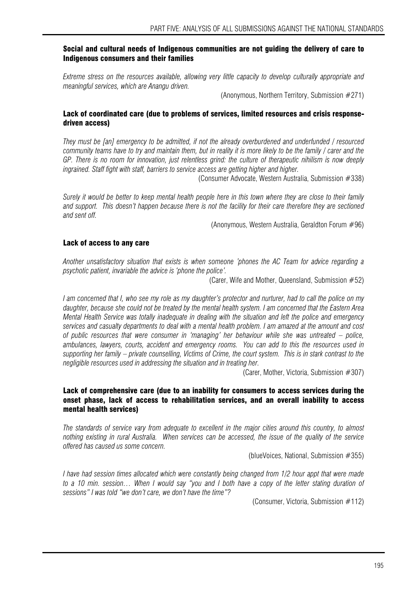#### Social and cultural needs of Indigenous communities are not guiding the delivery of care to Indigenous consumers and their families

*Extreme stress on the resources available, allowing very little capacity to develop culturally appropriate and meaningful services, which are Anangu driven.* 

(Anonymous, Northern Territory, Submission #271)

#### Lack of coordinated care (due to problems of services, limited resources and crisis responsedriven access)

*They must be [an] emergency to be admitted, if not the already overburdened and underfunded / resourced community teams have to try and maintain them, but in reality it is more likely to be the family / carer and the GP. There is no room for innovation, just relentless grind: the culture of therapeutic nihilism is now deeply ingrained. Staff fight with staff, barriers to service access are getting higher and higher.* 

(Consumer Advocate, Western Australia, Submission #338)

*Surely it would be better to keep mental health people here in this town where they are close to their family and support. This doesn't happen because there is not the facility for their care therefore they are sectioned and sent off.* 

(Anonymous, Western Australia, Geraldton Forum #96)

#### Lack of access to any care

*Another unsatisfactory situation that exists is when someone 'phones the AC Team for advice regarding a psychotic patient, invariable the advice is 'phone the police'.* 

(Carer, Wife and Mother, Queensland, Submission #52)

*I am concerned that I, who see my role as my daughter's protector and nurturer, had to call the police on my daughter, because she could not be treated by the mental health system. I am concerned that the Eastern Area Mental Health Service was totally inadequate in dealing with the situation and left the police and emergency services and casualty departments to deal with a mental health problem. I am amazed at the amount and cost of public resources that were consumer in 'managing' her behaviour while she was untreated – police, ambulances, lawyers, courts, accident and emergency rooms. You can add to this the resources used in supporting her family – private counselling, Victims of Crime, the court system. This is in stark contrast to the negligible resources used in addressing the situation and in treating her.* 

(Carer, Mother, Victoria, Submission #307)

#### Lack of comprehensive care (due to an inability for consumers to access services during the onset phase, lack of access to rehabilitation services, and an overall inability to access mental health services)

*The standards of service vary from adequate to excellent in the major cities around this country, to almost nothing existing in rural Australia. When services can be accessed, the issue of the quality of the service offered has caused us some concern.* 

(blueVoices, National, Submission #355)

*I have had session times allocated which were constantly being changed from 1/2 hour appt that were made to a 10 min. session… When I would say "you and I both have a copy of the letter stating duration of sessions" I was told "we don't care, we don't have the time"?* 

(Consumer, Victoria, Submission #112)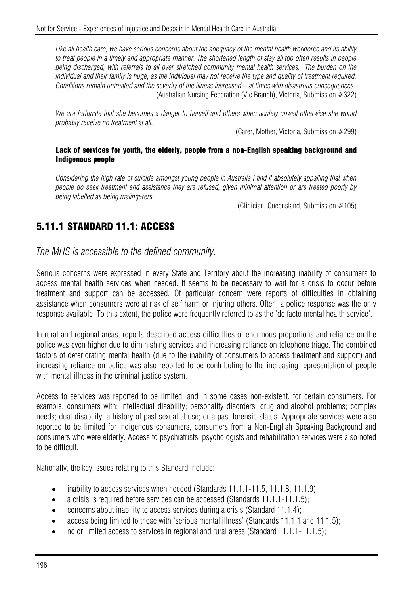*Like all health care, we have serious concerns about the adequacy of the mental health workforce and its ability to treat people in a timely and appropriate manner. The shortened length of stay all too often results in people being discharged, with referrals to all over stretched community mental health services. The burden on the individual and their family is huge, as the individual may not receive the type and quality of treatment required. Conditions remain untreated and the severity of the illness increased – at times with disastrous consequences.*  (Australian Nursing Federation (Vic Branch), Victoria, Submission #322)

*We are fortunate that she becomes a danger to herself and others when acutely unwell otherwise she would probably receive no treatment at all.* 

(Carer, Mother, Victoria, Submission #299)

#### Lack of services for youth, the elderly, people from a non-English speaking background and Indigenous people

*Considering the high rate of suicide amongst young people in Australia I find it absolutely appalling that when people do seek treatment and assistance they are refused, given minimal attention or are treated poorly by being labelled as being malingerers* 

(Clinician, Queensland, Submission #105)

# 5.11.1 STANDARD 11.1: ACCESS

*The MHS is accessible to the defined community.* 

Serious concerns were expressed in every State and Territory about the increasing inability of consumers to access mental health services when needed. It seems to be necessary to wait for a crisis to occur before treatment and support can be accessed. Of particular concern were reports of difficulties in obtaining assistance when consumers were at risk of self harm or injuring others. Often, a police response was the only response available. To this extent, the police were frequently referred to as the 'de facto mental health service'.

In rural and regional areas, reports described access difficulties of enormous proportions and reliance on the police was even higher due to diminishing services and increasing reliance on telephone triage. The combined factors of deteriorating mental health (due to the inability of consumers to access treatment and support) and increasing reliance on police was also reported to be contributing to the increasing representation of people with mental illness in the criminal justice system.

Access to services was reported to be limited, and in some cases non-existent, for certain consumers. For example, consumers with: intellectual disability; personality disorders; drug and alcohol problems; complex needs; dual disability; a history of past sexual abuse; or a past forensic status. Appropriate services were also reported to be limited for Indigenous consumers, consumers from a Non-English Speaking Background and consumers who were elderly. Access to psychiatrists, psychologists and rehabilitation services were also noted to be difficult.

Nationally, the key issues relating to this Standard include:

- inability to access services when needed (Standards  $11.1.1$ -11.5, 11.1.8, 11.1.9);
- a crisis is required before services can be accessed (Standards 11.1.1-11.1.5);
- concerns about inability to access services during a crisis (Standard 11.1.4);
- access being limited to those with 'serious mental illness' (Standards 11.1.1 and 11.1.5);
- no or limited access to services in regional and rural areas (Standard 11.1.1-11.1.5);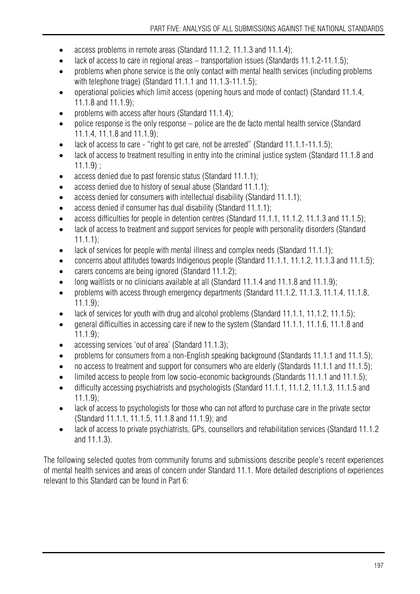- access problems in remote areas (Standard 11.1.2, 11.1.3 and 11.1.4);
- lack of access to care in regional areas transportation issues (Standards 11.1.2-11.1.5);
- problems when phone service is the only contact with mental health services (including problems with telephone triage) (Standard 11.1.1 and 11.1.3-11.1.5);
- operational policies which limit access (opening hours and mode of contact) (Standard 11.1.4, 11.1.8 and 11.1.9);
- problems with access after hours (Standard 11.1.4);
- police response is the only response police are the de facto mental health service (Standard 11.1.4, 11.1.8 and 11.1.9);
- lack of access to care "right to get care, not be arrested" (Standard 11.1.1-11.1.5);
- lack of access to treatment resulting in entry into the criminal justice system (Standard 11.1.8 and  $11.1.9$ :
- access denied due to past forensic status (Standard 11.1.1);
- access denied due to history of sexual abuse (Standard 11.1.1);
- access denied for consumers with intellectual disability (Standard 11.1.1);
- access denied if consumer has dual disability (Standard 11.1.1);
- access difficulties for people in detention centres (Standard 11.1.1, 11.1.2, 11.1.3 and 11.1.5);
- lack of access to treatment and support services for people with personality disorders (Standard 11.1.1);
- lack of services for people with mental illness and complex needs (Standard 11.1.1);
- concerns about attitudes towards Indigenous people (Standard 11.1.1, 11.1.2, 11.1.3 and 11.1.5);
- carers concerns are being ignored (Standard 11.1.2);
- long waitlists or no clinicians available at all (Standard 11.1.4 and 11.1.8 and 11.1.9);
- problems with access through emergency departments (Standard 11.1.2, 11.1.3, 11.1.4, 11.1.8, 11.1.9);
- lack of services for youth with drug and alcohol problems (Standard 11.1.1, 11.1.2, 11.1.5);
- general difficulties in accessing care if new to the system (Standard 11.1.1, 11.1.6, 11.1.8 and 11.1.9);
- accessing services 'out of area' (Standard 11.1.3);
- problems for consumers from a non-English speaking background (Standards 11.1.1 and 11.1.5);
- no access to treatment and support for consumers who are elderly (Standards 11.1.1 and 11.1.5);
- limited access to people from low socio-economic backgrounds (Standards 11.1.1 and 11.1.5);
- difficulty accessing psychiatrists and psychologists (Standard 11.1.1, 11.1.2, 11.1.3, 11.1.5 and 11.1.9);
- lack of access to psychologists for those who can not afford to purchase care in the private sector (Standard 11.1.1, 11.1.5, 11.1.8 and 11.1.9); and
- lack of access to private psychiatrists, GPs, counsellors and rehabilitation services (Standard 11.1.2 and 11.1.3).

The following selected quotes from community forums and submissions describe people's recent experiences of mental health services and areas of concern under Standard 11.1. More detailed descriptions of experiences relevant to this Standard can be found in Part 6: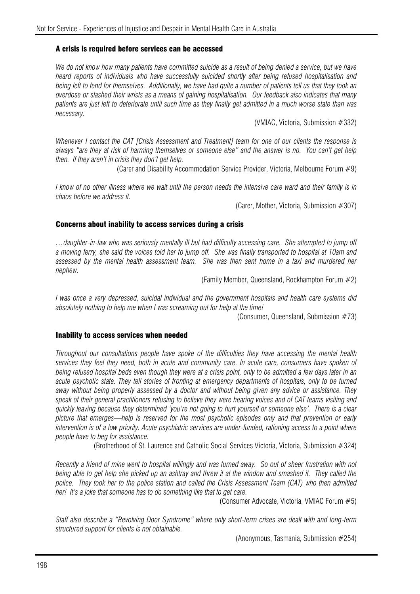#### A crisis is required before services can be accessed

*We do not know how many patients have committed suicide as a result of being denied a service, but we have heard reports of individuals who have successfully suicided shortly after being refused hospitalisation and being left to fend for themselves. Additionally, we have had quite a number of patients tell us that they took an overdose or slashed their wrists as a means of gaining hospitalisation. Our feedback also indicates that many patients are just left to deteriorate until such time as they finally get admitted in a much worse state than was necessary.* 

(VMIAC, Victoria, Submission #332)

*Whenever I contact the CAT [Crisis Assessment and Treatment] team for one of our clients the response is always "are they at risk of harming themselves or someone else" and the answer is no. You can't get help then. If they aren't in crisis they don't get help.* 

(Carer and Disability Accommodation Service Provider, Victoria, Melbourne Forum #9)

*I know of no other illness where we wait until the person needs the intensive care ward and their family is in chaos before we address it.* 

(Carer, Mother, Victoria, Submission #307)

#### Concerns about inability to access services during a crisis

*…daughter-in-law who was seriously mentally ill but had difficulty accessing care. She attempted to jump off a moving ferry, she said the voices told her to jump off. She was finally transported to hospital at 10am and assessed by the mental health assessment team. She was then sent home in a taxi and murdered her nephew.* 

(Family Member, Queensland, Rockhampton Forum #2)

*I was once a very depressed, suicidal individual and the government hospitals and health care systems did absolutely nothing to help me when I was screaming out for help at the time!* 

(Consumer, Queensland, Submission #73)

#### Inability to access services when needed

*Throughout our consultations people have spoke of the difficulties they have accessing the mental health*  services they feel they need, both in acute and community care. In acute care, consumers have spoken of *being refused hospital beds even though they were at a crisis point, only to be admitted a few days later in an acute psychotic state. They tell stories of fronting at emergency departments of hospitals, only to be turned away without being properly assessed by a doctor and without being given any advice or assistance. They speak of their general practitioners refusing to believe they were hearing voices and of CAT teams visiting and quickly leaving because they determined 'you're not going to hurt yourself or someone else'. There is a clear picture that emerges—help is reserved for the most psychotic episodes only and that prevention or early intervention is of a low priority. Acute psychiatric services are under-funded, rationing access to a point where people have to beg for assistance.* 

(Brotherhood of St. Laurence and Catholic Social Services Victoria, Victoria, Submission #324)

*Recently a friend of mine went to hospital willingly and was turned away. So out of sheer frustration with not being able to get help she picked up an ashtray and threw it at the window and smashed it. They called the police. They took her to the police station and called the Crisis Assessment Team (CAT) who then admitted her! It's a joke that someone has to do something like that to get care.* 

(Consumer Advocate, Victoria, VMIAC Forum #5)

*Staff also describe a "Revolving Door Syndrome" where only short-term crises are dealt with and long-term structured support for clients is not obtainable.* 

(Anonymous, Tasmania, Submission #254)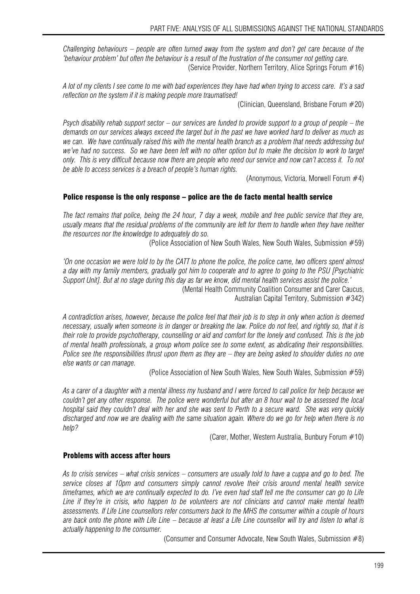*Challenging behaviours – people are often turned away from the system and don't get care because of the 'behaviour problem' but often the behaviour is a result of the frustration of the consumer not getting care.*  (Service Provider, Northern Territory, Alice Springs Forum #16)

*A lot of my clients I see come to me with bad experiences they have had when trying to access care. It's a sad reflection on the system if it is making people more traumatised!* 

(Clinician, Queensland, Brisbane Forum #20)

*Psych disability rehab support sector – our services are funded to provide support to a group of people – the demands on our services always exceed the target but in the past we have worked hard to deliver as much as we can. We have continually raised this with the mental health branch as a problem that needs addressing but we've had no success. So we have been left with no other option but to make the decision to work to target only. This is very difficult because now there are people who need our service and now can't access it. To not be able to access services is a breach of people's human rights.* 

(Anonymous, Victoria, Morwell Forum #4)

#### Police response is the only response – police are the de facto mental health service

*The fact remains that police, being the 24 hour, 7 day a week, mobile and free public service that they are, usually means that the residual problems of the community are left for them to handle when they have neither the resources nor the knowledge to adequately do so.* 

(Police Association of New South Wales, New South Wales, Submission #59)

*'On one occasion we were told to by the CATT to phone the police, the police came, two officers spent almost a day with my family members, gradually got him to cooperate and to agree to going to the PSU [Psychiatric Support Unit]. But at no stage during this day as far we know, did mental health services assist the police.'*  (Mental Health Community Coalition Consumer and Carer Caucus,

Australian Capital Territory, Submission #342)

*A contradiction arises, however, because the police feel that their job is to step in only when action is deemed necessary, usually when someone is in danger or breaking the law. Police do not feel, and rightly so, that it is their role to provide psychotherapy, counselling or aid and comfort for the lonely and confused. This is the job of mental health professionals, a group whom police see to some extent, as abdicating their responsibilities. Police see the responsibilities thrust upon them as they are – they are being asked to shoulder duties no one else wants or can manage.* 

(Police Association of New South Wales, New South Wales, Submission #59)

*As a carer of a daughter with a mental illness my husband and I were forced to call police for help because we couldn't get any other response. The police were wonderful but after an 8 hour wait to be assessed the local hospital said they couldn't deal with her and she was sent to Perth to a secure ward. She was very quickly discharged and now we are dealing with the same situation again. Where do we go for help when there is no help?* 

(Carer, Mother, Western Australia, Bunbury Forum #10)

#### Problems with access after hours

*As to crisis services – what crisis services – consumers are usually told to have a cuppa and go to bed. The service closes at 10pm and consumers simply cannot revolve their crisis around mental health service timeframes, which we are continually expected to do. I've even had staff tell me the consumer can go to Life Line if they're in crisis, who happen to be volunteers are not clinicians and cannot make mental health assessments. If Life Line counsellors refer consumers back to the MHS the consumer within a couple of hours are back onto the phone with Life Line – because at least a Life Line counsellor will try and listen to what is actually happening to the consumer.* 

(Consumer and Consumer Advocate, New South Wales, Submission #8)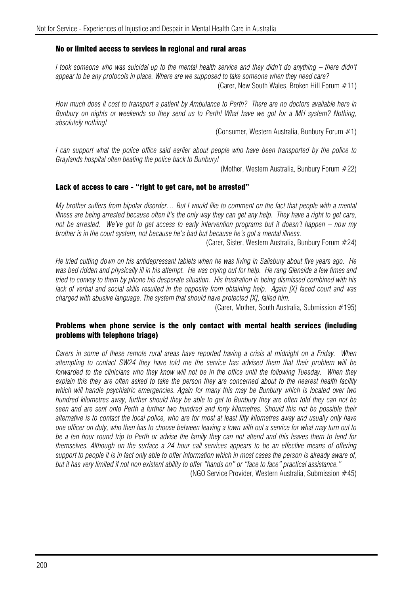#### No or limited access to services in regional and rural areas

*I* took someone who was suicidal up to the mental health service and they didn't do anything – there didn't *appear to be any protocols in place. Where are we supposed to take someone when they need care?* 

(Carer, New South Wales, Broken Hill Forum #11)

*How much does it cost to transport a patient by Ambulance to Perth? There are no doctors available here in Bunbury on nights or weekends so they send us to Perth! What have we got for a MH system? Nothing, absolutely nothing!* 

(Consumer, Western Australia, Bunbury Forum #1)

*I can support what the police office said earlier about people who have been transported by the police to Graylands hospital often beating the police back to Bunbury!* 

(Mother, Western Australia, Bunbury Forum #22)

#### Lack of access to care - "right to get care, not be arrested"

*My brother suffers from bipolar disorder… But I would like to comment on the fact that people with a mental illness are being arrested because often it's the only way they can get any help. They have a right to get care, not be arrested. We've got to get access to early intervention programs but it doesn't happen – now my brother is in the court system, not because he's bad but because he's got a mental illness.* 

(Carer, Sister, Western Australia, Bunbury Forum #24)

*He tried cutting down on his antidepressant tablets when he was living in Salisbury about five years ago. He*  was bed ridden and physically ill in his attempt. He was crying out for help. He rang Glenside a few times and *tried to convey to them by phone his desperate situation. His frustration in being dismissed combined with his*  lack of verbal and social skills resulted in the opposite from obtaining help. Again [X] faced court and was *charged with abusive language. The system that should have protected [X], failed him.* 

(Carer, Mother, South Australia, Submission #195)

#### Problems when phone service is the only contact with mental health services (including problems with telephone triage)

*Carers in some of these remote rural areas have reported having a crisis at midnight on a Friday. When attempting to contact SW24 they have told me the service has advised them that their problem will be forwarded to the clinicians who they know will not be in the office until the following Tuesday. When they explain this they are often asked to take the person they are concerned about to the nearest health facility which will handle psychiatric emergencies. Again for many this may be Bunbury which is located over two hundred kilometres away, further should they be able to get to Bunbury they are often told they can not be seen and are sent onto Perth a further two hundred and forty kilometres. Should this not be possible their alternative is to contact the local police, who are for most at least fifty kilometres away and usually only have one officer on duty, who then has to choose between leaving a town with out a service for what may turn out to be a ten hour round trip to Perth or advise the family they can not attend and this leaves them to fend for themselves. Although on the surface a 24 hour call services appears to be an effective means of offering support to people it is in fact only able to offer information which in most cases the person is already aware of, but it has very limited if not non existent ability to offer "hands on" or "face to face" practical assistance."* 

(NGO Service Provider, Western Australia, Submission #45)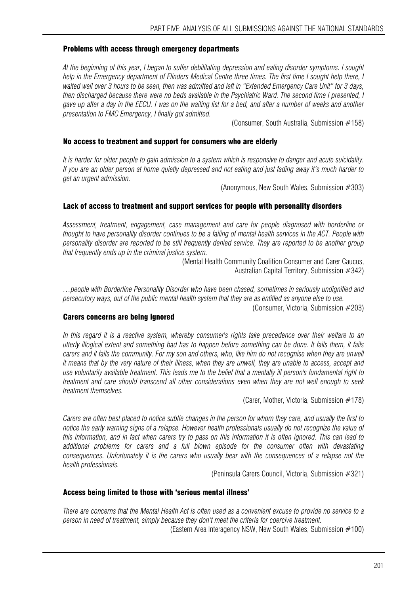#### Problems with access through emergency departments

*At the beginning of this year, I began to suffer debilitating depression and eating disorder symptoms. I sought help in the Emergency department of Flinders Medical Centre three times. The first time I sought help there, I*  waited well over 3 hours to be seen, then was admitted and left in "Extended Emergency Care Unit" for 3 days, *then discharged because there were no beds available in the Psychiatric Ward. The second time I presented, I gave up after a day in the EECU. I was on the waiting list for a bed, and after a number of weeks and another presentation to FMC Emergency, I finally got admitted.* 

(Consumer, South Australia, Submission #158)

#### No access to treatment and support for consumers who are elderly

*It is harder for older people to gain admission to a system which is responsive to danger and acute suicidality. If you are an older person at home quietly depressed and not eating and just fading away it's much harder to get an urgent admission.* 

(Anonymous, New South Wales, Submission #303)

#### Lack of access to treatment and support services for people with personality disorders

*Assessment, treatment, engagement, case management and care for people diagnosed with borderline or thought to have personality disorder continues to be a failing of mental health services in the ACT. People with personality disorder are reported to be still frequently denied service. They are reported to be another group that frequently ends up in the criminal justice system.* 

> (Mental Health Community Coalition Consumer and Carer Caucus, Australian Capital Territory, Submission #342)

*…people with Borderline Personality Disorder who have been chased, sometimes in seriously undignified and persecutory ways, out of the public mental health system that they are as entitled as anyone else to use.* 

(Consumer, Victoria, Submission #203)

#### Carers concerns are being ignored

*In this regard it is a reactive system, whereby consumer's rights take precedence over their welfare to an utterly illogical extent and something bad has to happen before something can be done. It fails them, it fails carers and it fails the community. For my son and others, who, like him do not recognise when they are unwell it means that by the very nature of their illness, when they are unwell, they are unable to access, accept and use voluntarily available treatment. This leads me to the belief that a mentally ill person's fundamental right to treatment and care should transcend all other considerations even when they are not well enough to seek treatment themselves.* 

(Carer, Mother, Victoria, Submission #178)

*Carers are often best placed to notice subtle changes in the person for whom they care, and usually the first to*  notice the early warning signs of a relapse. However health professionals usually do not recognize the value of *this information, and in fact when carers try to pass on this information it is often ignored. This can lead to additional problems for carers and a full blown episode for the consumer often with devastating consequences. Unfortunately it is the carers who usually bear with the consequences of a relapse not the health professionals.* 

(Peninsula Carers Council, Victoria, Submission #321)

#### Access being limited to those with 'serious mental illness'

*There are concerns that the Mental Health Act is often used as a convenient excuse to provide no service to a person in need of treatment, simply because they don't meet the criteria for coercive treatment.* 

(Eastern Area Interagency NSW, New South Wales, Submission #100)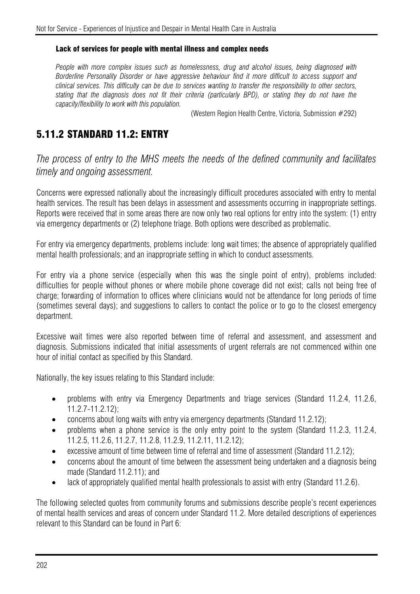#### Lack of services for people with mental illness and complex needs

*People with more complex issues such as homelessness, drug and alcohol issues, being diagnosed with Borderline Personality Disorder or have aggressive behaviour find it more difficult to access support and clinical services. This difficulty can be due to services wanting to transfer the responsibility to other sectors, stating that the diagnosis does not fit their criteria (particularly BPD), or stating they do not have the capacity/flexibility to work with this population.* 

(Western Region Health Centre, Victoria, Submission #292)

# 5.11.2 STANDARD 11.2: ENTRY

*The process of entry to the MHS meets the needs of the defined community and facilitates timely and ongoing assessment.* 

Concerns were expressed nationally about the increasingly difficult procedures associated with entry to mental health services. The result has been delays in assessment and assessments occurring in inappropriate settings. Reports were received that in some areas there are now only two real options for entry into the system: (1) entry via emergency departments or (2) telephone triage. Both options were described as problematic.

For entry via emergency departments, problems include: long wait times; the absence of appropriately qualified mental health professionals; and an inappropriate setting in which to conduct assessments.

For entry via a phone service (especially when this was the single point of entry), problems included: difficulties for people without phones or where mobile phone coverage did not exist; calls not being free of charge; forwarding of information to offices where clinicians would not be attendance for long periods of time (sometimes several days); and suggestions to callers to contact the police or to go to the closest emergency department.

Excessive wait times were also reported between time of referral and assessment, and assessment and diagnosis. Submissions indicated that initial assessments of urgent referrals are not commenced within one hour of initial contact as specified by this Standard.

Nationally, the key issues relating to this Standard include:

- problems with entry via Emergency Departments and triage services (Standard 11.2.4, 11.2.6, 11.2.7-11.2.12);
- concerns about long waits with entry via emergency departments (Standard 11.2.12);
- problems when a phone service is the only entry point to the system (Standard 11.2.3, 11.2.4, 11.2.5, 11.2.6, 11.2.7, 11.2.8, 11.2.9, 11.2.11, 11.2.12);
- excessive amount of time between time of referral and time of assessment (Standard 11.2.12);
- concerns about the amount of time between the assessment being undertaken and a diagnosis being made (Standard 11.2.11); and
- lack of appropriately qualified mental health professionals to assist with entry (Standard 11.2.6).

The following selected quotes from community forums and submissions describe people's recent experiences of mental health services and areas of concern under Standard 11.2. More detailed descriptions of experiences relevant to this Standard can be found in Part 6: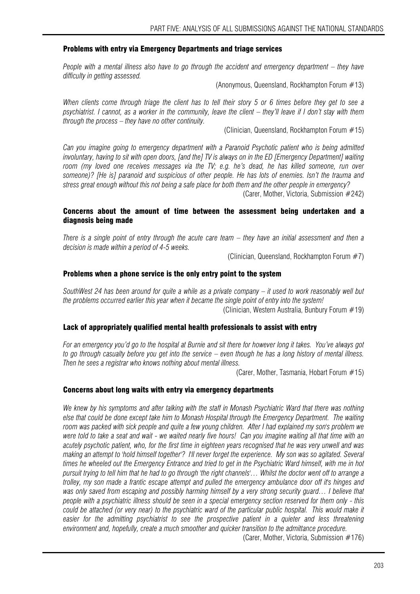#### Problems with entry via Emergency Departments and triage services

*People with a mental illness also have to go through the accident and emergency department – they have difficulty in getting assessed.* 

(Anonymous, Queensland, Rockhampton Forum #13)

*When clients come through triage the client has to tell their story 5 or 6 times before they get to see a psychiatrist. I cannot, as a worker in the community, leave the client – they'll leave if I don't stay with them through the process – they have no other continuity.* 

(Clinician, Queensland, Rockhampton Forum #15)

*Can you imagine going to emergency department with a Paranoid Psychotic patient who is being admitted involuntary, having to sit with open doors, [and the] TV is always on in the ED [Emergency Department] waiting room (my loved one receives messages via the TV; e.g. he's dead, he has killed someone, run over someone)? [He is] paranoid and suspicious of other people. He has lots of enemies. Isn't the trauma and stress great enough without this not being a safe place for both them and the other people in emergency?* 

(Carer, Mother, Victoria, Submission #242)

#### Concerns about the amount of time between the assessment being undertaken and a diagnosis being made

*There is a single point of entry through the acute care team – they have an initial assessment and then a decision is made within a period of 4-5 weeks.* 

(Clinician, Queensland, Rockhampton Forum #7)

#### Problems when a phone service is the only entry point to the system

*SouthWest 24 has been around for quite a while as a private company – it used to work reasonably well but the problems occurred earlier this year when it became the single point of entry into the system!*  (Clinician, Western Australia, Bunbury Forum #19)

#### Lack of appropriately qualified mental health professionals to assist with entry

*For an emergency you'd go to the hospital at Burnie and sit there for however long it takes. You've always got to go through casualty before you get into the service – even though he has a long history of mental illness. Then he sees a registrar who knows nothing about mental illness.* 

(Carer, Mother, Tasmania, Hobart Forum #15)

#### Concerns about long waits with entry via emergency departments

*We knew by his symptoms and after talking with the staff in Monash Psychiatric Ward that there was nothing else that could be done except take him to Monash Hospital through the Emergency Department. The waiting room was packed with sick people and quite a few young children. After I had explained my son's problem we were told to take a seat and wait - we waited nearly five hours! Can you imagine waiting all that time with an acutely psychotic patient, who, for the first time in eighteen years recognised that he was very unwell and was making an attempt to 'hold himself together'? I'll never forget the experience. My son was so agitated. Several times he wheeled out the Emergency Entrance and tried to get in the Psychiatric Ward himself, with me in hot pursuit trying to tell him that he had to go through 'the right channels'… Whilst the doctor went off to arrange a trolley, my son made a frantic escape attempt and pulled the emergency ambulance door off it's hinges and was only saved from escaping and possibly harming himself by a very strong security guard… I believe that people with a psychiatric illness should be seen in a special emergency section reserved for them only - this could be attached (or very near) to the psychiatric ward of the particular public hospital. This would make it* easier for the admitting psychiatrist to see the prospective patient in a quieter and less threatening *environment and, hopefully, create a much smoother and quicker transition to the admittance procedure.* 

(Carer, Mother, Victoria, Submission #176)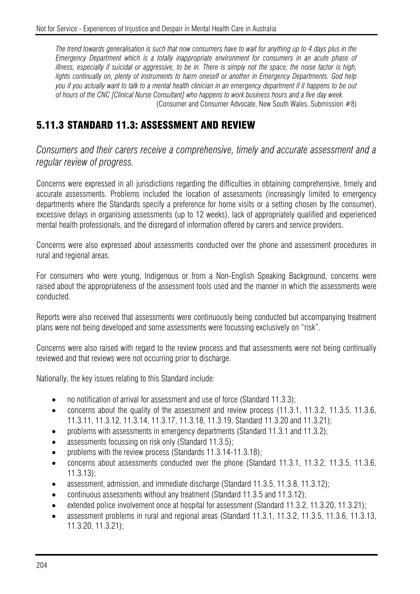*The trend towards generalisation is such that now consumers have to wait for anything up to 4 days plus in the Emergency Department which is a totally inappropriate environment for consumers in an acute phase of illness, especially if suicidal or aggressive, to be in. There is simply not the space; the noise factor is high, lights continually on, plenty of instruments to harm oneself or another in Emergency Departments. God help you if you actually want to talk to a mental health clinician in an emergency department if it happens to be out of hours of the CNC [Clinical Nurse Consultant] who happens to work business hours and a five day week.*  (Consumer and Consumer Advocate, New South Wales, Submission #8)

# 5.11.3 STANDARD 11.3: ASSESSMENT AND REVIEW

*Consumers and their carers receive a comprehensive, timely and accurate assessment and a regular review of progress.*

Concerns were expressed in all jurisdictions regarding the difficulties in obtaining comprehensive, timely and accurate assessments. Problems included the location of assessments (increasingly limited to emergency departments where the Standards specify a preference for home visits or a setting chosen by the consumer), excessive delays in organising assessments (up to 12 weeks), lack of appropriately qualified and experienced mental health professionals, and the disregard of information offered by carers and service providers.

Concerns were also expressed about assessments conducted over the phone and assessment procedures in rural and regional areas.

For consumers who were young, Indigenous or from a Non-English Speaking Background, concerns were raised about the appropriateness of the assessment tools used and the manner in which the assessments were conducted.

Reports were also received that assessments were continuously being conducted but accompanying treatment plans were not being developed and some assessments were focussing exclusively on "risk".

Concerns were also raised with regard to the review process and that assessments were not being continually reviewed and that reviews were not occurring prior to discharge.

Nationally, the key issues relating to this Standard include:

- no notification of arrival for assessment and use of force (Standard 11.3.3):
- concerns about the quality of the assessment and review process (11.3.1, 11.3.2, 11.3.5, 11.3.6, 11.3.11, 11.3.12, 11.3.14, 11.3.17, 11.3.18, 11.3.19, Standard 11.3.20 and 11.3.21);
- problems with assessments in emergency departments (Standard 11.3.1 and 11.3.2);
- assessments focussing on risk only (Standard 11.3.5);
- problems with the review process (Standards 11.3.14-11.3.18):
- concerns about assessments conducted over the phone (Standard 11.3.1, 11.3.2, 11.3.5, 11.3.6, 11.3.13);
- assessment, admission, and immediate discharge (Standard 11.3.5, 11.3.8, 11.3.12);
- continuous assessments without any treatment (Standard 11.3.5 and 11.3.12);
- extended police involvement once at hospital for assessment (Standard 11.3.2, 11.3.20, 11.3.21);
- assessment problems in rural and regional areas (Standard 11.3.1, 11.3.2, 11.3.5, 11.3.6, 11.3.13, 11.3.20, 11.3.21);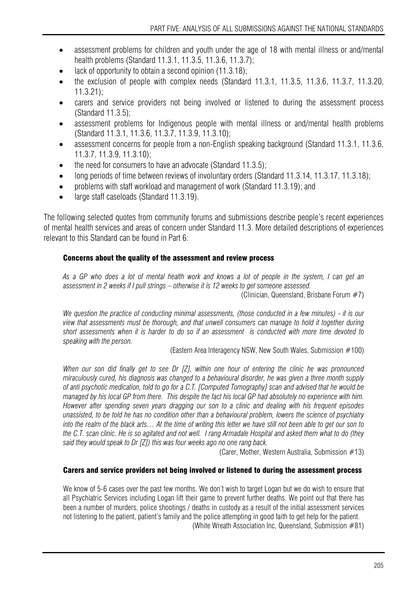- assessment problems for children and youth under the age of 18 with mental illness or and/mental health problems (Standard 11.3.1, 11.3.5, 11.3.6, 11.3.7);
- lack of opportunity to obtain a second opinion  $(11.3.18)$ ;
- the exclusion of people with complex needs (Standard 11.3.1, 11.3.5, 11.3.6, 11.3.7, 11.3.20, 11.3.21);
- carers and service providers not being involved or listened to during the assessment process (Standard 11.3.5);
- assessment problems for Indigenous people with mental illness or and/mental health problems (Standard 11.3.1, 11.3.6, 11.3.7, 11.3.9, 11.3.10);
- assessment concerns for people from a non-English speaking background (Standard 11.3.1, 11.3.6, 11.3.7, 11.3.9, 11.3.10);
- the need for consumers to have an advocate (Standard 11.3.5);
- long periods of time between reviews of involuntary orders (Standard 11.3.14, 11.3.17, 11.3.18);
- problems with staff workload and management of work (Standard 11.3.19); and
- large staff caseloads (Standard 11.3.19).

The following selected quotes from community forums and submissions describe people's recent experiences of mental health services and areas of concern under Standard 11.3. More detailed descriptions of experiences relevant to this Standard can be found in Part 6:

### Concerns about the quality of the assessment and review process

*As a GP who does a lot of mental health work and knows a lot of people in the system, I can get an assessment in 2 weeks if I pull strings – otherwise it is 12 weeks to get someone assessed.* 

(Clinician, Queensland, Brisbane Forum #7)

*We question the practice of conducting minimal assessments, (those conducted in a few minutes) - it is our view that assessments must be thorough, and that unwell consumers can manage to hold it together during short assessments when it is harder to do so if an assessment is conducted with more time devoted to speaking with the person.* 

(Eastern Area Interagency NSW, New South Wales, Submission #100)

*When our son did finally get to see Dr [Z], within one hour of entering the clinic he was pronounced miraculously cured, his diagnosis was changed to a behavioural disorder, he was given a three month supply of anti psychotic medication, told to go for a C.T. [Computed Tomography] scan and advised that he would be managed by his local GP from there. This despite the fact his local GP had absolutely no experience with him. However after spending seven years dragging our son to a clinic and dealing with his frequent episodes unassisted, to be told he has no condition other than a behavioural problem, lowers the science of psychiatry into the realm of the black arts… At the time of writing this letter we have still not been able to get our son to the C.T. scan clinic. He is so agitated and not well. I rang Armadale Hospital and asked them what to do (they said they would speak to Dr [Z]) this was four weeks ago no one rang back.* 

(Carer, Mother, Western Australia, Submission #13)

## Carers and service providers not being involved or listened to during the assessment process

We know of 5-6 cases over the past few months. We don't wish to target Logan but we do wish to ensure that all Psychiatric Services including Logan lift their game to prevent further deaths. We point out that there has been a number of murders, police shootings / deaths in custody as a result of the initial assessment services not listening to the patient, patient's family and the police attempting in good faith to get help for the patient. (White Wreath Association Inc, Queensland, Submission #81)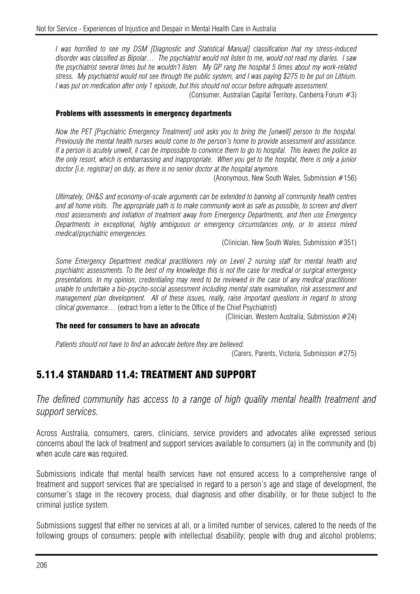*I was horrified to see my DSM [Diagnostic and Statistical Manual] classification that my stress-induced disorder was classified as Bipolar… The psychiatrist would not listen to me, would not read my diaries. I saw the psychiatrist several times but he wouldn't listen. My GP rang the hospital 5 times about my work-related stress. My psychiatrist would not see through the public system, and I was paying \$275 to be put on Lithium. I* was put on medication after only 1 episode, but this should not occur before adequate assessment. (Consumer, Australian Capital Territory, Canberra Forum #3)

#### Problems with assessments in emergency departments

*Now the PET [Psychiatric Emergency Treatment] unit asks you to bring the [unwell] person to the hospital. Previously the mental health nurses would come to the person's home to provide assessment and assistance. If a person is acutely unwell, it can be impossible to convince them to go to hospital. This leaves the police as the only resort, which is embarrassing and inappropriate. When you get to the hospital, there is only a junior doctor [i.e. registrar] on duty, as there is no senior doctor at the hospital anymore.* 

(Anonymous, New South Wales, Submission #156)

*Ultimately, OH&S and economy-of-scale arguments can be extended to banning all community health centres and all home visits. The appropriate path is to make community work as safe as possible, to screen and divert most assessments and initiation of treatment away from Emergency Departments, and then use Emergency Departments in exceptional, highly ambiguous or emergency circumstances only, or to assess mixed medical/psychiatric emergencies.* 

(Clinician, New South Wales, Submission #351)

*Some Emergency Department medical practitioners rely on Level 2 nursing staff for mental health and psychiatric assessments. To the best of my knowledge this is not the case for medical or surgical emergency presentations. In my opinion, credentialing may need to be reviewed in the case of any medical practitioner unable to undertake a bio-psycho-social assessment including mental state examination, risk assessment and management plan development. All of these issues, really, raise important questions in regard to strong clinical governance…* (extract from a letter to the Office of the Chief Psychiatrist)

(Clinician, Western Australia, Submission #24)

#### The need for consumers to have an advocate

*Patients should not have to find an advocate before they are believed.* 

(Carers, Parents, Victoria, Submission #275)

# 5.11.4 STANDARD 11.4: TREATMENT AND SUPPORT

*The defined community has access to a range of high quality mental health treatment and support services.* 

Across Australia, consumers, carers, clinicians, service providers and advocates alike expressed serious concerns about the lack of treatment and support services available to consumers (a) in the community and (b) when acute care was required.

Submissions indicate that mental health services have not ensured access to a comprehensive range of treatment and support services that are specialised in regard to a person's age and stage of development, the consumer's stage in the recovery process, dual diagnosis and other disability, or for those subject to the criminal justice system.

Submissions suggest that either no services at all, or a limited number of services, catered to the needs of the following groups of consumers: people with intellectual disability; people with drug and alcohol problems;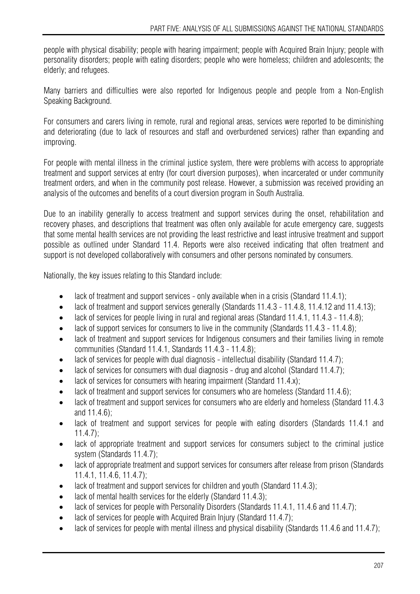people with physical disability; people with hearing impairment; people with Acquired Brain Injury; people with personality disorders; people with eating disorders; people who were homeless; children and adolescents; the elderly; and refugees.

Many barriers and difficulties were also reported for Indigenous people and people from a Non-English Speaking Background.

For consumers and carers living in remote, rural and regional areas, services were reported to be diminishing and deteriorating (due to lack of resources and staff and overburdened services) rather than expanding and improving.

For people with mental illness in the criminal justice system, there were problems with access to appropriate treatment and support services at entry (for court diversion purposes), when incarcerated or under community treatment orders, and when in the community post release. However, a submission was received providing an analysis of the outcomes and benefits of a court diversion program in South Australia.

Due to an inability generally to access treatment and support services during the onset, rehabilitation and recovery phases, and descriptions that treatment was often only available for acute emergency care, suggests that some mental health services are not providing the least restrictive and least intrusive treatment and support possible as outlined under Standard 11.4. Reports were also received indicating that often treatment and support is not developed collaboratively with consumers and other persons nominated by consumers.

Nationally, the key issues relating to this Standard include:

- lack of treatment and support services only available when in a crisis (Standard 11.4.1);
- lack of treatment and support services generally (Standards 11.4.3 11.4.8, 11.4.12 and 11.4.13);
- lack of services for people living in rural and regional areas (Standard 11.4.1, 11.4.3 11.4.8):
- lack of support services for consumers to live in the community (Standards 11.4.3 11.4.8);
- lack of treatment and support services for Indigenous consumers and their families living in remote communities (Standard 11.4.1, Standards 11.4.3 - 11.4.8);
- lack of services for people with dual diagnosis intellectual disability (Standard 11.4.7);
- lack of services for consumers with dual diagnosis drug and alcohol (Standard 11.4.7);
- lack of services for consumers with hearing impairment (Standard 11.4.x);
- lack of treatment and support services for consumers who are homeless (Standard 11.4.6);
- lack of treatment and support services for consumers who are elderly and homeless (Standard 11.4.3) and 11.4.6);
- lack of treatment and support services for people with eating disorders (Standards 11.4.1 and 11.4.7);
- lack of appropriate treatment and support services for consumers subject to the criminal justice system (Standards 11.4.7);
- lack of appropriate treatment and support services for consumers after release from prison (Standards 11.4.1, 11.4.6, 11.4.7);
- lack of treatment and support services for children and youth (Standard 11.4.3);
- lack of mental health services for the elderly (Standard 11.4.3);
- lack of services for people with Personality Disorders (Standards 11.4.1, 11.4.6 and 11.4.7);
- lack of services for people with Acquired Brain Injury (Standard 11.4.7);
- lack of services for people with mental illness and physical disability (Standards 11.4.6 and 11.4.7);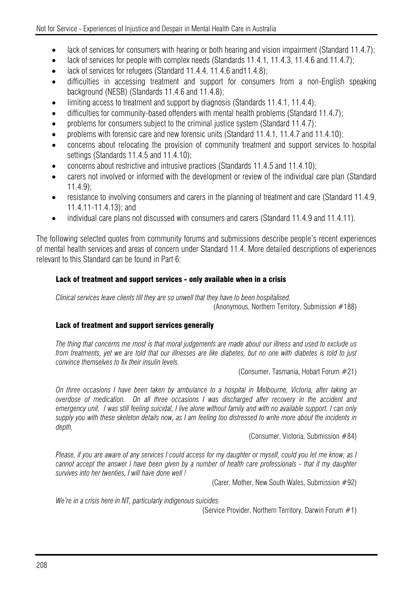- lack of services for consumers with hearing or both hearing and vision impairment (Standard 11.4.7);
- lack of services for people with complex needs (Standards 11.4.1, 11.4.3, 11.4.6 and 11.4.7);
- lack of services for refugees (Standard 11.4.4, 11.4.6 and 11.4.8);
- difficulties in accessing treatment and support for consumers from a non-English speaking background (NESB) (Standards 11.4.6 and 11.4.8);
- limiting access to treatment and support by diagnosis (Standards 11.4.1, 11.4.4);
- difficulties for community-based offenders with mental health problems (Standard 11.4.7);
- problems for consumers subject to the criminal justice system (Standard 11.4.7):
- problems with forensic care and new forensic units (Standard 11.4.1, 11.4.7 and 11.4.10);
- concerns about relocating the provision of community treatment and support services to hospital settings (Standards 11.4.5 and 11.4.10);
- concerns about restrictive and intrusive practices (Standards 11.4.5 and 11.4.10);
- carers not involved or informed with the development or review of the individual care plan (Standard 11.4.9);
- resistance to involving consumers and carers in the planning of treatment and care (Standard 11.4.9, 11.4.11-11.4.13); and
- individual care plans not discussed with consumers and carers (Standard 11.4.9 and 11.4.11).

The following selected quotes from community forums and submissions describe people's recent experiences of mental health services and areas of concern under Standard 11.4. More detailed descriptions of experiences relevant to this Standard can be found in Part 6:

## Lack of treatment and support services - only available when in a crisis

*Clinical services leave clients till they are so unwell that they have to been hospitalised.*  (Anonymous, Northern Territory, Submission #188)

### Lack of treatment and support services generally

*The thing that concerns me most is that moral judgements are made about our illness and used to exclude us from treatments, yet we are told that our illnesses are like diabetes, but no one with diabetes is told to just convince themselves to fix their insulin levels.* 

(Consumer, Tasmania, Hobart Forum #21)

*On three occasions I have been taken by ambulance to a hospital in Melbourne, Victoria, after taking an overdose of medication. On all three occasions I was discharged after recovery in the accident and emergency unit. I was still feeling suicidal, I live alone without family and with no available support. I can only supply you with these skeleton details now, as I am feeling too distressed to write more about the incidents in depth.* 

(Consumer, Victoria, Submission #84)

*Please, if you are aware of any services I could access for my daughter or myself, could you let me know, as I cannot accept the answer I have been given by a number of health care professionals - that if my daughter survives into her twenties, I will have done well !* 

(Carer, Mother, New South Wales, Submission #92)

*We're in a crisis here in NT, particularly indigenous suicides.* 

(Service Provider, Northern Territory, Darwin Forum #1)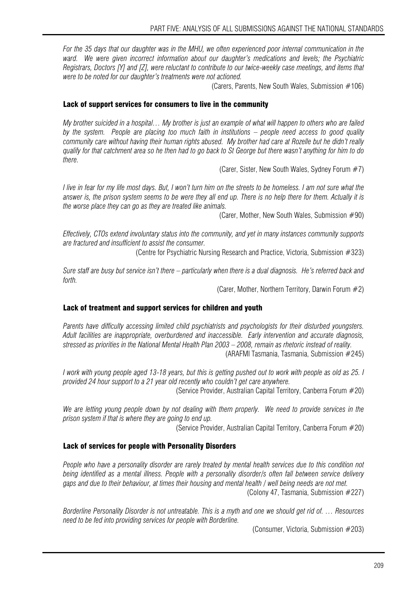*For the 35 days that our daughter was in the MHU, we often experienced poor internal communication in the ward. We were given incorrect information about our daughter's medications and levels; the Psychiatric Registrars, Doctors [Y] and [Z], were reluctant to contribute to our twice-weekly case meetings, and items that were to be noted for our daughter's treatments were not actioned.* 

(Carers, Parents, New South Wales, Submission #106)

#### Lack of support services for consumers to live in the community

*My brother suicided in a hospital… My brother is just an example of what will happen to others who are failed by the system. People are placing too much faith in institutions – people need access to good quality community care without having their human rights abused. My brother had care at Rozelle but he didn't really qualify for that catchment area so he then had to go back to St George but there wasn't anything for him to do there.* 

(Carer, Sister, New South Wales, Sydney Forum #7)

*I live in fear for my life most days. But, I won't turn him on the streets to be homeless. I am not sure what the answer is, the prison system seems to be were they all end up. There is no help there for them. Actually it is the worse place they can go as they are treated like animals.* 

(Carer, Mother, New South Wales, Submission #90)

*Effectively, CTOs extend involuntary status into the community, and yet in many instances community supports are fractured and insufficient to assist the consumer.* 

(Centre for Psychiatric Nursing Research and Practice, Victoria, Submission #323)

*Sure staff are busy but service isn't there – particularly when there is a dual diagnosis. He's referred back and forth.* 

(Carer, Mother, Northern Territory, Darwin Forum #2)

#### Lack of treatment and support services for children and youth

*Parents have difficulty accessing limited child psychiatrists and psychologists for their disturbed youngsters. Adult facilities are inappropriate, overburdened and inaccessible. Early intervention and accurate diagnosis, stressed as priorities in the National Mental Health Plan 2003 – 2008, remain as rhetoric instead of reality.*  (ARAFMI Tasmania, Tasmania, Submission #245)

*I work with young people aged 13-18 years, but this is getting pushed out to work with people as old as 25. I provided 24 hour support to a 21 year old recently who couldn't get care anywhere.* 

(Service Provider, Australian Capital Territory, Canberra Forum #20)

*We are letting young people down by not dealing with them properly. We need to provide services in the prison system if that is where they are going to end up.* 

(Service Provider, Australian Capital Territory, Canberra Forum #20)

#### Lack of services for people with Personality Disorders

*People who have a personality disorder are rarely treated by mental health services due to this condition not being identified as a mental illness. People with a personality disorder/s often fall between service delivery gaps and due to their behaviour, at times their housing and mental health / well being needs are not met.* 

(Colony 47, Tasmania, Submission #227)

*Borderline Personality Disorder is not untreatable. This is a myth and one we should get rid of. … Resources need to be fed into providing services for people with Borderline.* 

(Consumer, Victoria, Submission #203)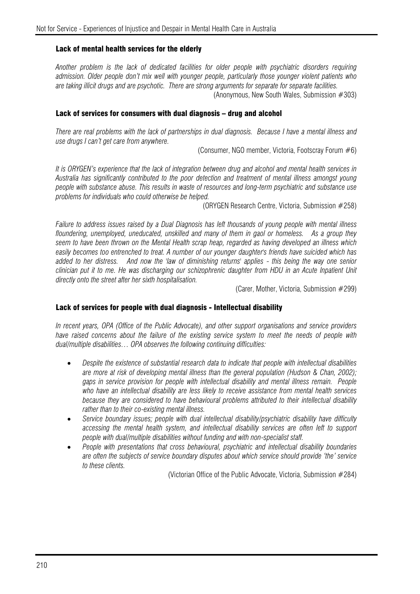#### Lack of mental health services for the elderly

*Another problem is the lack of dedicated facilities for older people with psychiatric disorders requiring admission. Older people don't mix well with younger people, particularly those younger violent patients who are taking illicit drugs and are psychotic. There are strong arguments for separate for separate facilities.*  (Anonymous, New South Wales, Submission #303)

#### Lack of services for consumers with dual diagnosis – drug and alcohol

*There are real problems with the lack of partnerships in dual diagnosis. Because I have a mental illness and use drugs I can't get care from anywhere.* 

(Consumer, NGO member, Victoria, Footscray Forum #6)

*It is ORYGEN's experience that the lack of integration between drug and alcohol and mental health services in Australia has significantly contributed to the poor detection and treatment of mental illness amongst young people with substance abuse. This results in waste of resources and long-term psychiatric and substance use problems for individuals who could otherwise be helped.* 

(ORYGEN Research Centre, Victoria, Submission #258)

*Failure to address issues raised by a Dual Diagnosis has left thousands of young people with mental illness floundering, unemployed, uneducated, unskilled and many of them in gaol or homeless. As a group they seem to have been thrown on the Mental Health scrap heap, regarded as having developed an illness which easily becomes too entrenched to treat. A number of our younger daughter's friends have suicided which has added to her distress. And now the 'law of diminishing returns' applies - this being the way one senior clinician put it to me. He was discharging our schizophrenic daughter from HDU in an Acute Inpatient Unit directly onto the street after her sixth hospitalisation.* 

(Carer, Mother, Victoria, Submission #299)

#### Lack of services for people with dual diagnosis - Intellectual disability

*In recent years, OPA (Office of the Public Advocate), and other support organisations and service providers have raised concerns about the failure of the existing service system to meet the needs of people with dual/multiple disabilities… OPA observes the following continuing difficulties:* 

- *Despite the existence of substantial research data to indicate that people with intellectual disabilities are more at risk of developing mental illness than the general population (Hudson & Chan, 2002); gaps in service provision for people with intellectual disability and mental illness remain. People who have an intellectual disability are less likely to receive assistance from mental health services because they are considered to have behavioural problems attributed to their intellectual disability rather than to their co-existing mental illness.*
- *Service boundary issues; people with dual intellectual disability/psychiatric disability have difficulty accessing the mental health system, and intellectual disability services are often left to support people with dual/multiple disabilities without funding and with non-specialist staff.*
- *People with presentations that cross behavioural, psychiatric and intellectual disability boundaries are often the subjects of service boundary disputes about which service should provide 'the' service to these clients.*

(Victorian Office of the Public Advocate, Victoria, Submission #284)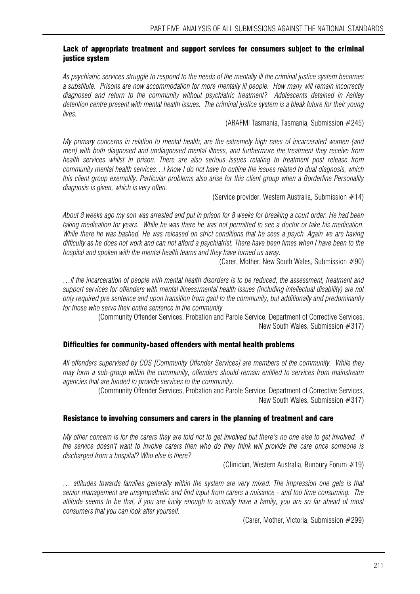#### Lack of appropriate treatment and support services for consumers subject to the criminal justice system

*As psychiatric services struggle to respond to the needs of the mentally ill the criminal justice system becomes a substitute. Prisons are now accommodation for more mentally ill people. How many will remain incorrectly diagnosed and return to the community without psychiatric treatment? Adolescents detained in Ashley detention centre present with mental health issues. The criminal justice system is a bleak future for their young lives.* 

#### (ARAFMI Tasmania, Tasmania, Submission #245)

*My primary concerns in relation to mental health, are the extremely high rates of incarcerated women (and men) with both diagnosed and undiagnosed mental illness, and furthermore the treatment they receive from health services whilst in prison. There are also serious issues relating to treatment post release from community mental health services…I know I do not have to outline the issues related to dual diagnosis, which this client group exemplify. Particular problems also arise for this client group when a Borderline Personality diagnosis is given, which is very often.* 

(Service provider, Western Australia, Submission #14)

*About 8 weeks ago my son was arrested and put in prison for 8 weeks for breaking a court order. He had been taking medication for years. While he was there he was not permitted to see a doctor or take his medication. While there he was bashed. He was released on strict conditions that he sees a psych. Again we are having difficulty as he does not work and can not afford a psychiatrist. There have been times when I have been to the hospital and spoken with the mental health teams and they have turned us away.* 

(Carer, Mother, New South Wales, Submission #90)

*…if the incarceration of people with mental health disorders is to be reduced, the assessment, treatment and support services for offenders with mental illness/mental health issues (including intellectual disability) are not only required pre sentence and upon transition from gaol to the community, but additionally and predominantly for those who serve their entire sentence in the community.* 

> (Community Offender Services, Probation and Parole Service, Department of Corrective Services, New South Wales, Submission #317)

#### Difficulties for community-based offenders with mental health problems

*All offenders supervised by COS [Community Offender Services] are members of the community. While they may form a sub-group within the community, offenders should remain entitled to services from mainstream agencies that are funded to provide services to the community.* 

> (Community Offender Services, Probation and Parole Service, Department of Corrective Services, New South Wales, Submission #317)

#### Resistance to involving consumers and carers in the planning of treatment and care

*My other concern is for the carers they are told not to get involved but there's no one else to get involved. If the service doesn't want to involve carers then who do they think will provide the care once someone is discharged from a hospital? Who else is there?* 

(Clinician, Western Australia, Bunbury Forum #19)

*… attitudes towards families generally within the system are very mixed. The impression one gets is that senior management are unsympathetic and find input from carers a nuisance - and too time consuming. The attitude seems to be that, if you are lucky enough to actually have a family, you are so far ahead of most consumers that you can look after yourself.* 

(Carer, Mother, Victoria, Submission #299)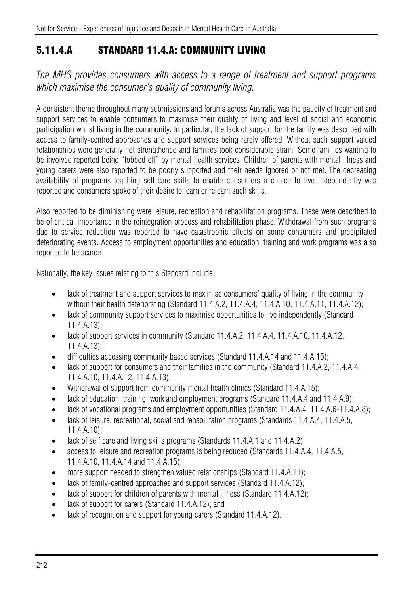# 5.11.4.A STANDARD 11.4.A: COMMUNITY LIVING

*The MHS provides consumers with access to a range of treatment and support programs which maximise the consumer's quality of community living.* 

A consistent theme throughout many submissions and forums across Australia was the paucity of treatment and support services to enable consumers to maximise their quality of living and level of social and economic participation whilst living in the community. In particular, the lack of support for the family was described with access to family-centred approaches and support services being rarely offered. Without such support valued relationships were generally not strengthened and families took considerable strain. Some families wanting to be involved reported being "fobbed off" by mental health services. Children of parents with mental illness and young carers were also reported to be poorly supported and their needs ignored or not met. The decreasing availability of programs teaching self-care skills to enable consumers a choice to live independently was reported and consumers spoke of their desire to learn or relearn such skills.

Also reported to be diminishing were leisure, recreation and rehabilitation programs. These were described to be of critical importance in the reintegration process and rehabilitation phase. Withdrawal from such programs due to service reduction was reported to have catastrophic effects on some consumers and precipitated deteriorating events. Access to employment opportunities and education, training and work programs was also reported to be scarce.

Nationally, the key issues relating to this Standard include:

- lack of treatment and support services to maximise consumers' quality of living in the community without their health deteriorating (Standard 11.4.A.2, 11.4.A.4, 11.4.A.10, 11.4.A.11, 11.4.A.12);
- lack of community support services to maximise opportunities to live independently (Standard 11.4.A.13);
- lack of support services in community (Standard 11.4.A.2, 11.4.A.4, 11.4.A.10, 11.4.A.12, 11.4.A.13);
- difficulties accessing community based services (Standard 11.4.A.14 and 11.4.A.15);
- lack of support for consumers and their families in the community (Standard 11.4.A.2, 11.4.A.4, 11.4.A.10, 11.4.A.12, 11.4.A.13);
- Withdrawal of support from community mental health clinics (Standard 11.4.A.15);
- lack of education, training, work and employment programs (Standard 11.4.A.4 and 11.4.A.9);
- lack of vocational programs and employment opportunities (Standard 11.4.A.4, 11.4.A.6-11.4.A.8);
- lack of leisure, recreational, social and rehabilitation programs (Standards 11.4.A.4, 11.4.A.5, 11.4.A.10);
- lack of self care and living skills programs (Standards 11.4.A.1 and 11.4.A.2):
- access to leisure and recreation programs is being reduced (Standards 11.4.A.4, 11.4.A.5, 11.4.A.10, 11.4.A.14 and 11.4.A.15);
- more support needed to strengthen valued relationships (Standard 11.4.A.11);
- lack of family-centred approaches and support services (Standard 11.4.A.12);
- lack of support for children of parents with mental illness (Standard 11.4.A.12);
- lack of support for carers (Standard 11.4.A.12): and
- lack of recognition and support for young carers (Standard 11.4.A.12).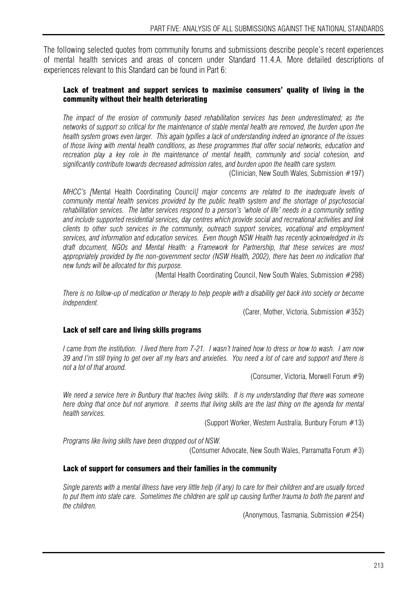The following selected quotes from community forums and submissions describe people's recent experiences of mental health services and areas of concern under Standard 11.4.A. More detailed descriptions of experiences relevant to this Standard can be found in Part 6:

## Lack of treatment and support services to maximise consumers' quality of living in the community without their health deteriorating

*The impact of the erosion of community based rehabilitation services has been underestimated; as the networks of support so critical for the maintenance of stable mental health are removed, the burden upon the health system grows even larger. This again typifies a lack of understanding indeed an ignorance of the issues of those living with mental health conditions, as these programmes that offer social networks, education and recreation play a key role in the maintenance of mental health, community and social cohesion, and significantly contribute towards decreased admission rates, and burden upon the health care system.* 

(Clinician, New South Wales, Submission #197)

*MHCC's [*Mental Health Coordinating Council*] major concerns are related to the inadequate levels of community mental health services provided by the public health system and the shortage of psychosocial*  rehabilitation services. The latter services respond to a person's 'whole of life' needs in a community setting *and include supported residential services, day centres which provide social and recreational activities and link clients to other such services in the community, outreach support services, vocational and employment services, and information and education services. Even though NSW Health has recently acknowledged in its draft document, NGOs and Mental Health: a Framework for Partnership, that these services are most appropriately provided by the non-government sector (NSW Health, 2002), there has been no indication that new funds will be allocated for this purpose.* 

(Mental Health Coordinating Council, New South Wales, Submission #298)

*There is no follow-up of medication or therapy to help people with a disability get back into society or become independent.* 

(Carer, Mother, Victoria, Submission #352)

#### Lack of self care and living skills programs

*I came from the institution. I lived there from 7-21. I wasn't trained how to dress or how to wash. I am now 39 and I'm still trying to get over all my fears and anxieties. You need a lot of care and support and there is not a lot of that around.* 

(Consumer, Victoria, Morwell Forum #9)

*We need a service here in Bunbury that teaches living skills. It is my understanding that there was someone here doing that once but not anymore.* It seems that living skills are the last thing on the agenda for mental *health services.* 

(Support Worker, Western Australia, Bunbury Forum #13)

*Programs like living skills have been dropped out of NSW.* 

(Consumer Advocate, New South Wales, Parramatta Forum #3)

#### Lack of support for consumers and their families in the community

*Single parents with a mental illness have very little help (if any) to care for their children and are usually forced to put them into state care. Sometimes the children are split up causing further trauma to both the parent and the children.* 

(Anonymous, Tasmania, Submission #254)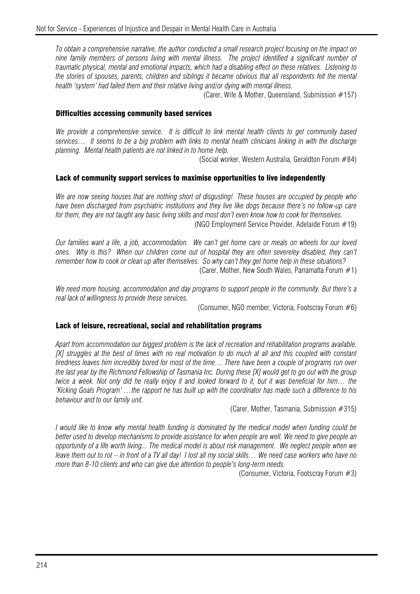*To obtain a comprehensive narrative, the author conducted a small research project focusing on the impact on nine family members of persons living with mental illness. The project identified a significant number of traumatic physical, mental and emotional impacts, which had a disabling effect on these relatives. Listening to the stories of spouses, parents, children and siblings it became obvious that all respondents felt the mental health 'system' had failed them and their relative living and/or dying with mental illness.* 

(Carer, Wife & Mother, Queensland, Submission #157)

#### Difficulties accessing community based services

*We provide a comprehensive service. It is difficult to link mental health clients to get community based services… It seems to be a big problem with links to mental health clinicians linking in with the discharge planning. Mental health patients are not linked in to home help.* 

(Social worker, Western Australia, Geraldton Forum #84)

#### Lack of community support services to maximise opportunities to live independently

*We are now seeing houses that are nothing short of disgusting! These houses are occupied by people who have been discharged from psychiatric institutions and they live like dogs because there's no follow-up care for them, they are not taught any basic living skills and most don't even know how to cook for themselves.* (NGO Employment Service Provider, Adelaide Forum #19)

*Our families want a life, a job, accommodation. We can't get home care or meals on wheels for our loved ones. Why is this? When our children come out of hospital they are often severeley disabled, they can't remember how to cook or clean up after themselves. So why can't they get home help in these situations?* 

(Carer, Mother, New South Wales, Parramatta Forum #1)

*We need more housing, accommodation and day programs to support people in the community. But there's a real lack of willingness to provide these services.* 

(Consumer, NGO member, Victoria, Footscray Forum #6)

#### Lack of leisure, recreational, social and rehabilitation programs

*Apart from accommodation our biggest problem is the lack of recreation and rehabilitation programs available. [X] struggles at the best of times with no real motivation to do much at all and this coupled with constant tiredness leaves him incredibly bored for most of the time… There have been a couple of programs run over the last year by the Richmond Fellowship of Tasmania Inc. During these [X] would get to go out with the group twice a week. Not only did he really enjoy it and looked forward to it, but it was beneficial for him… the 'Kicking Goals Program' …the rapport he has built up with the coordinator has made such a difference to his behaviour and to our family unit.* 

(Carer, Mother, Tasmania, Submission #315)

*I would like to know why mental health funding is dominated by the medical model when funding could be better used to develop mechanisms to provide assistance for when people are well. We need to give people an opportunity of a life worth living... The medical model is about risk management. We neglect people when we leave them out to rot – in front of a TV all day! I lost all my social skills… We need case workers who have no more than 8-10 clients and who can give due attention to people's long-term needs.* 

(Consumer, Victoria, Footscray Forum #3)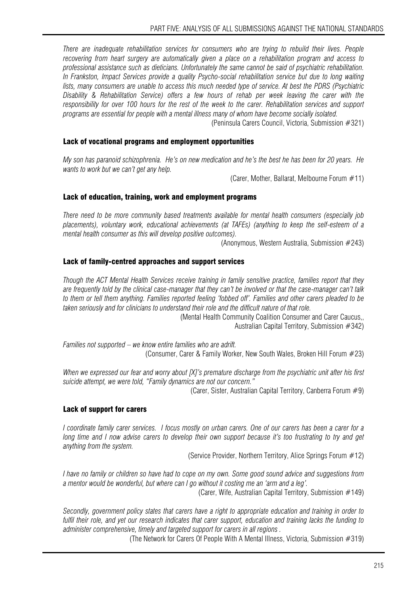*There are inadequate rehabilitation services for consumers who are trying to rebuild their lives. People recovering from heart surgery are automatically given a place on a rehabilitation program and access to professional assistance such as dieticians. Unfortunately the same cannot be said of psychiatric rehabilitation. In Frankston, Impact Services provide a quality Psycho-social rehabilitation service but due to long waiting lists, many consumers are unable to access this much needed type of service. At best the PDRS (Psychiatric Disability & Rehabilitation Service) offers a few hours of rehab per week leaving the carer with the responsibility for over 100 hours for the rest of the week to the carer. Rehabilitation services and support programs are essential for people with a mental illness many of whom have become socially isolated.* 

(Peninsula Carers Council, Victoria, Submission #321)

## Lack of vocational programs and employment opportunities

*My son has paranoid schizophrenia. He's on new medication and he's the best he has been for 20 years. He wants to work but we can't get any help.* 

(Carer, Mother, Ballarat, Melbourne Forum  $#11$ )

## Lack of education, training, work and employment programs

*There need to be more community based treatments available for mental health consumers (especially job placements), voluntary work, educational achievements (at TAFEs) (anything to keep the self-esteem of a mental health consumer as this will develop positive outcomes).* 

(Anonymous, Western Australia, Submission #243)

## Lack of family-centred approaches and support services

*Though the ACT Mental Health Services receive training in family sensitive practice, families report that they are frequently told by the clinical case-manager that they can't be involved or that the case-manager can't talk to them or tell them anything. Families reported feeling 'fobbed off'. Families and other carers pleaded to be taken seriously and for clinicians to understand their role and the difficult nature of that role.* 

(Mental Health Community Coalition Consumer and Carer Caucus,,

Australian Capital Territory, Submission #342)

*Families not supported – we know entire families who are adrift.*  (Consumer, Carer & Family Worker, New South Wales, Broken Hill Forum #23)

*When we expressed our fear and worry about [X]'s premature discharge from the psychiatric unit after his first suicide attempt, we were told, "Family dynamics are not our concern."* 

(Carer, Sister, Australian Capital Territory, Canberra Forum #9)

## Lack of support for carers

*I coordinate family carer services. I focus mostly on urban carers. One of our carers has been a carer for a long time and I now advise carers to develop their own support because it's too frustrating to try and get anything from the system.* 

(Service Provider, Northern Territory, Alice Springs Forum #12)

*I have no family or children so have had to cope on my own. Some good sound advice and suggestions from a mentor would be wonderful, but where can I go without it costing me an 'arm and a leg'.* 

(Carer, Wife, Australian Capital Territory, Submission #149)

*Secondly, government policy states that carers have a right to appropriate education and training in order to fulfil their role, and yet our research indicates that carer support, education and training lacks the funding to administer comprehensive, timely and targeted support for carers in all regions .* 

(The Network for Carers Of People With A Mental Illness, Victoria, Submission #319)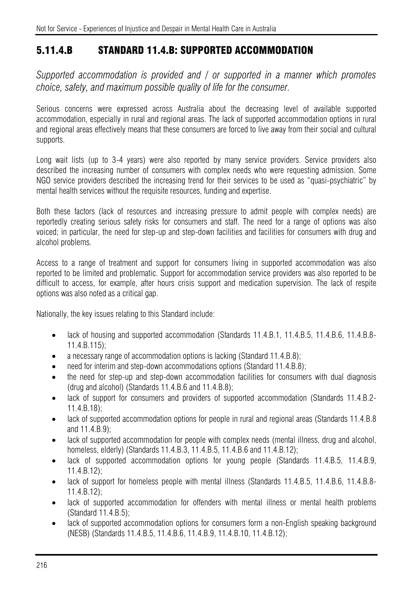# 5.11.4.B STANDARD 11.4.B: SUPPORTED ACCOMMODATION

*Supported accommodation is provided and / or supported in a manner which promotes choice, safety, and maximum possible quality of life for the consumer.* 

Serious concerns were expressed across Australia about the decreasing level of available supported accommodation, especially in rural and regional areas. The lack of supported accommodation options in rural and regional areas effectively means that these consumers are forced to live away from their social and cultural supports.

Long wait lists (up to 3-4 years) were also reported by many service providers. Service providers also described the increasing number of consumers with complex needs who were requesting admission. Some NGO service providers described the increasing trend for their services to be used as "quasi-psychiatric" by mental health services without the requisite resources, funding and expertise.

Both these factors (lack of resources and increasing pressure to admit people with complex needs) are reportedly creating serious safety risks for consumers and staff. The need for a range of options was also voiced; in particular, the need for step-up and step-down facilities and facilities for consumers with drug and alcohol problems.

Access to a range of treatment and support for consumers living in supported accommodation was also reported to be limited and problematic. Support for accommodation service providers was also reported to be difficult to access, for example, after hours crisis support and medication supervision. The lack of respite options was also noted as a critical gap.

Nationally, the key issues relating to this Standard include:

- lack of housing and supported accommodation (Standards 11.4.B.1, 11.4.B.5, 11.4.B.6, 11.4.B.8-11.4.B.115);
- a necessary range of accommodation options is lacking (Standard 11.4.B.8);
- need for interim and step-down accommodations options (Standard 11.4.B.8);
- the need for step-up and step-down accommodation facilities for consumers with dual diagnosis (drug and alcohol) (Standards 11.4.B.6 and 11.4.B.8);
- lack of support for consumers and providers of supported accommodation (Standards 11.4.B.2-11.4.B.18);
- lack of supported accommodation options for people in rural and regional areas (Standards 11.4.B.8) and 11.4.B.9);
- lack of supported accommodation for people with complex needs (mental illness, drug and alcohol, homeless, elderly) (Standards 11.4.B.3, 11.4.B.5, 11.4.B.6 and 11.4.B.12);
- lack of supported accommodation options for young people (Standards 11.4.B.5, 11.4.B.9, 11.4.B.12);
- lack of support for homeless people with mental illness (Standards 11.4.B.5, 11.4.B.6, 11.4.B.8-11.4.B.12);
- lack of supported accommodation for offenders with mental illness or mental health problems (Standard 11.4.B.5);
- lack of supported accommodation options for consumers form a non-English speaking background (NESB) (Standards 11.4.B.5, 11.4.B.6, 11.4.B.9, 11.4.B.10, 11.4.B.12);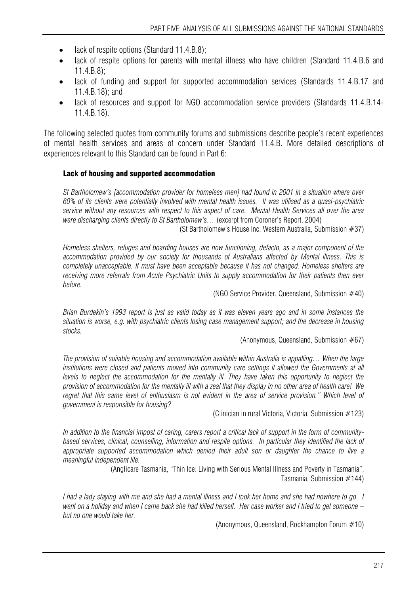- lack of respite options (Standard 11.4.B.8);
- lack of respite options for parents with mental illness who have children (Standard 11.4.B.6 and 11.4.B.8);
- lack of funding and support for supported accommodation services (Standards 11.4.B.17 and 11.4.B.18); and
- lack of resources and support for NGO accommodation service providers (Standards 11.4.B.14- 11.4.B.18).

The following selected quotes from community forums and submissions describe people's recent experiences of mental health services and areas of concern under Standard 11.4.B. More detailed descriptions of experiences relevant to this Standard can be found in Part 6:

## Lack of housing and supported accommodation

*St Bartholomew's [accommodation provider for homeless men] had found in 2001 in a situation where over 60% of its clients were potentially involved with mental health issues. It was utilised as a quasi-psychiatric service without any resources with respect to this aspect of care. Mental Health Services all over the area were discharging clients directly to St Bartholomew's…* (excerpt from Coroner's Report, 2004) (St Bartholomew's House Inc, Western Australia, Submission #37)

*Homeless shelters, refuges and boarding houses are now functioning, defacto, as a major component of the accommodation provided by our society for thousands of Australians affected by Mental illness. This is completely unacceptable. It must have been acceptable because it has not changed. Homeless shelters are receiving more referrals from Acute Psychiatric Units to supply accommodation for their patients then ever before.* 

(NGO Service Provider, Queensland, Submission #40)

*Brian Burdekin's 1993 report is just as valid today as it was eleven years ago and in some instances the situation is worse, e.g. with psychiatric clients losing case management support; and the decrease in housing stocks.* 

(Anonymous, Queensland, Submission #67)

*The provision of suitable housing and accommodation available within Australia is appalling… When the large*  institutions were closed and patients moved into community care settings it allowed the Governments at all *levels to neglect the accommodation for the mentally ill. They have taken this opportunity to neglect the provision of accommodation for the mentally ill with a zeal that they display in no other area of health care! We regret that this same level of enthusiasm is not evident in the area of service provision." Which level of government is responsible for housing?* 

(Clinician in rural Victoria, Victoria, Submission #123)

*In addition to the financial impost of caring, carers report a critical lack of support in the form of communitybased services, clinical, counselling, information and respite options. In particular they identified the lack of appropriate supported accommodation which denied their adult son or daughter the chance to live a meaningful independent life.* 

> (Anglicare Tasmania, "Thin Ice: Living with Serious Mental Illness and Poverty in Tasmania", Tasmania, Submission #144)

*I had a lady staying with me and she had a mental illness and I took her home and she had nowhere to go. I went on a holiday and when I came back she had killed herself. Her case worker and I tried to get someone – but no one would take her.* 

(Anonymous, Queensland, Rockhampton Forum #10)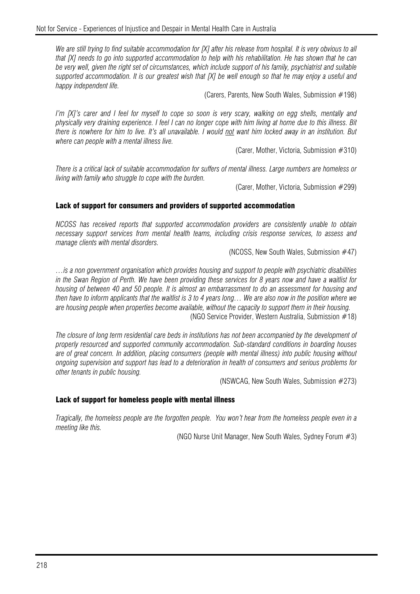We are still trying to find suitable accommodation for [X] after his release from hospital. It is very obvious to all *that [X] needs to go into supported accommodation to help with his rehabilitation. He has shown that he can be very well, given the right set of circumstances, which include support of his family, psychiatrist and suitable supported accommodation. It is our greatest wish that [X] be well enough so that he may enjoy a useful and happy independent life.* 

(Carers, Parents, New South Wales, Submission #198)

*I'm [X]'s carer and I feel for myself to cope so soon is very scary, walking on egg shells, mentally and physically very draining experience. I feel I can no longer cope with him living at home due to this illness. Bit there is nowhere for him to live. It's all unavailable. I would not want him locked away in an institution. But where can people with a mental illness live.* 

(Carer, Mother, Victoria, Submission #310)

*There is a critical lack of suitable accommodation for suffers of mental illness. Large numbers are homeless or living with family who struggle to cope with the burden.* 

(Carer, Mother, Victoria, Submission #299)

#### Lack of support for consumers and providers of supported accommodation

*NCOSS has received reports that supported accommodation providers are consistently unable to obtain necessary support services from mental health teams, including crisis response services, to assess and manage clients with mental disorders.* 

(NCOSS, New South Wales, Submission #47)

*…is a non government organisation which provides housing and support to people with psychiatric disabilities in the Swan Region of Perth. We have been providing these services for 8 years now and have a waitlist for housing of between 40 and 50 people. It is almost an embarrassment to do an assessment for housing and then have to inform applicants that the waitlist is 3 to 4 years long… We are also now in the position where we are housing people when properties become available, without the capacity to support them in their housing.*  (NGO Service Provider, Western Australia, Submission #18)

*The closure of long term residential care beds in institutions has not been accompanied by the development of properly resourced and supported community accommodation. Sub-standard conditions in boarding houses are of great concern. In addition, placing consumers (people with mental illness) into public housing without ongoing supervision and support has lead to a deterioration in health of consumers and serious problems for other tenants in public housing.* 

(NSWCAG, New South Wales, Submission #273)

## Lack of support for homeless people with mental illness

*Tragically, the homeless people are the forgotten people. You won't hear from the homeless people even in a meeting like this.* 

(NGO Nurse Unit Manager, New South Wales, Sydney Forum #3)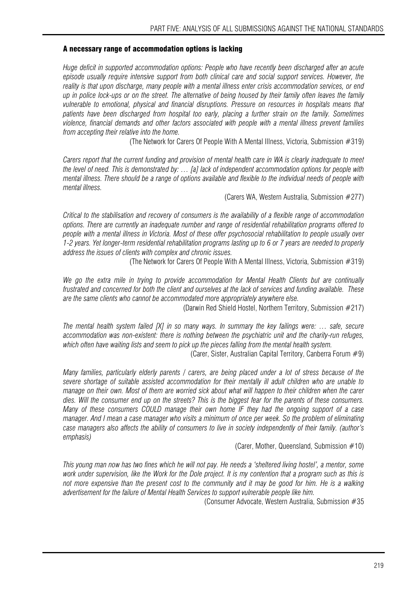### A necessary range of accommodation options is lacking

*Huge deficit in supported accommodation options: People who have recently been discharged after an acute episode usually require intensive support from both clinical care and social support services. However, the reality is that upon discharge, many people with a mental illness enter crisis accommodation services, or end up in police lock-ups or on the street. The alternative of being housed by their family often leaves the family vulnerable to emotional, physical and financial disruptions. Pressure on resources in hospitals means that patients have been discharged from hospital too early, placing a further strain on the family. Sometimes violence, financial demands and other factors associated with people with a mental illness prevent families from accepting their relative into the home.* 

(The Network for Carers Of People With A Mental Illness, Victoria, Submission #319)

*Carers report that the current funding and provision of mental health care in WA is clearly inadequate to meet the level of need. This is demonstrated by: … [a] lack of independent accommodation options for people with mental illness. There should be a range of options available and flexible to the individual needs of people with mental illness.* 

(Carers WA, Western Australia, Submission #277)

*Critical to the stabilisation and recovery of consumers is the availability of a flexible range of accommodation options. There are currently an inadequate number and range of residential rehabilitation programs offered to people with a mental illness in Victoria. Most of these offer psychosocial rehabilitation to people usually over 1-2 years. Yet longer-term residential rehabilitation programs lasting up to 6 or 7 years are needed to properly address the issues of clients with complex and chronic issues.* 

(The Network for Carers Of People With A Mental Illness, Victoria, Submission #319)

*We go the extra mile in trying to provide accommodation for Mental Health Clients but are continually frustrated and concerned for both the client and ourselves at the lack of services and funding available. These are the same clients who cannot be accommodated more appropriately anywhere else.* 

(Darwin Red Shield Hostel, Northern Territory, Submission #217)

*The mental health system failed [X] in so many ways. In summary the key failings were: … safe, secure accommodation was non-existent: there is nothing between the psychiatric unit and the charity-run refuges, which often have waiting lists and seem to pick up the pieces falling from the mental health system.* 

(Carer, Sister, Australian Capital Territory, Canberra Forum #9)

*Many families, particularly elderly parents / carers, are being placed under a lot of stress because of the severe shortage of suitable assisted accommodation for their mentally ill adult children who are unable to manage on their own. Most of them are worried sick about what will happen to their children when the carer dies. Will the consumer end up on the streets? This is the biggest fear for the parents of these consumers. Many of these consumers COULD manage their own home IF they had the ongoing support of a case manager. And I mean a case manager who visits a minimum of once per week. So the problem of eliminating case managers also affects the ability of consumers to live in society independently of their family. (author's emphasis)* 

(Carer, Mother, Queensland, Submission #10)

*This young man now has two fines which he will not pay. He needs a 'sheltered living hostel', a mentor, some*  work under supervision, like the Work for the Dole project. It is my contention that a program such as this is *not more expensive than the present cost to the community and it may be good for him. He is a walking advertisement for the failure of Mental Health Services to support vulnerable people like him.* 

(Consumer Advocate, Western Australia, Submission #35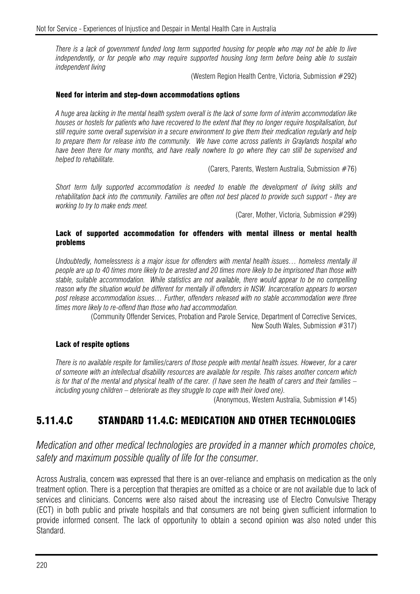*There is a lack of government funded long term supported housing for people who may not be able to live independently, or for people who may require supported housing long term before being able to sustain independent living* 

(Western Region Health Centre, Victoria, Submission #292)

#### Need for interim and step-down accommodations options

*A huge area lacking in the mental health system overall is the lack of some form of interim accommodation like houses or hostels for patients who have recovered to the extent that they no longer require hospitalisation, but still require some overall supervision in a secure environment to give them their medication regularly and help to prepare them for release into the community. We have come across patients in Graylands hospital who have been there for many months, and have really nowhere to go where they can still be supervised and helped to rehabilitate.* 

(Carers, Parents, Western Australia, Submission #76)

*Short term fully supported accommodation is needed to enable the development of living skills and rehabilitation back into the community. Families are often not best placed to provide such support - they are working to try to make ends meet.* 

(Carer, Mother, Victoria, Submission #299)

### Lack of supported accommodation for offenders with mental illness or mental health problems

*Undoubtedly, homelessness is a major issue for offenders with mental health issues… homeless mentally ill people are up to 40 times more likely to be arrested and 20 times more likely to be imprisoned than those with stable, suitable accommodation. While statistics are not available, there would appear to be no compelling*  reason why the situation would be different for mentally ill offenders in NSW. Incarceration appears to worsen *post release accommodation issues… Further, offenders released with no stable accommodation were three times more likely to re-offend than those who had accommodation.* 

> (Community Offender Services, Probation and Parole Service, Department of Corrective Services, New South Wales, Submission #317)

## Lack of respite options

*There is no available respite for families/carers of those people with mental health issues. However, for a carer of someone with an intellectual disability resources are available for respite. This raises another concern which is for that of the mental and physical health of the carer. (I have seen the health of carers and their families – including young children – deteriorate as they struggle to cope with their loved one).* 

(Anonymous, Western Australia, Submission #145)

## 5.11.4.C STANDARD 11.4.C: MEDICATION AND OTHER TECHNOLOGIES

*Medication and other medical technologies are provided in a manner which promotes choice, safety and maximum possible quality of life for the consumer.* 

Across Australia, concern was expressed that there is an over-reliance and emphasis on medication as the only treatment option. There is a perception that therapies are omitted as a choice or are not available due to lack of services and clinicians. Concerns were also raised about the increasing use of Electro Convulsive Therapy (ECT) in both public and private hospitals and that consumers are not being given sufficient information to provide informed consent. The lack of opportunity to obtain a second opinion was also noted under this Standard.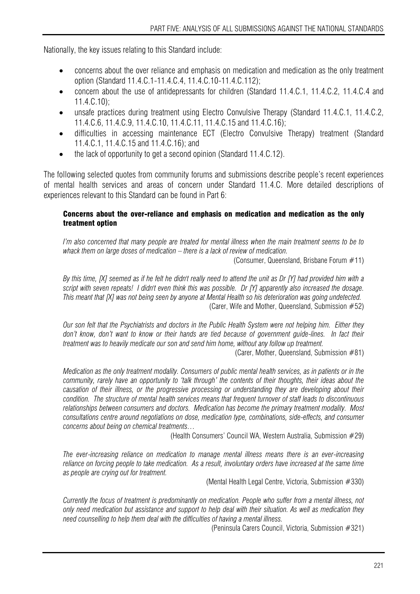Nationally, the key issues relating to this Standard include:

- concerns about the over reliance and emphasis on medication and medication as the only treatment option (Standard 11.4.C.1-11.4.C.4, 11.4.C.10-11.4.C.112);
- concern about the use of antidepressants for children (Standard 11.4.C.1, 11.4.C.2, 11.4.C.4 and 11.4.C.10);
- unsafe practices during treatment using Electro Convulsive Therapy (Standard 11.4.C.1, 11.4.C.2, 11.4.C.6, 11.4.C.9, 11.4.C.10, 11.4.C.11, 11.4.C.15 and 11.4.C.16);
- difficulties in accessing maintenance ECT (Electro Convulsive Therapy) treatment (Standard 11.4.C.1, 11.4.C.15 and 11.4.C.16); and
- the lack of opportunity to get a second opinion (Standard 11.4.C.12).

The following selected quotes from community forums and submissions describe people's recent experiences of mental health services and areas of concern under Standard 11.4.C. More detailed descriptions of experiences relevant to this Standard can be found in Part 6:

## Concerns about the over-reliance and emphasis on medication and medication as the only treatment option

*I'm also concerned that many people are treated for mental illness when the main treatment seems to be to whack them on large doses of medication – there is a lack of review of medication.* 

(Consumer, Queensland, Brisbane Forum #11)

*By this time, [X] seemed as if he felt he didn't really need to attend the unit as Dr [Y] had provided him with a script with seven repeats! I didn't even think this was possible. Dr [Y] apparently also increased the dosage. This meant that [X] was not being seen by anyone at Mental Health so his deterioration was going undetected.*  (Carer, Wife and Mother, Queensland, Submission #52)

*Our son felt that the Psychiatrists and doctors in the Public Health System were not helping him. Either they*  don't know, don't want to know or their hands are tied because of government guide-lines. In fact their *treatment was to heavily medicate our son and send him home, without any follow up treatment.* 

(Carer, Mother, Queensland, Submission #81)

*Medication as the only treatment modality. Consumers of public mental health services, as in patients or in the community, rarely have an opportunity to 'talk through' the contents of their thoughts, their ideas about the causation of their illness, or the progressive processing or understanding they are developing about their condition. The structure of mental health services means that frequent turnover of staff leads to discontinuous relationships between consumers and doctors. Medication has become the primary treatment modality. Most consultations centre around negotiations on dose, medication type, combinations, side-effects, and consumer concerns about being on chemical treatments…* 

(Health Consumers' Council WA, Western Australia, Submission #29)

*The ever-increasing reliance on medication to manage mental illness means there is an ever-increasing reliance on forcing people to take medication.* As a result, *involuntary orders have increased at the same time as people are crying out for treatment.* 

(Mental Health Legal Centre, Victoria, Submission #330)

*Currently the focus of treatment is predominantly on medication. People who suffer from a mental illness, not only need medication but assistance and support to help deal with their situation. As well as medication they need counselling to help them deal with the difficulties of having a mental illness.* 

(Peninsula Carers Council, Victoria, Submission #321)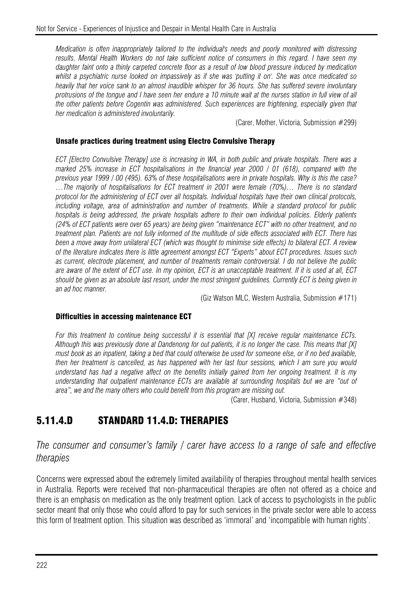*Medication is often inappropriately tailored to the individual's needs and poorly monitored with distressing results. Mental Health Workers do not take sufficient notice of consumers in this regard. I have seen my daughter faint onto a thinly carpeted concrete floor as a result of low blood pressure induced by medication whilst a psychiatric nurse looked on impassively as if she was 'putting it on'. She was once medicated so heavily that her voice sank to an almost inaudible whisper for 36 hours. She has suffered severe involuntary protrusions of the tongue and I have seen her endure a 10 minute wait at the nurses station in full view of all the other patients before Cogentin was administered. Such experiences are frightening, especially given that her medication is administered involuntarily.* 

(Carer, Mother, Victoria, Submission #299)

## Unsafe practices during treatment using Electro Convulsive Therapy

*ECT [Electro Convulsive Therapy] use is increasing in WA, in both public and private hospitals. There was a marked 25% increase in ECT hospitalisations in the financial year 2000 / 01 (618), compared with the previous year 1999 / 00 (495). 63% of these hospitalisations were in private hospitals. Why is this the case? …The majority of hospitalisations for ECT treatment in 2001 were female (70%)… There is no standard protocol for the administering of ECT over all hospitals. Individual hospitals have their own clinical protocols, including voltage, area of administration and number of treatments. While a standard protocol for public hospitals is being addressed, the private hospitals adhere to their own individual policies. Elderly patients (24% of ECT patients were over 65 years) are being given "maintenance ECT" with no other treatment, and no treatment plan. Patients are not fully informed of the multitude of side effects associated with ECT. There has been a move away from unilateral ECT (which was thought to minimise side effects) to bilateral ECT. A review of the literature indicates there is little agreement amongst ECT "Experts" about ECT procedures. Issues such as current, electrode placement, and number of treatments remain controversial. I do not believe the public are aware of the extent of ECT use. In my opinion, ECT is an unacceptable treatment. If it is used at all, ECT should be given as an absolute last resort, under the most stringent guidelines. Currently ECT is being given in an ad hoc manner.* 

(Giz Watson MLC, Western Australia, Submission #171)

## Difficulties in accessing maintenance ECT

*For this treatment to continue being successful it is essential that [X] receive regular maintenance ECTs. Although this was previously done at Dandenong for out patients, it is no longer the case. This means that [X] must book as an inpatient, taking a bed that could otherwise be used for someone else, or if no bed available, then her treatment is cancelled, as has happened with her last four sessions, which I am sure you would understand has had a negative affect on the benefits initially gained from her ongoing treatment. It is my understanding that outpatient maintenance ECTs are available at surrounding hospitals but we are "out of area", we and the many others who could benefit from this program are missing out.* 

(Carer, Husband, Victoria, Submission #348)

## 5.11.4.D STANDARD 11.4.D: THERAPIES

## *The consumer and consumer's family / carer have access to a range of safe and effective therapies*

Concerns were expressed about the extremely limited availability of therapies throughout mental health services in Australia. Reports were received that non-pharmaceutical therapies are often not offered as a choice and there is an emphasis on medication as the only treatment option. Lack of access to psychologists in the public sector meant that only those who could afford to pay for such services in the private sector were able to access this form of treatment option. This situation was described as 'immoral' and 'incompatible with human rights'.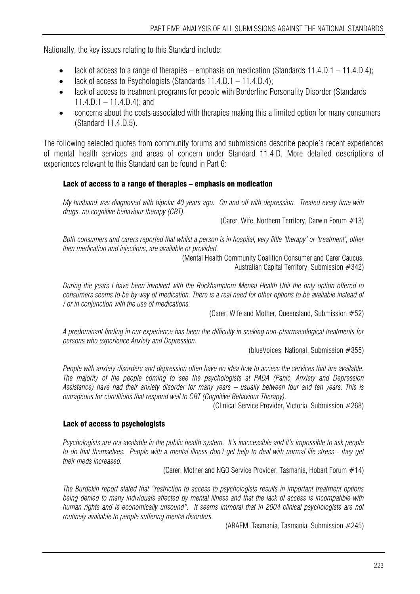Nationally, the key issues relating to this Standard include:

- lack of access to a range of therapies emphasis on medication (Standards  $11.4 \text{D} \cdot 1 11.4 \text{D} \cdot 4$ );
- lack of access to Psychologists (Standards  $11.4.D.1 11.4.D.4$ );
- lack of access to treatment programs for people with Borderline Personality Disorder (Standards  $11.4.D.1 - 11.4.D.4$ ; and
- concerns about the costs associated with therapies making this a limited option for many consumers (Standard 11.4.D.5).

The following selected quotes from community forums and submissions describe people's recent experiences of mental health services and areas of concern under Standard 11.4.D. More detailed descriptions of experiences relevant to this Standard can be found in Part 6:

## Lack of access to a range of therapies – emphasis on medication

*My husband was diagnosed with bipolar 40 years ago. On and off with depression. Treated every time with drugs, no cognitive behaviour therapy (CBT).* 

(Carer, Wife, Northern Territory, Darwin Forum  $#13$ )

*Both consumers and carers reported that whilst a person is in hospital, very little 'therapy' or 'treatment', other then medication and injections, are available or provided.* 

(Mental Health Community Coalition Consumer and Carer Caucus, Australian Capital Territory, Submission #342)

*During the years I have been involved with the Rockhamptom Mental Health Unit the only option offered to consumers seems to be by way of medication. There is a real need for other options to be available instead of / or in conjunction with the use of medications.* 

(Carer, Wife and Mother, Queensland, Submission #52)

*A predominant finding in our experience has been the difficulty in seeking non-pharmacological treatments for persons who experience Anxiety and Depression.* 

(blueVoices, National, Submission #355)

*People with anxiety disorders and depression often have no idea how to access the services that are available. The majority of the people coming to see the psychologists at PADA (Panic, Anxiety and Depression Assistance) have had their anxiety disorder for many years – usually between four and ten years. This is outrageous for conditions that respond well to CBT (Cognitive Behaviour Therapy).* 

(Clinical Service Provider, Victoria, Submission #268)

## Lack of access to psychologists

*Psychologists are not available in the public health system. It's inaccessible and it's impossible to ask people to do that themselves. People with a mental illness don't get help to deal with normal life stress - they get their meds increased.* 

(Carer, Mother and NGO Service Provider, Tasmania, Hobart Forum #14)

*The Burdekin report stated that "restriction to access to psychologists results in important treatment options being denied to many individuals affected by mental illness and that the lack of access is incompatible with human rights and is economically unsound". It seems immoral that in 2004 clinical psychologists are not routinely available to people suffering mental disorders.* 

(ARAFMI Tasmania, Tasmania, Submission #245)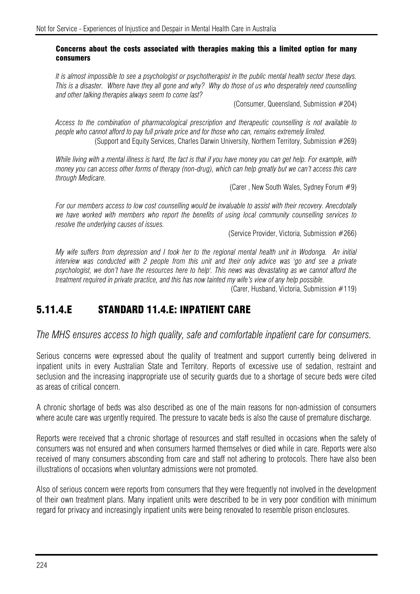## Concerns about the costs associated with therapies making this a limited option for many consumers

*It is almost impossible to see a psychologist or psychotherapist in the public mental health sector these days. This is a disaster. Where have they all gone and why? Why do those of us who desperately need counselling and other talking therapies always seem to come last?* 

(Consumer, Queensland, Submission #204)

*Access to the combination of pharmacological prescription and therapeutic counselling is not available to people who cannot afford to pay full private price and for those who can, remains extremely limited.*  (Support and Equity Services, Charles Darwin University, Northern Territory, Submission #269)

*While living with a mental illness is hard, the fact is that if you have money you can get help. For example, with money you can access other forms of therapy (non-drug), which can help greatly but we can't access this care through Medicare.* 

(Carer , New South Wales, Sydney Forum #9)

*For our members access to low cost counselling would be invaluable to assist with their recovery. Anecdotally we have worked with members who report the benefits of using local community counselling services to resolve the underlying causes of issues.* 

(Service Provider, Victoria, Submission #266)

*My wife suffers from depression and I took her to the regional mental health unit in Wodonga. An initial interview was conducted with 2 people from this unit and their only advice was 'go and see a private psychologist, we don't have the resources here to help'. This news was devastating as we cannot afford the treatment required in private practice, and this has now tainted my wife's view of any help possible.* 

(Carer, Husband, Victoria, Submission #119)

## 5.11.4.E STANDARD 11.4.E: INPATIENT CARE

*The MHS ensures access to high quality, safe and comfortable inpatient care for consumers.* 

Serious concerns were expressed about the quality of treatment and support currently being delivered in inpatient units in every Australian State and Territory. Reports of excessive use of sedation, restraint and seclusion and the increasing inappropriate use of security guards due to a shortage of secure beds were cited as areas of critical concern.

A chronic shortage of beds was also described as one of the main reasons for non-admission of consumers where acute care was urgently required. The pressure to vacate beds is also the cause of premature discharge.

Reports were received that a chronic shortage of resources and staff resulted in occasions when the safety of consumers was not ensured and when consumers harmed themselves or died while in care. Reports were also received of many consumers absconding from care and staff not adhering to protocols. There have also been illustrations of occasions when voluntary admissions were not promoted.

Also of serious concern were reports from consumers that they were frequently not involved in the development of their own treatment plans. Many inpatient units were described to be in very poor condition with minimum regard for privacy and increasingly inpatient units were being renovated to resemble prison enclosures.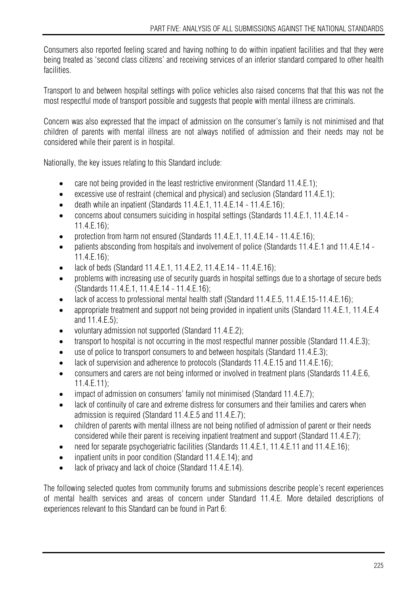Consumers also reported feeling scared and having nothing to do within inpatient facilities and that they were being treated as 'second class citizens' and receiving services of an inferior standard compared to other health facilities.

Transport to and between hospital settings with police vehicles also raised concerns that that this was not the most respectful mode of transport possible and suggests that people with mental illness are criminals.

Concern was also expressed that the impact of admission on the consumer's family is not minimised and that children of parents with mental illness are not always notified of admission and their needs may not be considered while their parent is in hospital.

Nationally, the key issues relating to this Standard include:

- care not being provided in the least restrictive environment (Standard 11.4.E.1);
- excessive use of restraint (chemical and physical) and seclusion (Standard 11.4.E.1);
- $\bullet$  death while an inpatient (Standards 11.4.E.1, 11.4.E.14 11.4.E.16);
- concerns about consumers suiciding in hospital settings (Standards 11.4.E.1, 11.4.E.14 11.4.E.16);
- protection from harm not ensured (Standards 11.4.E.1, 11.4.E.14 11.4.E.16);
- patients absconding from hospitals and involvement of police (Standards 11.4.E.1 and 11.4.E.14 -11.4.E.16);
- lack of beds (Standard 11.4.E.1, 11.4.E.2, 11.4.E.14 11.4.E.16);
- problems with increasing use of security guards in hospital settings due to a shortage of secure beds (Standards 11.4.E.1, 11.4.E.14 - 11.4.E.16);
- lack of access to professional mental health staff (Standard 11.4.E.5, 11.4.E.15-11.4.E.16);
- appropriate treatment and support not being provided in inpatient units (Standard 11.4.E.1, 11.4.E.4 and 11.4.E.5);
- voluntary admission not supported (Standard 11.4.E.2);
- transport to hospital is not occurring in the most respectful manner possible (Standard 11.4.E.3):
- use of police to transport consumers to and between hospitals (Standard 11.4.E.3);
- lack of supervision and adherence to protocols (Standards 11.4.E.15 and 11.4.E.16);
- consumers and carers are not being informed or involved in treatment plans (Standards 11.4.E.6, 11.4.E.11);
- impact of admission on consumers' family not minimised (Standard 11.4.E.7);
- lack of continuity of care and extreme distress for consumers and their families and carers when admission is required (Standard 11.4.E.5 and 11.4.E.7);
- children of parents with mental illness are not being notified of admission of parent or their needs considered while their parent is receiving inpatient treatment and support (Standard 11.4.E.7);
- need for separate psychogeriatric facilities (Standards 11.4.E.1, 11.4.E.11 and 11.4.E.16);
- inpatient units in poor condition (Standard 11.4.E.14); and
- lack of privacy and lack of choice (Standard 11.4.E.14).

The following selected quotes from community forums and submissions describe people's recent experiences of mental health services and areas of concern under Standard 11.4.E. More detailed descriptions of experiences relevant to this Standard can be found in Part 6: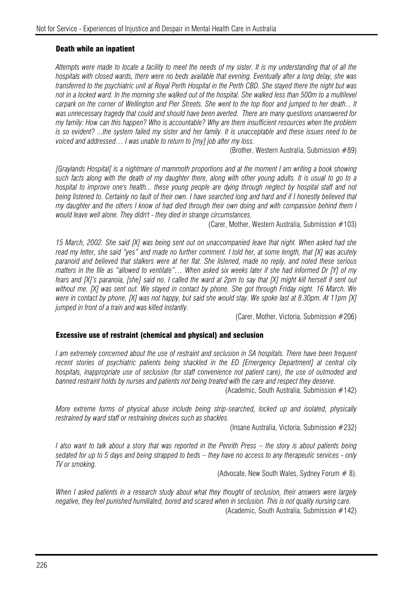## Death while an inpatient

*Attempts were made to locate a facility to meet the needs of my sister. It is my understanding that of all the hospitals with closed wards, there were no beds available that evening. Eventually after a long delay, she was transferred to the psychiatric unit at Royal Perth Hospital in the Perth CBD. She stayed there the night but was*  not in a locked ward. In the morning she walked out of the hospital. She walked less than 500m to a multilevel *carpark on the corner of Wellington and Pier Streets. She went to the top floor and jumped to her death... It was unnecessary tragedy that could and should have been averted. There are many questions unanswered for my family: How can this happen? Who is accountable? Why are there insufficient resources when the problem is so evident? ...the system failed my sister and her family. It is unacceptable and these issues need to be voiced and addressed… I was unable to return to [my] job after my loss.* 

(Brother, Western Australia, Submission #89)

*[Graylands Hospital[ is a nightmare of mammoth proportions and at the moment I am writing a book showing such facts along with the death of my daughter there, along with other young adults. It is usual to go to a hospital to improve one's health... these young people are dying through neglect by hospital staff and not being listened to. Certainly no fault of their own. I have searched long and hard and if I honestly believed that my daughter and the others I know of had died through their own doing and with compassion behind them I would leave well alone. They didn't - they died in strange circumstances.* 

(Carer, Mother, Western Australia, Submission #103)

*15 March, 2002. She said [X] was being sent out on unaccompanied leave that night. When asked had she read my letter, she said "yes" and made no further comment. I told her, at some length, that [X] was acutely paranoid and believed that stalkers were at her flat. She listened, made no reply, and noted these serious matters in the file as "allowed to ventilate"… When asked six weeks later if she had informed Dr [Y] of my fears and [X]'s paranoia, [she] said no. I called the ward at 2pm to say that [X] might kill herself if sent out without me. [X] was sent out. We stayed in contact by phone. She got through Friday night. 16 March. We were in contact by phone. [X] was not happy, but said she would stay. We spoke last at 8.30pm. At 11pm [X] jumped in front of a train and was killed instantly.* 

(Carer, Mother, Victoria, Submission #206)

## Excessive use of restraint (chemical and physical) and seclusion

*I am extremely concerned about the use of restraint and seclusion in SA hospitals. There have been frequent recent stories of psychiatric patients being shackled in the ED [Emergency Department] at central city hospitals, inappropriate use of seclusion (for staff convenience not patient care), the use of outmoded and banned restraint holds by nurses and patients not being treated with the care and respect they deserve.* 

(Academic, South Australia, Submission #142)

*More extreme forms of physical abuse include being strip-searched, locked up and isolated, physically restrained by ward staff or restraining devices such as shackles.* 

(Insane Australia, Victoria, Submission #232)

*I also want to talk about a story that was reported in the Penrith Press – the story is about patients being sedated for up to 5 days and being strapped to beds – they have no access to any therapeutic services - only TV or smoking.* 

(Advocate, New South Wales, Sydney Forum  $# 8$ ).

*When I asked patients in a research study about what they thought of seclusion, their answers were largely negative, they feel punished humiliated, bored and scared when in seclusion. This is not quality nursing care.*  (Academic, South Australia, Submission #142)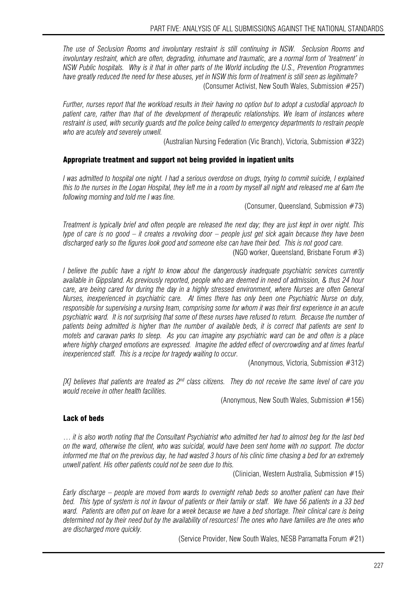*The use of Seclusion Rooms and involuntary restraint is still continuing in NSW. Seclusion Rooms and involuntary restraint, which are often, degrading, inhumane and traumatic, are a normal form of 'treatment' in NSW Public hospitals. Why is it that in other parts of the World including the U.S., Prevention Programmes have greatly reduced the need for these abuses, yet in NSW this form of treatment is still seen as legitimate?*  (Consumer Activist, New South Wales, Submission #257)

*Further, nurses report that the workload results in their having no option but to adopt a custodial approach to patient care, rather than that of the development of therapeutic relationships. We learn of instances where restraint is used, with security guards and the police being called to emergency departments to restrain people who are acutely and severely unwell.* 

(Australian Nursing Federation (Vic Branch), Victoria, Submission #322)

## Appropriate treatment and support not being provided in inpatient units

*I* was admitted to hospital one night. I had a serious overdose on drugs, trying to commit suicide, I explained *this to the nurses in the Logan Hospital, they left me in a room by myself all night and released me at 6am the following morning and told me I was fine.* 

(Consumer, Queensland, Submission #73)

*Treatment is typically brief and often people are released the next day; they are just kept in over night. This type of care is no good – it creates a revolving door – people just get sick again because they have been discharged early so the figures look good and someone else can have their bed. This is not good care.* 

(NGO worker, Queensland, Brisbane Forum #3)

*I believe the public have a right to know about the dangerously inadequate psychiatric services currently available in Gippsland. As previously reported, people who are deemed in need of admission, & thus 24 hour care, are being cared for during the day in a highly stressed environment, where Nurses are often General Nurses, inexperienced in psychiatric care. At times there has only been one Psychiatric Nurse on duty, responsible for supervising a nursing team, comprising some for whom it was their first experience in an acute psychiatric ward. It is not surprising that some of these nurses have refused to return. Because the number of patients being admitted is higher than the number of available beds, it is correct that patients are sent to motels and caravan parks to sleep. As you can imagine any psychiatric ward can be and often is a place where highly charged emotions are expressed. Imagine the added effect of overcrowding and at times fearful inexperienced staff. This is a recipe for tragedy waiting to occur.* 

(Anonymous, Victoria, Submission #312)

*[X] believes that patients are treated as 2nd class citizens. They do not receive the same level of care you would receive in other health facilities.* 

(Anonymous, New South Wales, Submission #156)

## Lack of beds

… *it is also worth noting that the Consultant Psychiatrist who admitted her had to almost beg for the last bed on the ward, otherwise the client, who was suicidal, would have been sent home with no support. The doctor informed me that on the previous day, he had wasted 3 hours of his clinic time chasing a bed for an extremely unwell patient. His other patients could not be seen due to this.* 

(Clinician, Western Australia, Submission #15)

*Early discharge – people are moved from wards to overnight rehab beds so another patient can have their bed. This type of system is not in favour of patients or their family or staff. We have 56 patients in a 33 bed ward. Patients are often put on leave for a week because we have a bed shortage. Their clinical care is being determined not by their need but by the availability of resources! The ones who have families are the ones who are discharged more quickly.* 

(Service Provider, New South Wales, NESB Parramatta Forum #21)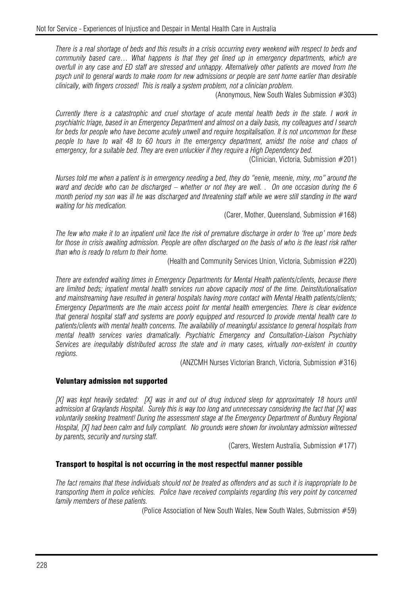*There is a real shortage of beds and this results in a crisis occurring every weekend with respect to beds and community based care… What happens is that they get lined up in emergency departments, which are overfull in any case and ED staff are stressed and unhappy. Alternatively other patients are moved from the psych unit to general wards to make room for new admissions or people are sent home earlier than desirable clinically, with fingers crossed! This is really a system problem, not a clinician problem.* 

(Anonymous, New South Wales Submission #303)

*Currently there is a catastrophic and cruel shortage of acute mental health beds in the state. I work in psychiatric triage, based in an Emergency Department and almost on a daily basis, my colleagues and I search for beds for people who have become acutely unwell and require hospitalisation. It is not uncommon for these people to have to wait 48 to 60 hours in the emergency department, amidst the noise and chaos of emergency, for a suitable bed. They are even unluckier if they require a High Dependency bed.* 

(Clinician, Victoria, Submission #201)

*Nurses told me when a patient is in emergency needing a bed, they do "eenie, meenie, miny, mo" around the ward and decide who can be discharged – whether or not they are well. . On one occasion during the 6 month period my son was ill he was discharged and threatening staff while we were still standing in the ward waiting for his medication.* 

(Carer, Mother, Queensland, Submission #168)

*The few who make it to an inpatient unit face the risk of premature discharge in order to 'free up' more beds*  for those in crisis awaiting admission. People are often discharged on the basis of who is the least risk rather *than who is ready to return to their home.* 

(Health and Community Services Union, Victoria, Submission #220)

*There are extended waiting times in Emergency Departments for Mental Health patients/clients, because there are limited beds; inpatient mental health services run above capacity most of the time. Deinstitutionalisation and mainstreaming have resulted in general hospitals having more contact with Mental Health patients/clients; Emergency Departments are the main access point for mental health emergencies. There is clear evidence that general hospital staff and systems are poorly equipped and resourced to provide mental health care to patients/clients with mental health concerns. The availability of meaningful assistance to general hospitals from mental health services varies dramatically. Psychiatric Emergency and Consultation-Liaison Psychiatry Services are inequitably distributed across the state and in many cases, virtually non-existent in country regions.* 

(ANZCMH Nurses Victorian Branch, Victoria, Submission #316)

#### Voluntary admission not supported

*[X] was kept heavily sedated: [X] was in and out of drug induced sleep for approximately 18 hours until admission at Graylands Hospital. Surely this is way too long and unnecessary considering the fact that [X] was voluntarily seeking treatment! During the assessment stage at the Emergency Department of Bunbury Regional Hospital, [X] had been calm and fully compliant. No grounds were shown for involuntary admission witnessed by parents, security and nursing staff.* 

(Carers, Western Australia, Submission #177)

#### Transport to hospital is not occurring in the most respectful manner possible

*The fact remains that these individuals should not be treated as offenders and as such it is inappropriate to be transporting them in police vehicles. Police have received complaints regarding this very point by concerned family members of these patients.* 

(Police Association of New South Wales, New South Wales, Submission #59)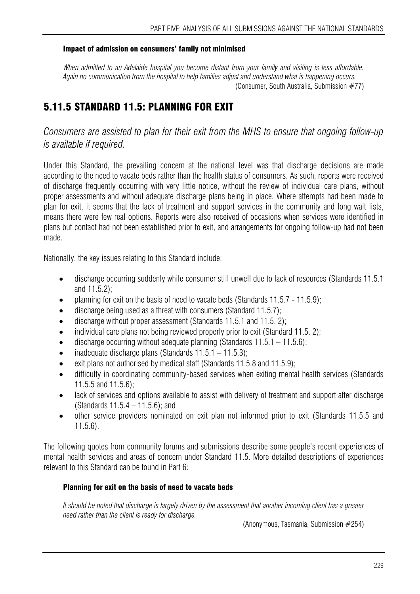## Impact of admission on consumers' family not minimised

*When admitted to an Adelaide hospital you become distant from your family and visiting is less affordable. Again no communication from the hospital to help families adjust and understand what is happening occurs.*  (Consumer, South Australia, Submission #77)

## 5.11.5 STANDARD 11.5: PLANNING FOR EXIT

*Consumers are assisted to plan for their exit from the MHS to ensure that ongoing follow-up is available if required.* 

Under this Standard, the prevailing concern at the national level was that discharge decisions are made according to the need to vacate beds rather than the health status of consumers. As such, reports were received of discharge frequently occurring with very little notice, without the review of individual care plans, without proper assessments and without adequate discharge plans being in place. Where attempts had been made to plan for exit, it seems that the lack of treatment and support services in the community and long wait lists, means there were few real options. Reports were also received of occasions when services were identified in plans but contact had not been established prior to exit, and arrangements for ongoing follow-up had not been made.

Nationally, the key issues relating to this Standard include:

- discharge occurring suddenly while consumer still unwell due to lack of resources (Standards 11.5.1) and 11.5.2);
- planning for exit on the basis of need to vacate beds (Standards 11.5.7 11.5.9);
- discharge being used as a threat with consumers (Standard 11.5.7);
- discharge without proper assessment (Standards 11.5.1 and 11.5. 2);
- individual care plans not being reviewed properly prior to exit (Standard 11.5. 2);
- discharge occurring without adequate planning (Standards  $11.5.1 11.5.6$ );
- inadequate discharge plans (Standards  $11.5.1 11.5.3$ );
- exit plans not authorised by medical staff (Standards 11.5.8 and 11.5.9);
- difficulty in coordinating community-based services when exiting mental health services (Standards 11.5.5 and 11.5.6);
- lack of services and options available to assist with delivery of treatment and support after discharge (Standards 11.5.4 – 11.5.6); and
- other service providers nominated on exit plan not informed prior to exit (Standards 11.5.5 and 11.5.6).

The following quotes from community forums and submissions describe some people's recent experiences of mental health services and areas of concern under Standard 11.5. More detailed descriptions of experiences relevant to this Standard can be found in Part 6:

## Planning for exit on the basis of need to vacate beds

*It should be noted that discharge is largely driven by the assessment that another incoming client has a greater need rather than the client is ready for discharge.* 

(Anonymous, Tasmania, Submission #254)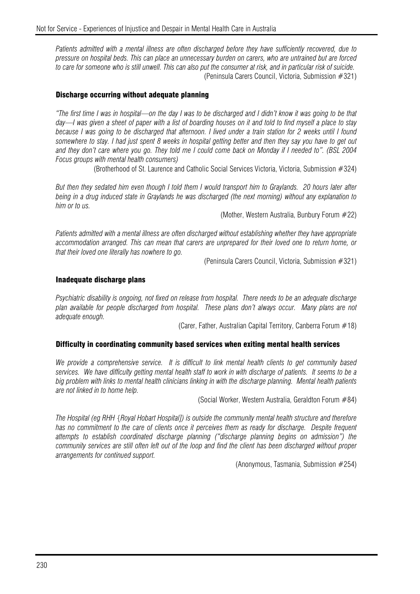*Patients admitted with a mental illness are often discharged before they have sufficiently recovered, due to pressure on hospital beds. This can place an unnecessary burden on carers, who are untrained but are forced to care for someone who is still unwell. This can also put the consumer at risk, and in particular risk of suicide.*  (Peninsula Carers Council, Victoria, Submission #321)

#### Discharge occurring without adequate planning

*"The first time I was in hospital—on the day I was to be discharged and I didn't know it was going to be that day—I was given a sheet of paper with a list of boarding houses on it and told to find myself a place to stay because I was going to be discharged that afternoon. I lived under a train station for 2 weeks until I found somewhere to stay. I had just spent 8 weeks in hospital getting better and then they say you have to get out and they don't care where you go. They told me I could come back on Monday if I needed to". (BSL 2004 Focus groups with mental health consumers)* 

(Brotherhood of St. Laurence and Catholic Social Services Victoria, Victoria, Submission #324)

*But then they sedated him even though I told them I would transport him to Graylands. 20 hours later after being in a drug induced state in Graylands he was discharged (the next morning) without any explanation to him or to us.* 

(Mother, Western Australia, Bunbury Forum #22)

*Patients admitted with a mental illness are often discharged without establishing whether they have appropriate accommodation arranged. This can mean that carers are unprepared for their loved one to return home, or that their loved one literally has nowhere to go.* 

(Peninsula Carers Council, Victoria, Submission #321)

#### Inadequate discharge plans

*Psychiatric disability is ongoing, not fixed on release from hospital. There needs to be an adequate discharge plan available for people discharged from hospital. These plans don't always occur. Many plans are not adequate enough.* 

(Carer, Father, Australian Capital Territory, Canberra Forum #18)

#### Difficulty in coordinating community based services when exiting mental health services

*We provide a comprehensive service. It is difficult to link mental health clients to get community based services. We have difficulty getting mental health staff to work in with discharge of patients. It seems to be a*  big problem with links to mental health clinicians linking in with the discharge planning. Mental health patients *are not linked in to home help.* 

(Social Worker, Western Australia, Geraldton Forum #84)

*The Hospital (eg RHH {Royal Hobart Hospital]) is outside the community mental health structure and therefore*  has no commitment to the care of clients once it perceives them as ready for discharge. Despite frequent *attempts to establish coordinated discharge planning ("discharge planning begins on admission") the community services are still often left out of the loop and find the client has been discharged without proper arrangements for continued support.* 

(Anonymous, Tasmania, Submission #254)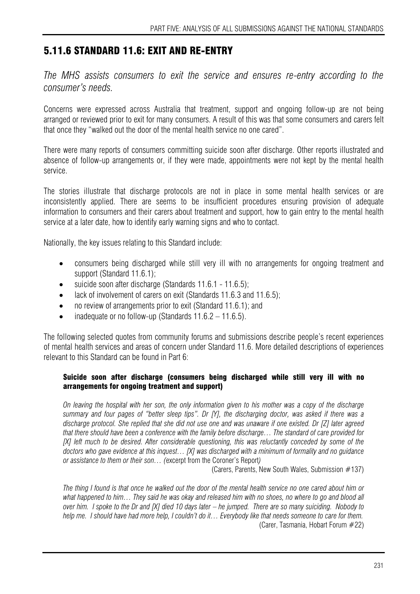## 5.11.6 STANDARD 11.6: EXIT AND RE-ENTRY

*The MHS assists consumers to exit the service and ensures re-entry according to the consumer's needs.* 

Concerns were expressed across Australia that treatment, support and ongoing follow-up are not being arranged or reviewed prior to exit for many consumers. A result of this was that some consumers and carers felt that once they "walked out the door of the mental health service no one cared".

There were many reports of consumers committing suicide soon after discharge. Other reports illustrated and absence of follow-up arrangements or, if they were made, appointments were not kept by the mental health service.

The stories illustrate that discharge protocols are not in place in some mental health services or are inconsistently applied. There are seems to be insufficient procedures ensuring provision of adequate information to consumers and their carers about treatment and support, how to gain entry to the mental health service at a later date, how to identify early warning signs and who to contact.

Nationally, the key issues relating to this Standard include:

- consumers being discharged while still very ill with no arrangements for ongoing treatment and support (Standard 11.6.1);
- suicide soon after discharge (Standards 11.6.1 11.6.5);
- lack of involvement of carers on exit (Standards 11.6.3 and 11.6.5);
- no review of arrangements prior to exit (Standard 11.6.1); and
- inadequate or no follow-up (Standards  $11.6.2 11.6.5$ ).

The following selected quotes from community forums and submissions describe people's recent experiences of mental health services and areas of concern under Standard 11.6. More detailed descriptions of experiences relevant to this Standard can be found in Part 6:

## Suicide soon after discharge (consumers being discharged while still very ill with no arrangements for ongoing treatment and support)

*On leaving the hospital with her son, the only information given to his mother was a copy of the discharge summary and four pages of "better sleep tips". Dr [Y], the discharging doctor, was asked if there was a discharge protocol. She replied that she did not use one and was unaware if one existed. Dr [Z] later agreed that there should have been a conference with the family before discharge… The standard of care provided for [X] left much to be desired. After considerable questioning, this was reluctantly conceded by some of the doctors who gave evidence at this inquest… [X] was discharged with a minimum of formality and no guidance or assistance to them or their son… (*excerpt from the Coroner's Report*)* 

(Carers, Parents, New South Wales, Submission #137)

*The thing I found is that once he walked out the door of the mental health service no one cared about him or what happened to him… They said he was okay and released him with no shoes, no where to go and blood all over him. I spoke to the Dr and [X] died 10 days later – he jumped. There are so many suiciding. Nobody to help me. I should have had more help, I couldn't do it… Everybody like that needs someone to care for them.*  (Carer, Tasmania, Hobart Forum #22)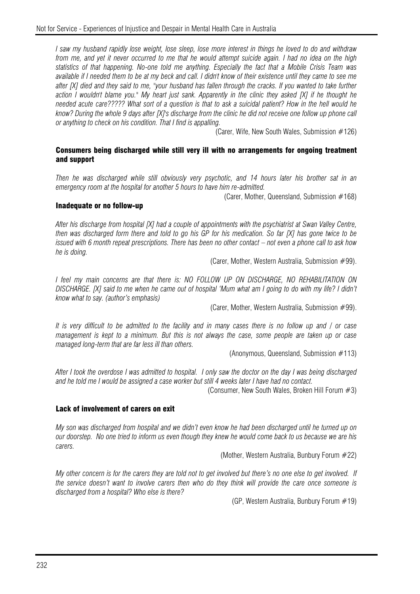*I saw my husband rapidly lose weight, lose sleep, lose more interest in things he loved to do and withdraw from me, and yet it never occurred to me that he would attempt suicide again. I had no idea on the high statistics of that happening. No-one told me anything. Especially the fact that a Mobile Crisis Team was available if I needed them to be at my beck and call. I didn't know of their existence until they came to see me after [X] died and they said to me, "your husband has fallen through the cracks. If you wanted to take further action I wouldn't blame you." My heart just sank. Apparently in the clinic they asked [X] if he thought he needed acute care????? What sort of a question is that to ask a suicidal patient? How in the hell would he know? During the whole 9 days after [X]'s discharge from the clinic he did not receive one follow up phone call or anything to check on his condition. That I find is appalling.* 

(Carer, Wife, New South Wales, Submission #126)

#### Consumers being discharged while still very ill with no arrangements for ongoing treatment and support

*Then he was discharged while still obviously very psychotic, and 14 hours later his brother sat in an emergency room at the hospital for another 5 hours to have him re-admitted.* 

(Carer, Mother, Queensland, Submission #168)

#### Inadequate or no follow-up

*After his discharge from hospital [X] had a couple of appointments with the psychiatrist at Swan Valley Centre, then was discharged form there and told to go his GP for his medication. So far [X] has gone twice to be issued with 6 month repeat prescriptions. There has been no other contact – not even a phone call to ask how he is doing.* 

(Carer, Mother, Western Australia, Submission #99).

*I feel my main concerns are that there is: NO FOLLOW UP ON DISCHARGE, NO REHABILITATION ON DISCHARGE. [X] said to me when he came out of hospital 'Mum what am I going to do with my life? I didn't know what to say. (author's emphasis)* 

(Carer, Mother, Western Australia, Submission #99).

*It is very difficult to be admitted to the facility and in many cases there is no follow up and / or case management is kept to a minimum. But this is not always the case, some people are taken up or case managed long-term that are far less ill than others.* 

(Anonymous, Queensland, Submission #113)

*After I took the overdose I was admitted to hospital. I only saw the doctor on the day I was being discharged and he told me I would be assigned a case worker but still 4 weeks later I have had no contact.* 

(Consumer, New South Wales, Broken Hill Forum #3)

#### Lack of involvement of carers on exit

*My son was discharged from hospital and we didn't even know he had been discharged until he turned up on our doorstep. No one tried to inform us even though they knew he would come back to us because we are his carers.* 

(Mother, Western Australia, Bunbury Forum #22)

*My other concern is for the carers they are told not to get involved but there's no one else to get involved. If the service doesn't want to involve carers then who do they think will provide the care once someone is discharged from a hospital? Who else is there?* 

(GP, Western Australia, Bunbury Forum #19)